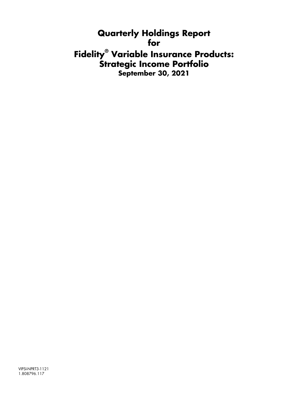**Quarterly Holdings Report for Fidelity® Variable Insurance Products: Strategic Income Portfolio September 30, 2021**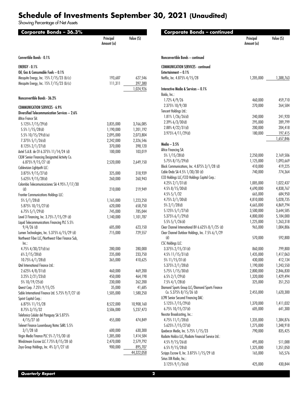# **Schedule of Investments September 30, 2021 (Unaudited)**

Showing Percentage of Net Assets

| Corporate Bonds - 36.3%                                      | Principal<br>Amount (a) | Value (\$) | <b>Corporate Bonds - continued</b>                 | Principal<br>Amount (a) | Value (S)              |
|--------------------------------------------------------------|-------------------------|------------|----------------------------------------------------|-------------------------|------------------------|
| Convertible Bonds - 0.1%                                     |                         |            | Nonconvertible Bonds - continued                   |                         |                        |
| <b>ENERGY - 0.1%</b>                                         |                         |            | <b>COMMUNICATION SERVICES - continued</b>          |                         |                        |
| Oil, Gas & Consumable Fuels - 0.1%                           |                         |            | Entertainment - 0.1%                               |                         |                        |
| Mesquite Energy, Inc. 15% 7/15/23 (b) (c)                    | 193,687                 | 627,546    | Netflix, Inc. 4.875% 4/15/28                       | 1,205,000               | 1,388,763              |
| Mesquite Energy, Inc. 15% 7/15/23 (b)(c)                     | 111,311                 | 397,380    |                                                    |                         |                        |
|                                                              |                         | 1,024,926  | Interactive Media & Services - 0.1%                |                         |                        |
| Nonconvertible Bonds - 36.2%                                 |                         |            | Baidu, Inc.:<br>$1.72\%$ 4/9/26                    | 460,000                 | 459,710                |
| <b>COMMUNICATION SERVICES - 6.9%</b>                         |                         |            | 2.375% 10/9/30                                     | 270,000                 | 264,584                |
| Diversified Telecommunication Services - 2.6%                |                         |            | Tencent Holdings Ltd.:                             |                         |                        |
| Altice France SA:                                            |                         |            | $1.81\%$ 1/26/26(d)                                | 240,000                 | 241,920                |
| 5.125% 7/15/29(d)                                            | 3,835,000               | 3,766,085  | $2.39\%$ 6/3/30(d)                                 | 295,000                 | 289,799                |
| 5.5% 1/15/28(d)                                              | 1,190,000               | 1,201,192  | $2.88\%$ 4/22/31(d)                                | 200,000                 | 204,418                |
| 5.5% $10/15/29$ (d)(e)                                       | 2,095,000               | 2,073,804  | 3.975% 4/11/29(d)                                  | 180,000                 | 197,415                |
| $7.375\%$ 5/1/26(d)                                          | 2,242,000               | 2,326,546  |                                                    |                         | 1,657,846              |
| 8.125% 2/1/27(d)                                             | 370,000                 | 398,120    | Media $-3.5%$                                      |                         |                        |
| Axtel S.A.B. de CV 6.375% 11/14/24 (d)                       | 100,000                 | 103,019    | Altice Financing SA:                               |                         |                        |
| C&W Senior Financing Designated Activity Co.                 |                         |            | 5% 1/15/28(d)                                      | 2,250,000               | 2,169,506              |
| 6.875% 9/15/27 (d)                                           | 2,520,000               | 2,649,150  | 5.75% 8/15/29(d)                                   | 1,125,000               | 1,093,669              |
| Cablevision Lightpath LLC:                                   |                         |            | Block Communications, Inc. 4.875% 3/1/28 (d)       | 410,000                 | 419,225                |
| 3.875% 9/15/27(d)                                            | 325,000                 | 318,939    | Cable Onda SA 4.5% 1/30/30 (d)                     | 740,000                 | 774,364                |
| 5.625% 9/15/28(d)                                            | 260,000                 | 260,943    | CCO Holdings LLC/CCO Holdings Capital Corp.:       |                         |                        |
| Colombia Telecomunicaciones SA 4.95% 7/17/30                 |                         |            | 4.25% $2/1/31$ (d)                                 | 1,005,000               | 1,022,437              |
| (d)                                                          | 210,000                 | 219,949    | $4.5\%$ 8/15/30(d)                                 | 4,690,000               | 4,838,767              |
| Frontier Communications Holdings LLC:                        |                         |            | $4.5\%5/1/32$                                      | 665,000                 | 684,950                |
| $5\%$ 5/1/28(d)                                              | 1,165,000               | 1,223,250  | $4.75\%$ 3/1/30(d)                                 | 4,810,000<br>4,665,000  | 5,028,735<br>4,869,794 |
| 5.875% 10/15/27(d)                                           | 620,000                 | 658,750    | $5\%$ 2/1/28(d)<br>5.125% 5/1/27(d)                | 3,500,000               | 3,644,585              |
| $6.75\%$ 5/1/29(d)                                           | 745,000                 | 785,044    | 5.375% 6/1/29(d)                                   | 4,800,000               | 5,184,000              |
| Level 3 Financing, Inc. 3.75% 7/15/29 (d)                    | 1,140,000               | 1,101,787  | $5.5\%$ 5/1/26(d)                                  | 1,225,000               | 1,263,318              |
| Liquid Telecommunications Financing PLC 5.5%<br>$9/4/26$ (d) | 605,000                 | 623,150    | Clear Channel International BV 6.625% 8/1/25 (d)   | 965,000                 | 1,004,806              |
| Lumen Technologies, Inc. 5.375% 6/15/29 (d)                  | 715,000                 | 729,557    | Clear Channel Outdoor Holdings, Inc. 7.5% 6/1/29   |                         |                        |
| Northwest Fiber LLC/Northwest Fiber Finance Sub,             |                         |            | (d)                                                | 570,000                 | 592,800                |
| Inc.                                                         |                         |            | <b>CSC Holdings LLC:</b>                           |                         |                        |
| 4.75% $4/30/27$ (d) (e)                                      | 280,000                 | 280,000    | $3.375\%$ 2/15/31(d)                               | 860,000                 | 799,800                |
| $6\%$ 2/15/28(d)                                             | 235,000                 | 233,750    | $4.5\%$ 11/15/31(d)                                | 1,435,000               | 1,417,063              |
| 10.75% 6/1/28(d)                                             | 365,000                 | 410,625    | 5% 11/15/31(d)                                     | 430,000                 | 412,134                |
| Qtel International Finance Ltd.:                             |                         |            | 5.375% 2/1/28(d)                                   | 1,190,000               | 1,243,550              |
| 2.625% 4/8/31(d)                                             | 460,000                 | 469,200    | 5.75% 1/15/30(d)                                   | 2,800,000               | 2,846,830              |
| $3.25\%$ 2/21/23(d)                                          | 450,000                 | 464,198    | $6.5\%$ 2/1/29(d)                                  | 1,320,000               | 1,429,494              |
| 5% 10/19/25(d)                                               | 230,000                 | 262,200    | $7.5\%$ 4/1/28(d)                                  | 325,000                 | 351,253                |
| Qwest Corp. 7.25% 9/15/25                                    | 35,000                  | 41,685     | Diamond Sports Group LLC/Diamond Sports Finance    |                         |                        |
| Sable International Finance Ltd. 5.75% 9/7/27 (d)            | 1,505,000               | 1,580,250  | Co. 5.375% 8/15/26 (d)                             | 2,455,000               | 1,620,300              |
| Sprint Capital Corp.:                                        |                         |            | <b>LCPR Senior Secured Financing DAC:</b>          |                         |                        |
| 6.875% 11/15/28                                              | 8,522,000               | 10,908,160 | 5.125% 7/15/29(d)                                  | 1,370,000               | 1,411,032              |
| 8.75% 3/15/32                                                | 3,506,000               | 5,237,473  | 6.75% 10/15/27(d)                                  | 605,000                 | 641,300                |
| Telefonica Celular del Paraguay SA 5.875%                    |                         |            | Nexstar Broadcasting, Inc.:                        |                         |                        |
| $4/15/27$ (d)                                                | 455,000                 | 474,849    | 4.75% 11/1/28(d)                                   | 1,335,000               | 1,384,876              |
| Telenet Finance Luxembourg Notes SARL 5.5%                   |                         |            | 5.625% 7/15/27(d)                                  | 1,275,000               | 1,348,918              |
| $3/1/28$ (d)                                                 | 600,000                 | 630,300    | Quebecor Media, Inc. 5.75% 1/15/23                 | 790,000                 | 835,425                |
| Virgin Media Finance PLC 5% 7/15/30 (d)                      | 1,385,000               | 1,414,584  | Radiate Holdco LLC/Radiate Financial Service Ltd.: |                         |                        |
| Windstream Escrow LLC 7.75% 8/15/28 (d)                      | 2,470,000               | 2,579,792  | $4.5\%$ 9/15/26(d)                                 | 495,000                 | 511,088                |
| Zayo Group Holdings, Inc. 4% 3/1/27 (d)                      | 900,000                 | 895,707    | $6.5\%$ 9/15/28(d)                                 | 1,325,000               | 1,351,050              |
|                                                              |                         | 44,322,058 | Scripps Escrow II, Inc. 3.875% 1/15/29 (d)         | 165,000                 | 165,576                |
|                                                              |                         |            | Sirius XM Radio, Inc.:                             |                         |                        |
|                                                              |                         |            | $3.125\%$ $9/1/26$ (d)                             | 425,000                 | 430,844                |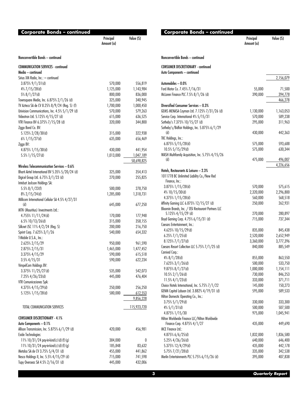| Corporate Bonds – continued                                                   |                         |                                |
|-------------------------------------------------------------------------------|-------------------------|--------------------------------|
|                                                                               | Principal<br>Amount (a) | Value (\$)                     |
| Nonconvertible Bonds - continued                                              |                         |                                |
| <b>COMMUNICATION SERVICES - continued</b>                                     |                         |                                |
| Media — continued                                                             |                         |                                |
| Sirius XM Radio, Inc.: - continued                                            |                         |                                |
| $3.875\%$ $9/1/31$ (d)                                                        | 570,000                 | 556,819                        |
| $4\%$ 7/15/28(d)                                                              | 1,125,000               | 1,143,984                      |
| 5% 8/1/27(d)                                                                  | 800,000                 | 836,000                        |
| Townsquare Media, Inc. 6.875% 2/1/26 (d)                                      | 325,000                 | 340,945                        |
| TV Azteca SA de CV 8.25% 8/9/24 (Reg. S) (f)                                  | 1,700,000               | 1,000,450                      |
| Univision Communications, Inc. 4.5% 5/1/29 (d)                                | 570,000                 | 579,263                        |
| Videotron Ltd. 5.125% 4/15/27 (d)                                             | 615,000                 | 636,525                        |
| VTR Finance BV 6.375% 7/15/28 (d)                                             | 320,000                 | 344,800                        |
| Ziggo Bond Co. BV:                                                            |                         |                                |
| 5.125% 2/28/30(d)                                                             | 315,000                 | 322,938                        |
| $6\%$ 1/15/27(d)                                                              | 635,000                 | 656,469                        |
| Ziggo BV:                                                                     |                         |                                |
| 4.875% 1/15/30(d)                                                             | 430,000                 | 441,954                        |
| $5.5\%$ 1/15/27(d)                                                            | 1,013,000               | <u>1,047,189</u><br>58,698,825 |
| Wireless Telecommunication Services - 0.6%                                    |                         |                                |
| Bharti Airtel International BV 5.35% 5/20/24 (d)                              | 325,000                 | 354,413                        |
| Digicel Group Ltd. 6.75% 3/1/23 (d)                                           | 270,000                 | 255,825                        |
| Intelsat Jackson Holdings SA:                                                 |                         |                                |
| $5.5\%$ 8/1/23(f)                                                             | 500,000                 | 278,750                        |
| $8\%$ 2/15/24(d)                                                              | 1,285,000               | 1,318,731                      |
| Millicom International Cellular SA 4.5% 4/27/31                               |                         |                                |
| (d)                                                                           | 645,000                 | 677,250                        |
| MTN (Mauritius) Investments Ltd.:                                             |                         |                                |
| 4.755% 11/11/24(d)                                                            | 170,000                 | 177,948                        |
| $6.5\%$ 10/13/26(d)                                                           | 315,000                 | 358,155                        |
| Silknet JSC 11% 4/2/24 (Reg. S)                                               | 200,000                 | 216,750                        |
| Sprint Corp. 7.625% 3/1/26                                                    | 540,000                 | 654,332                        |
| T-Mobile U.S.A., Inc.:                                                        |                         |                                |
| 2.625% 2/15/29                                                                | 950,000                 | 961,590                        |
| 2.875% 2/15/31                                                                | 1,465,000               | 1,477,452                      |
| $3.375\%$ 4/15/29                                                             | 590,000                 | 615,518                        |
| $3.5\%$ 4/15/31                                                               | 590,000                 | 622,234                        |
| VimpelCom Holdings BV:                                                        |                         |                                |
| 3.375% 11/25/27(d)                                                            | 535,000                 | 542,073                        |
| 7.25% 4/26/23(d)<br>VTR Comunicaciones SpA:                                   | 445,000                 | 476,404                        |
| 4.375% 4/15/29(d)                                                             | 250,000                 | 256,250                        |
| $5.125\%$ 1/15/28(d)                                                          | 580,000                 | 612,553                        |
|                                                                               |                         | 9,856,228                      |
|                                                                               |                         |                                |
| TOTAL COMMUNICATION SERVICES                                                  |                         | 115,923,720                    |
| <b>CONSUMER DISCRETIONARY - 4.1%</b>                                          |                         |                                |
| Auto Components - 0.1%                                                        |                         |                                |
| Allison Transmission, Inc. 5.875% 6/1/29 (d)                                  | 420,000                 | 456,981                        |
| Exide Technologies:                                                           |                         |                                |
| 11% $10/31/24$ pay-in-kind(c)(d)(f)(g)                                        | 384,000                 | 0                              |
| 11% 10/31/24 pay-in-kind(c)(d)(f)(g)                                          | 185,848<br>455,000      | 83,632                         |
| Metalsa SA de CV 3.75% 5/4/31 (d)<br>Nesco Holdings II, Inc. 5.5% 4/15/29 (d) | 715,000                 | 441,862<br>741,598             |
| Tupy Overseas SA 4.5% 2/16/31 (d)                                             | 445,000                 | 432,006                        |
|                                                                               |                         |                                |

| <b>Corporate Bonds - continued</b>                                       | Principal<br>Amount (a) | Value (S)         |
|--------------------------------------------------------------------------|-------------------------|-------------------|
| Nonconvertible Bonds - continued                                         |                         |                   |
| <b>CONSUMER DISCRETIONARY - continued</b><br>Auto Components - continued |                         |                   |
|                                                                          |                         | 2,156,079         |
| Automobiles - 0.0%                                                       |                         |                   |
| Ford Motor Co. 7.45% 7/16/31<br>McLaren Finance PLC 7.5% 8/1/26 (d)      | 55,000<br>390,000       | 71,500<br>394,778 |
|                                                                          |                         | 466,278           |
| Diversified Consumer Services - 0.3%                                     |                         |                   |
| GEMS MENASA Cayman Ltd. 7.125% 7/31/26 (d)                               | 1,130,000               | 1,163,053         |
| Service Corp. International 4% 5/15/31                                   | 570,000                 | 589,238           |
| Sotheby's 7.375% 10/15/27 (d)                                            | 295,000                 | 311,963           |
| Sotheby's/Bidfair Holdings, Inc. 5.875% 6/1/29                           |                         |                   |
| (d)                                                                      | 430,000                 | 442,363           |
| TKC Holdings, Inc.:                                                      |                         |                   |
| 6.875% 5/15/28(d)<br>10.5% 5/15/29(d)                                    | 575,000                 | 593,688           |
| WASH Multifamily Acquisition, Inc. 5.75% 4/15/26                         | 575,000                 | 630,344           |
| (d)                                                                      | 475,000                 | 496,007           |
|                                                                          |                         | 4,226,656         |
| Hotels, Restaurants & Leisure - 2.3%                                     |                         |                   |
| 1011778 BC Unlimited Liability Co./New Red                               |                         |                   |
| Finance, Inc.:                                                           |                         |                   |
| $3.875\%$ 1/15/28(d)                                                     | 570,000                 | 575,615           |
| 4% 10/15/30(d)                                                           | 2,320,000               | 2,296,800         |
| 4.375% 1/15/28(d)                                                        | 560,000                 | 568,518           |
| Affinity Gaming LLC 6.875% 12/15/27 (d)                                  | 250,000                 | 262,931           |
| Bloomin Brands, Inc. / OSI Restaurant Partners LLC                       | 270,000                 | 280,897           |
| $5.125\%$ 4/15/29 (d)<br>Boyd Gaming Corp. 4.75% 6/15/31 (d)             | 715,000                 | 737,344           |
| Caesars Entertainment, Inc.:                                             |                         |                   |
| 4.625% 10/15/29(d)                                                       | 835,000                 | 845,438           |
| $6.25\%$ $7/1/25$ (d)                                                    | 2,520,000               | 2,652,949         |
| 8.125% 7/1/27(d)                                                         | 3,360,000               | 3,777,396         |
| Caesars Resort Collection LLC 5.75% 7/1/25 (d)                           | 840,000                 | 885,549           |
| Carnival Corp.:                                                          |                         |                   |
| $4\%$ 8/1/28(d)                                                          | 855,000                 | 863,550           |
| 7.625% 3/1/26(d)                                                         | 500,000                 | 533,750           |
| $9.875\%$ $8/1/27$ (d)                                                   | 1,000,000               | 1,154,111         |
| $10.5\%$ 2/1/26(d)                                                       | 730,000                 | 846,253           |
| 11.5% $4/1/23$ (d)                                                       | 333,000                 | 371,711           |
| Choice Hotels International, Inc. 5.75% 7/1/22                           | 145,000                 | 150,273           |
| GENM Capital Labuan Ltd. 3.882% 4/19/31 (d)                              | 595,000                 | 589,533           |
| Hilton Domestic Operating Co., Inc.:                                     |                         |                   |
| $3.75\%$ 5/1/29(d)                                                       | 330,000                 | 333,300           |
| $4\%$ 5/1/31(d)                                                          | 500,000                 | 507,500           |
| 4.875% 1/15/30<br>Hilton Worldwide Finance LLC/Hilton Worldwide          | 975,000                 | 1,045,941         |
| Finance Corp. 4.875% 4/1/27                                              | 435,000                 | 449,690           |
| MCE Finance Ltd.:                                                        |                         |                   |
| 4.875% 6/6/25(d)                                                         | 1,832,000               | 1,836,580         |
| $5.25\%$ 4/26/26(d)                                                      | 640,000                 | 646,400           |
| 5.375% 12/4/29(d)                                                        | 435,000                 | 442,178           |
| 5.75% 7/21/28(d)                                                         | 335,000                 | 342,538           |
| Merlin Entertainments PLC 5.75% 6/15/26 (d)                              | 395,000                 | 407,838           |
|                                                                          |                         |                   |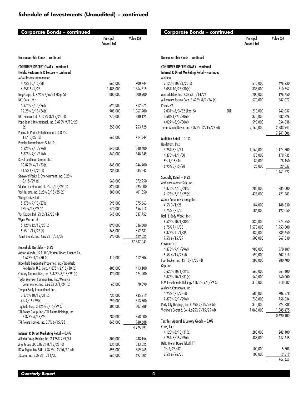| <b>Corporate Bonds – continued</b>                                               | Principal          | Value (S)          | C              |
|----------------------------------------------------------------------------------|--------------------|--------------------|----------------|
|                                                                                  | Amount (a)         |                    |                |
| Nonconvertible Bonds - continued                                                 |                    |                    | Nono           |
| <b>CONSUMER DISCRETIONARY - continued</b>                                        |                    |                    | <b>CON</b>     |
| Hotels, Restaurants & Leisure - continued                                        |                    |                    | Inter          |
| <b>MGM Resorts International:</b>                                                |                    |                    | Meit           |
| 4.75% 10/15/28                                                                   | 665,000            | 700,744            | 2.             |
| $6.75\%5/1/25$                                                                   | 1,485,000          | 1,564,819          | 3.1            |
| NagaCorp Ltd. 7.95% 7/6/24 (Reg. S)                                              | 800,000            | 800,900            | Merc           |
| NCL Corp. Ltd.:                                                                  | 695,000            | 712,375            | Mille<br>Prosu |
| 5.875% 3/15/26(d)<br>12.25% 5/15/24(d)                                           | 905,000            | 1,067,900          | 2.1            |
| NCL Finance Ltd. 6.125% 3/15/28 (d)                                              | 270,000            | 280,125            | 3.             |
| Papa John's International, Inc. 3.875% 9/15/29                                   |                    |                    | 4.1            |
| (d)                                                                              | 255,000            | 253,725            | Terrio         |
| Peninsula Pacific Entertainment LLC 8.5%                                         |                    |                    |                |
| $11/15/27$ (d)                                                                   | 665,000            | 714,044            | Mult           |
| Premier Entertainment Sub LLC:                                                   |                    |                    | Nord           |
| $5.625\%$ $9/1/29$ (d)                                                           | 840,000            | 848,400            | 4.2            |
| 5.875% 9/1/31(d)<br>Royal Caribbean Cruises Ltd.:                                | 840,000            | 848,649            | 4.             |
| 10.875% 6/1/23(d)                                                                | 845,000            | 946,400            | 5%             |
| 11.5% $6/1/25$ (d)                                                               | 734,000            | 835,843            | 6.9            |
| SeaWorld Parks & Entertainment, Inc. 5.25%                                       |                    |                    |                |
| $8/15/29$ (d)                                                                    | 560,000            | 572,950            | Spec<br>Ambi   |
| Studio City Finance Ltd. 5% 1/15/29 (d)                                          | 320,000            | 295,000            | 4.1            |
| Vail Resorts, Inc. 6.25% 5/15/25 (d)                                             | 380,000            | 401,850            | 7.             |
| Viking Cruises Ltd.:                                                             |                    |                    | Asbu           |
| 5.875% 9/15/27(d)                                                                | 595,000            | 575,663            | 4.             |
| $13\% 5/15/25$ (d)                                                               | 570,000            | 656,213            | 4.             |
| Voc Escrow Ltd. 5% 2/15/28 (d)                                                   | 545,000            | 537,752            | Bath           |
| Wynn Macau Ltd.:                                                                 |                    |                    | 6.1            |
| 5.125% 12/15/29(d)<br>5.5% 1/15/26(d)                                            | 890,000<br>365,000 | 836,600<br>352,681 | 6.             |
| Yum! Brands, Inc. 4.625% 1/31/32                                                 | 590,000            | 629,825            | 6.I            |
|                                                                                  |                    | 37,837,041         | 7.5            |
| Household Durables - 0.3%                                                        |                    |                    | Carvo          |
| Ashton Woods U.S.A. LLC/Ashton Woods Finance Co.                                 |                    |                    | 4.1<br>5.5     |
| 4.625% 4/1/30 (d)                                                                | 410,000            | 412,306            | Foot           |
| Brookfield Residential Properties, Inc./Brookfield                               |                    |                    | Gap,           |
| Residential U.S. Corp. 4.875% 2/15/30 (d)                                        | 405,000            | 413,100            | 3.             |
| Century Communities, Inc. 3.875% 8/15/29 (d)                                     | 420,000            | 424,200            | 3.1            |
| Taylor Morrison Communities, Inc./Monarch<br>Communities, Inc. 5.625% 3/1/24 (d) | 65,000             | 70,090             | LCM            |
| Tempur Sealy International, Inc.:                                                |                    |                    | Mich           |
| 3.875% 10/15/31(d)                                                               | 735,000            | 735,919            | 5.3            |
| $4\%$ 4/15/29(d)                                                                 | 790,000            | 813,700            | 7.1            |
| TopBuild Corp. 3.625% 3/15/29 (d)                                                | 305,000            | 307,288            | Party          |
| TRI Pointe Group, Inc./TRI Pointe Holdings, Inc.                                 |                    |                    | Victo          |
| 5.875% 6/15/24                                                                   | 780,000            | 858,000            |                |
| TRI Pointe Homes, Inc. 5.7% 6/15/28                                              | 865,000            | 940,688            | Texti          |
|                                                                                  |                    | 4,975,291          | Crocs<br>4.    |
| Internet & Direct Marketing Retail - 0.4%                                        |                    |                    | 4.2            |
| Alibaba Group Holding Ltd. 2.125% 2/9/31                                         | 300,000            | 288,156            | Delto          |
| Angi Group LLC 3.875% 8/15/28 (d)<br>B2W Digital Lux SARL 4.375% 12/20/30 (d)    | 335,000<br>895,000 | 333,325<br>869,269 | $0\%$          |
| JD.com, Inc. 3.375% 1/14/30                                                      | 665,000            | 697,505            | 2.5            |
|                                                                                  |                    |                    |                |

| Corporate Bonds – continued                                        |     | Principal<br>Amount (a) | Value (S)            |
|--------------------------------------------------------------------|-----|-------------------------|----------------------|
| Nonconvertible Bonds - continued                                   |     |                         |                      |
| <b>CONSUMER DISCRETIONARY - continued</b>                          |     |                         |                      |
| Internet & Direct Marketing Retail - continued                     |     |                         |                      |
| Meituan:                                                           |     |                         |                      |
| 2.125% 10/28/25(d)                                                 |     | 510,000                 | 496,230              |
| 3.05% 10/28/30(d)                                                  |     | 335,000                 | 310,357              |
| MercadoLibre, Inc. 2.375% 1/14/26                                  |     | 200,000                 | 196,750              |
| Millennium Escrow Corp. 6.625% 8/1/26 (d)<br>Prosus NV:            |     | 570,000                 | 587,072              |
| 2.031% 8/3/32 (Reg. S)                                             | EUR | 210,000                 | 242,037              |
| $3.68\%$ 1/21/30(d)                                                |     | 370,000                 | 382,326              |
| $4.027\%$ $8/3/50$ (d)                                             |     | 595,000                 | 554,838              |
| Terrier Media Buyer, Inc. 8.875% 12/15/27 (d)                      |     | 2,160,000               | 2,283,941            |
|                                                                    |     |                         | 7,241,806            |
| Multiline Retail - 0.1%                                            |     |                         |                      |
| Nordstrom, Inc.:                                                   |     |                         |                      |
| 4.25% 8/1/31                                                       |     | 1,160,000               | 1,174,800            |
| 4.375% 4/1/30                                                      |     | 175,000                 | 178,935              |
| 5% 1/15/44                                                         |     | 80,000<br>25,000        | 78,450               |
| $6.95\%3/15/28$                                                    |     |                         | 29,037<br>1,461,222  |
| Specialty Retail - 0.6%                                            |     |                         |                      |
| Ambience Merger Sub, Inc.:                                         |     |                         |                      |
| 4.875% 7/15/28(d)                                                  |     | 285,000                 | 285,000              |
| 7.125% 7/15/29(d)                                                  |     | 425,000                 | 421,281              |
| Asbury Automotive Group, Inc.:                                     |     |                         |                      |
| $4.5\%3/1/28$                                                      |     | 184,000                 | 188,830              |
| $4.75\%3/1/30$                                                     |     | 184,000                 | 192,050              |
| Bath & Body Works, Inc.:                                           |     |                         |                      |
| 6.625% $10/1/30$ (d)<br>$6.75\%$ $7/1/36$                          |     | 330,000<br>1,575,000    | 374,550<br>1,953,000 |
| 6.875% 11/1/35                                                     |     | 430,000                 | 539,650              |
| 7.5% 6/15/29                                                       |     | 500,000                 | 567,830              |
| Carvana Co.:                                                       |     |                         |                      |
| 4.875% 9/1/29(d)                                                   |     | 980,000                 | 970,489              |
| $5.5\%$ 4/15/27(d)                                                 |     | 590,000                 | 602,213              |
| Foot Locker, Inc. 4% 10/1/29 (d)                                   |     | 280,000                 | 280,700              |
| Gap, Inc.:                                                         |     |                         |                      |
| $3.625\%$ 10/1/29(d)                                               |     | 560,000                 | 561,400              |
| $3.875\%$ 10/1/31(d)<br>LCM Investments Holdings 4.875% 5/1/29 (d) |     | 560,000<br>310,000      | 560,000<br>318,082   |
| Michaels Companies, Inc.:                                          |     |                         |                      |
| 5.25% 5/1/28(d)                                                    |     | 685,000                 | 706,578              |
| 7.875% 5/1/29(d)                                                   |     | 730,000                 | 758,634              |
| Party City Holdings, Inc. 8.75% 2/15/26 (d)                        |     | 310,000                 | 324,338              |
| Victoria's Secret & Co. 4.625% 7/15/29 (d)                         |     | 1,065,000               | 1,085,475            |
|                                                                    |     |                         | 10,690,100           |
| Textiles, Apparel & Luxury Goods - 0.0%                            |     |                         |                      |
| Crocs, Inc.:                                                       |     |                         |                      |
| $4.125\%$ $8/15/31$ (d)<br>$4.25\%$ 3/15/29(d)                     |     | 280,000<br>435,000      | 282,100<br>447,645   |
| Delta Merlin Dunia Tekstil PT:                                     |     |                         |                      |
| $0\% 6/26/32$                                                      |     | 100,000                 | 5,703                |
| 2.5% 6/26/28                                                       |     | 100,000                 | 19,519               |
|                                                                    |     |                         | 754,967              |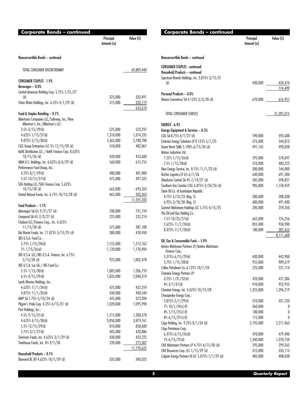| <b>Corporate Bonds - continued</b>                              |                         |                    |
|-----------------------------------------------------------------|-------------------------|--------------------|
|                                                                 | Principal<br>Amount (a) | Value (\$)         |
| Nonconvertible Bonds - continued                                |                         |                    |
| TOTAL CONSUMER DISCRETIONARY                                    |                         | 69,809,440         |
| <b>CONSUMER STAPLES - 1.9%</b>                                  |                         |                    |
| Beverages - 0.0%                                                |                         |                    |
| Central American Bottling Corp. 5.75% 1/31/27                   |                         |                    |
| (d)                                                             | 325,000                 | 333,491            |
| Triton Water Holdings, Inc. 6.25% 4/1/29 (d)                    | 315,000                 | 320,119<br>653,610 |
| Food & Staples Retailing - 0.7%                                 |                         |                    |
| Albertsons Companies LLC/Safeway, Inc./New                      |                         |                    |
| Albertson's, Inc./Albertson's LLC:                              |                         |                    |
| $3.5\%$ 3/15/29(d)                                              | 525,000                 | 523,937            |
| 4.625% 1/15/27(d)                                               | 1,310,000               | 1,374,235          |
| 4.875% 2/15/30(d)                                               | 5,365,000               | 5,780,788          |
| C&S Group Enterprises LLC 5% 12/15/28 (d)                       | 510,000                 | 482,067            |
| KeHE Distributors LLC / KeHE Finance Corp. 8.625%               |                         |                    |
| $10/15/26$ (d)                                                  | 420,000                 | 453,600            |
| NBM U.S. Holdings, Inc. 6.625% 8/6/29 (d)                       | 560,000                 | 615,755            |
| Performance Food Group, Inc.:                                   |                         |                    |
| $4.25\%$ 8/1/29(d)                                              | 400,000                 | 401,000            |
| 5.5% 10/15/27(d)                                                | 475,000                 | 497,325            |
| SEG Holding LLC/SEG Finance Corp. 5.625%<br>$10/15/28$ (d)      | 665,000                 | 693,263            |
| United Natural Foods, Inc. 6.75% 10/15/28 (d)                   | 465,000                 | 503,363            |
|                                                                 |                         | 11,325,333         |
| Food Products - 1.1%                                            |                         |                    |
| Adecoagro SA 6% 9/21/27 (d)                                     | 700,000                 | 731,194            |
| Camposol SA 6% 2/3/27 (d)                                       | 225,000                 | 232,214            |
| Chobani LLC/Finance Corp., Inc. 4.625%                          |                         |                    |
| $11/15/28$ (d)                                                  | 375,000                 | 387,188            |
| Del Monte Foods, Inc. 11.875% 5/15/25 (d)                       | 380,000                 | 428,450            |
| JBS U.S.A. Food Co.:                                            |                         |                    |
| 5.75% 1/15/28(d)                                                | 1,155,000               | 1,212,762          |
| 7% 1/15/26(d)                                                   | 1,120,000               | 1,170,904          |
| JBS U.S.A. LLC/JBS U.S.A. Finance, Inc. 6.75%                   |                         |                    |
| $2/15/28$ (d)                                                   | 925,000                 | 1,002,478          |
| JBS U.S.A. Lux SA / JBS Food Co.:                               |                         |                    |
| 5.5% 1/15/30(d)                                                 | 1,085,000               | 1,206,759          |
| $6.5\%$ 4/15/29(d)                                              | 1,835,000               | 2,048,319          |
| Lamb Weston Holdings, Inc.:                                     |                         |                    |
| 4.625% 11/1/24(d)                                               | 425,000                 | 432,259            |
| 4.875% $11/1/26$ (d)                                            | 430,000                 | 440,544            |
| MHP SA 7.75% 5/10/24 (d)                                        | 345,000                 | 373,204            |
| Pilgrim's Pride Corp. 4.25% 4/15/31 (d)<br>Post Holdings, Inc.: | 1,020,000               | 1,095,990          |
| $4.5\%$ 9/15/31(d)                                              | 1,215,000               | 1,200,578          |
| 4.625% 4/15/30(d)                                               | 3,850,000               | 3,879,761          |
| 5.5% 12/15/29(d)                                                | 810,000                 | 858,600            |
| $5.75\%$ 3/1/27(d)                                              | 405,000                 | 420,886            |
| Simmons Foods, Inc. 4.625% 3/1/29 (d)                           | 430,000                 | 433,225            |
| TreeHouse Foods, Inc. 4% 9/1/28                                 | 220,000                 | 215,307            |
|                                                                 |                         | 17,770,622         |
| Household Products - 0.1%                                       |                         |                    |
| Diamond BC BV 4.625% 10/1/29 (d)                                | 335,000                 | 340,025            |
|                                                                 |                         |                    |

| <b>Corporate Bonds - continued</b>                                                  | Principal<br>Amount (a) | Value (\$)           |
|-------------------------------------------------------------------------------------|-------------------------|----------------------|
| Nonconvertible Bonds - continued                                                    |                         |                      |
| <b>CONSUMER STAPLES - continued</b>                                                 |                         |                      |
| Household Products - continued                                                      |                         |                      |
| Spectrum Brands Holdings, Inc. 3.875% 3/15/31                                       |                         |                      |
| (d)                                                                                 | 430,000                 | 434,474              |
| Personal Products - 0.0%                                                            |                         | 774,499              |
| Natura Cosmeticos SA 4.125% 5/3/28 (d)                                              | 670,000                 | 676,951              |
|                                                                                     |                         |                      |
| TOTAL CONSUMER STAPLES                                                              |                         | <u>31,201,015</u>    |
| ENERGY - 6.4%                                                                       |                         |                      |
| Energy Equipment & Services - 0.5%                                                  |                         |                      |
| CGG SA 8.75% 4/1/27 (d)                                                             | 590,000                 | 593,688              |
| Exterran Energy Solutions LP 8.125% 5/1/25                                          | 575,000                 | 544,813              |
| Guara Norte SARL 5.198% 6/15/34 (d)                                                 | 491,145                 | 490,838              |
| Nabors Industries Ltd.:                                                             |                         |                      |
| 7.25% 1/15/26(d)                                                                    | 595,000                 | 578,697              |
| $7.5\%$ 1/15/28(d)                                                                  | 510,000                 | 483,225              |
| Nine Energy Service, Inc. 8.75% 11/1/23 (d)<br>NuStar Logistics LP 6% 6/1/26        | 300,000<br>640,000      | 144,000<br>691,200   |
| Oleoducto Central SA 4% 7/14/27 (d)                                                 | 585,000                 | 598,821              |
| Southern Gas Corridor CJSC 6.875% 3/24/26 (d)                                       | 985,000                 | 1,158,459            |
| State Oil Co. of Azerbaijan Republic:                                               |                         |                      |
| 4.75% 3/13/23 (Reg. S)                                                              | 200,000                 | 208,308              |
| 6.95% 3/18/30 (Reg. S)                                                              | 400,000                 | 491,400              |
| Summit Midstream Holdings LLC 5.75% 4/15/25                                         | 285,000                 | 259,350              |
| The Oil and Gas Holding Co.:                                                        |                         |                      |
| 7.5% 10/25/27(d)                                                                    | 665,000                 | 726,256              |
| 7.625% 11/7/24(d)                                                                   | 855,000                 | 934,900              |
| 8.375% 11/7/28(d)                                                                   | 180,000                 | 207,653<br>8,111,608 |
| Oil, Gas & Consumable Fuels - 5.9%<br>Antero Midstream Partners LP/Antero Midstream |                         |                      |
| Finance Corp.:                                                                      |                         |                      |
| 5.375% 6/15/29(d)                                                                   | 430,000                 | 442,900              |
| 5.75% 1/15/28(d)                                                                    | 955,000                 | 989,619              |
| Callon Petroleum Co. 6.125% 10/1/24                                                 | 225,000                 | 221,114              |
| Cheniere Energy Partners LP:                                                        |                         |                      |
| 3.25% 1/31/32(d)<br>$4\%$ 3/1/31(d)                                                 | 420,000<br>910,000      | 421,386<br>952,952   |
| Cheniere Energy, Inc. 4.625% 10/15/28                                               | 1,325,000               | 1,396,219            |
| Chesapeake Energy Corp.:                                                            |                         |                      |
| 5.875% 2/1/29(d)                                                                    | 310,000                 | 331,220              |
| 7% 10/1/24(c)(f)                                                                    | 360,000                 | 0                    |
| $8\%$ 1/15/25(c)(f)                                                                 | 180,000                 | 0                    |
| 8% 6/15/27(c)(f)                                                                    | 115,000                 | 0                    |
| Citgo Holding, Inc. 9.25% 8/1/24 (d)                                                | 2,195,000               | 2,211,463            |
| Citgo Petroleum Corp.:                                                              |                         |                      |
| $6.375\%$ 6/15/26(d)                                                                | 470,000                 | 479,400              |
| 7% 6/15/25(d)                                                                       | 1,340,000               | 1,370,150            |
| CNX Midstream Partners LP 4.75% 4/15/30 (d)                                         | 295,000                 | 299,565              |
| CNX Resources Corp. 6% 1/15/29 (d)                                                  | 315,000                 | 333,113              |
| Colgate Energy Partners III LLC 5.875% 7/1/29 (d)                                   | 405,000                 | 408,038              |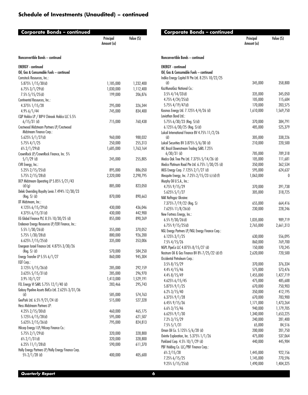| <b>Corporate Bonds - continued</b>                  | Principal<br>Amount (a) | Value (S) |                                                  |
|-----------------------------------------------------|-------------------------|-----------|--------------------------------------------------|
| Nonconvertible Bonds - continued                    |                         |           | Nonconvertible Bonds - continued                 |
| <b>ENERGY</b> - continued                           |                         |           | <b>ENERGY</b> - continued                        |
| Oil, Gas & Consumable Fuels - continued             |                         |           | Oil, Gas & Consumable Fuels - continued          |
| Comstock Resources, Inc.:                           |                         |           | Indika Energy Capital IV Pte Ltd. 8.25% 10/22/25 |
| 5.875% 1/15/30(d)                                   | 1,185,000               | 1,232,400 | (d)                                              |
| $6.75\%$ 3/1/29(d)                                  | 1,030,000               | 1,112,400 | KazMunaiGaz National Co.:                        |
| $7.5\%$ 5/15/25(d)                                  | 199,000                 | 206,876   | $3.5\%$ 4/14/33(d)                               |
| Continental Resources, Inc.:                        |                         |           | $4.75\%$ $4/24/25$ (d)                           |
| 4.375% 1/15/28                                      | 295,000                 | 326,344   | 5.75% $4/19/47$ (d)                              |
| $4.9\%$ 6/1/44                                      | 745,000                 | 834,400   | Kosmos Energy Ltd. 7.125% 4/4/26 (d)             |
| CQP Holdco LP / BIP-V Chinook Holdco LLC 5.5%       |                         |           | Leviathan Bond Ltd.:                             |
| $6/15/31$ (d)                                       | 715,000                 | 760,438   | $5.75\%$ $6/30/23$ (Reg. S)(d)                   |
| Crestwood Midstream Partners LP/Crestwood           |                         |           | $6.125\%$ $6/30/25$ (Reg. S)(d)                  |
| Midstream Finance Corp.:                            |                         |           | Lukoil International Finance BV 4.75% 11/2/26    |
| 5.625% 5/1/27(d)                                    | 960,000                 | 988,032   | (d)                                              |
| 5.75% 4/1/25                                        | 250.000                 | 255.313   | Lukoil Securities BV 3.875% 5/6/30 (d)           |
| $6\%$ 2/1/29(d)                                     | 1,685,000               | 1,763,164 | MC Brazil Downstream Trading SARL 7.25%          |
| CrownRock LP/CrownRock Finance, Inc. 5%             |                         |           | $6/30/31$ (d)                                    |
| $5/1/29$ (d)                                        | 245,000                 | 255,805   | Medco Oak Tree Pte Ltd. 7.375% 5/14/26 (d)       |
| CVR Energy, Inc.:                                   |                         |           | Medco Platinum Road Pte Ltd. 6.75% 1/30/25 (d)   |
| $5.25\%$ 2/15/25(d)                                 | 895,000                 | 886,050   | MEG Energy Corp. 7.125% 2/1/27 (d)               |
| 5.75% 2/15/28(d)                                    | 2,320,000               | 2,298,795 | Mesquite Energy, Inc. 7.25% 2/15/23 (c) (d) (f)  |
| DCP Midstream Operating LP 5.85% 5/21/43<br>(d)(g)  | 885,000                 | 823,050   | Murphy Oil U.S.A., Inc.:                         |
| Delek Overriding Royalty Levia 7.494% 12/30/23      |                         |           | 4.75% 9/15/29                                    |
| $(Reg. S)$ $(d)$                                    | 870,000                 | 890,663   | 5.625% 5/1/27                                    |
| DT Midstream, Inc.:                                 |                         |           | NAK Naftogaz Ukraine:                            |
| 4.125% 6/15/29(d)                                   | 430,000                 | 436,046   | 7.375% 7/19/22 (Reg. S)                          |
| 4.375% 6/15/31(d)                                   | 430,000                 | 442,900   | 7.625% 11/8/26(d)<br>New Fortress Energy, Inc.:  |
| EG Global Finance PLC 8.5% 10/30/25 (d)             | 855,000                 | 890,269   |                                                  |
| Endeavor Energy Resources LP/EER Finance, Inc.:     |                         |           | $6.5\%$ 9/30/26(d)<br>$6.75\%$ 9/15/25(d)        |
| 5.5% $1/30/26$ (d)                                  | 355,000                 | 370,052   | NGL Energy Partners LP/NGL Energy Finance Corp.: |
| 5.75% 1/30/28(d)                                    | 880,000                 | 926,200   | 6.125% 3/1/25                                    |
| $6.625\%$ $7/15/25$ (d)                             | 335,000                 | 353,006   | 7.5% 4/15/26                                     |
| Energean Israel Finance Ltd. 4.875% 3/30/26         |                         |           | NGPL PipeCo LLC 4.875% 8/15/27 (d)               |
| $(Reg. S)$ $(d)$                                    | 570,000                 | 584,250   | Nostrum Oil & Gas Finance BV 8% 7/25/22 (d) (f)  |
| Energy Transfer LP 5.5% 6/1/27                      | 860,000                 | 945,304   | Occidental Petroleum Corp.:                      |
| EQT Corp.:                                          |                         |           | $3.5\%$ 8/15/29                                  |
| 3.125% 5/15/26(d)                                   | 285,000                 | 292,159   | 4.4% 4/15/46                                     |
| $3.625\% 5/15/31$ (d)                               | 285,000                 | 296,970   | 4.4% 8/15/49                                     |
| $3.9\%$ 10/1/27                                     | 1,413,000               | 1,529,191 | 4.625% 6/15/45                                   |
| FEL Energy VI SARL 5.75% 12/1/40 (d)                | 283,466                 | 295,743   | 5.875% 9/1/25                                    |
| Galaxy Pipeline Assets BidCo Ltd. 2.625% 3/31/36    |                         |           | $6.2\%3/15/40$                                   |
| (d)                                                 | 585,000                 | 574,763   | 6.375% 9/1/28                                    |
| GeoPark Ltd. 6.5% 9/21/24 (d)                       | 515,000                 | 527,328   | 6.45% 9/15/36                                    |
| Hess Midstream Partners LP:                         |                         |           | $6.6\%3/15/46$                                   |
| $4.25\%$ 2/15/30(d)                                 | 460,000                 | 465,175   | $6.625\%$ $9/1/30$                               |
| 5.125% 6/15/28(d)                                   | 595,000                 | 621,507   | 7.2% 3/15/29                                     |
| 5.625% 2/15/26(d)                                   | 795,000                 | 824,813   | $7.5\%5/1/31$                                    |
| Hilcorp Energy I LP/Hilcorp Finance Co.:            |                         |           | Oman Oil Co. 5.125% 5/6/28 (d)                   |
| 5.75% $2/1/29$ (d)                                  | 320,000                 | 328,800   | Ovintiv Exploration, Inc. 5.375% 1/1/26          |
| $6\%$ 2/1/31(d)                                     | 320,000                 | 328,800   | Parkland Corp. 4.5% 10/1/29 (d)                  |
| $6.25\%$ 11/1/28(d)                                 | 590,000                 | 611,370   | PBF Holding Co. LLC/PBF Finance Corp.:           |
| Holly Energy Partners LP/Holly Energy Finance Corp. |                         |           | $6\%$ 2/15/28                                    |
| $5\%$ 2/1/28 (d)                                    | 400,000                 | 405,600   | 7.25% 6/15/25                                    |

|                                                  | Amount (a) |           |
|--------------------------------------------------|------------|-----------|
| Nonconvertible Bonds - continued                 |            |           |
| <b>ENERGY</b> - continued                        |            |           |
| Oil, Gas & Consumable Fuels - continued          |            |           |
| Indika Energy Capital IV Pte Ltd. 8.25% 10/22/25 |            |           |
| (d)                                              | 345,000    | 358,800   |
| KazMunaiGaz National Co.:                        |            |           |
| $3.5\%$ 4/14/33(d)                               | 335,000    | 345,050   |
| 4.75% 4/24/25(d)                                 | 105,000    | 115,684   |
| 5.75% 4/19/47(d)                                 | 170,000    | 203,575   |
| Kosmos Energy Ltd. 7.125% 4/4/26 (d)             | 1,610,000  | 1,569,750 |
| Leviathan Bond Ltd.:                             |            |           |
| $5.75\%$ $6/30/23$ (Reg. S)(d)                   | 370,000    | 384,791   |
| 6.125% 6/30/25 (Reg. S) (d)                      | 485,000    | 525,379   |
| Lukoil International Finance BV 4.75% 11/2/26    |            |           |
| (d)                                              | 305,000    | 338,226   |
| Lukoil Securities BV 3.875% 5/6/30 (d)           | 210,000    | 220,500   |
| MC Brazil Downstream Trading SARL 7.25%          |            |           |
| $6/30/31$ (d)                                    | 785,000    | 789,318   |
| Medco Oak Tree Pte Ltd. 7.375% 5/14/26 (d)       | 105,000    | 111,681   |
| Medco Platinum Road Pte Ltd. 6.75% 1/30/25 (d)   | 350,000    | 362,534   |
| MEG Energy Corp. 7.125% 2/1/27 (d)               | 595,000    | 624,637   |
| Mesquite Energy, Inc. 7.25% 2/15/23 (c) (d) (f)  | 1,063,000  | 0         |
| Murphy Oil U.S.A., Inc.:                         |            |           |
| 4.75% 9/15/29                                    | 370,000    | 391,738   |
| 5.625% 5/1/27                                    | 305,000    | 318,725   |
| NAK Naftogaz Ukraine:                            |            |           |
| 7.375% 7/19/22 (Reg. S)<br>7.625% 11/8/26(d)     | 655,000    | 664,416   |
| New Fortress Energy, Inc.:                       | 230,000    | 228,246   |
| $6.5\%$ 9/30/26(d)                               | 1,035,000  | 989,719   |
| $6.75\%$ $9/15/25$ (d)                           | 2,765,000  | 2,661,313 |
| NGL Energy Partners LP/NGL Energy Finance Corp.: |            |           |
| $6.125\%3/1/25$                                  | 630,000    | 556,095   |
| 7.5% 4/15/26                                     | 860,000    | 769,700   |
| NGPL PipeCo LLC 4.875% 8/15/27 (d)               | 150,000    | 170,245   |
| Nostrum Oil & Gas Finance BV 8% 7/25/22 (d) (f)  | 2,620,000  | 720,500   |
| Occidental Petroleum Corp.:                      |            |           |
| $3.5\%$ 8/15/29                                  | 370,000    | 376,334   |
| $4.4\%$ 4/15/46                                  | 575,000    | 573,476   |
| 4.4% 8/15/49                                     | 1,455,000  | 1,427,719 |
| 4.625% 6/15/45                                   | 475,000    | 485,688   |
| 5.875% 9/1/25                                    | 670,000    | 750,903   |
| $6.2\%3/15/40$                                   | 350,000    | 412,195   |
| 6.375% 9/1/28                                    | 670,000    | 783,900   |
| 6.45% 9/15/36                                    | 1,171,000  | 1,473,264 |
| $6.6\%3/15/46$                                   | 940,000    | 1,179,705 |
| 6.625% 9/1/30                                    | 1,340,000  | 1,653,225 |
| 7.2% 3/15/29                                     | 240,000    | 281,400   |
| $7.5\%5/1/31$                                    | 65,000     | 84,516    |
| Oman Oil Co. 5.125% 5/6/28 (d)                   | 200,000    | 201,750   |
| Ovintiv Exploration, Inc. 5.375% 1/1/26          | 475,000    | 537,064   |
| Parkland Corp. 4.5% 10/1/29 (d)                  | 440,000    | 445,984   |
| PBF Holding Co. LLC/PBF Finance Corp.:           |            |           |
| 6% 2/15/28                                       | 1,445,000  | 922,156   |
| 7.25% 6/15/25                                    | 1,145,000  | 770,596   |
| $9.25\% 5/15/25$ (d)                             | 1,490,000  | 1,404,325 |
|                                                  |            |           |

Principal

Value (\$)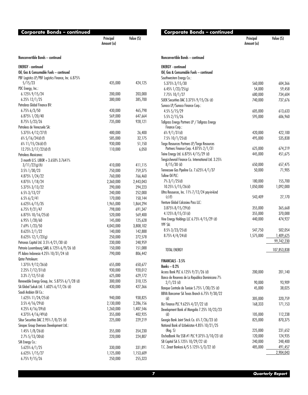| Value (S)<br>Principal<br>Amount (a)<br>Nonconvertible Bonds - continued<br><b>ENERGY</b> - continued<br>Oil, Gas & Consumable Fuels - continued<br>PBF Logistics LP/PBF Logistics Finance, Inc. 6.875%<br>5/15/23<br>435,000<br>424,125<br>PDC Energy, Inc.:<br>$6.125\%$ 9/15/24<br>200,000<br>203,000<br>6.25% 12/1/25<br>380,000<br>385,700<br>Petrobras Global Finance BV:<br>6.75% 6/3/50<br>465,798<br>430,000<br>6.875% 1/20/40<br>569,000<br>647,664<br>8.75% 5/23/26<br>928,121<br>735,000<br>Petroleos de Venezuela SA:<br>5.375% 4/12/27(f)<br>26,400<br>480,000<br>$6\%$ 5/16/24(d)(f)<br>585,000<br>32,175<br>$6\%$ 11/15/26(d)(f)<br>51,150<br>930,000<br>$12.75\%$ 2/17/22(d)(f)<br>6,050<br>110,000<br>Petroleos Mexicanos:<br>3 month U.S. LIBOR + 3.650% 3.7641%<br>411,115<br>$3/11/22$ (g)(h)<br>410,000<br>750,000<br>759,375<br>$3.5\%$ $1/30/23$<br>766,460<br>4.875% 1/24/22<br>760,000<br>2,443,043<br>$4.875\%$ $1/18/24$<br>2,360,000<br>5.375% 3/13/22<br>290,000<br>294,223<br>$6.5\%3/13/27$<br>252,000<br>240,000<br>150,144<br>$6.5\%$ 6/2/41<br>170,000<br>$6.625\%$ 6/15/35<br>1,965,000<br>1,864,294<br>798,000<br>691,347<br>$6.75\%$ 9/21/47<br>6.875% 10/16/25(d)<br>520,000<br>569,400<br>6.95% 1/28/60<br>145,000<br>125,628<br>3,808,102<br>7.69% 1/23/50<br>4,043,000<br>142,888<br>8.625% 2/1/22<br>140,000<br>8.625% 12/1/23(g)<br>272,578<br>250,000<br>Petronas Capital Ltd. 3.5% 4/21/30 (d)<br>230,000<br>248,959<br>Petrorio Luxembourg SARL 6.125% 6/9/26 (d)<br>150,000<br>151,088<br>PT Adaro Indonesia 4.25% 10/31/24 (d)<br>790,000<br>806,442<br>Qatar Petroleum:<br>1.375% 9/12/26(d)<br>650,677<br>655,000<br>$2.25\%$ $7/12/31$ (d)<br>930,000<br>920,012<br>$3.3\%$ $7/12/51$ (d)<br>625,000<br>629,172<br>Renewable Energy Group, Inc. 5.875% 6/1/28 (d)<br>310,125<br>300,000<br>SA Global Sukuk Ltd. 1.602% 6/17/26 (d)<br>430,000<br>427,366<br>Saudi Arabian Oil Co.:<br>1.625% 11/24/25(d)<br>940,000<br>938,825<br>$3.5\%$ 4/16/29(d)<br>2,130,000<br>2,286,156<br>$4.25\%$ 4/16/39(d)<br>1,260,000<br>1,407,546<br>355,000<br>402,925<br>$4.375\%$ 4/16/49(d)<br>Sibur Securities DAC 2.95% 7/8/25 (d)<br>225,000<br>229,219<br>Sinopec Group Overseas Development Ltd.:<br>$1.45\%$ $1/8/26$ (d)<br>355,000<br>354,230<br>$2.7\%$ 5/13/30(d)<br>220,000<br>224,807<br>SM Energy Co.:<br>5.625% 6/1/25<br>330,000<br>331,891<br>6.625% 1/15/27<br>1,125,000<br>1,153,609 | <b>Corporate Bonds – continued</b> |         |         |
|----------------------------------------------------------------------------------------------------------------------------------------------------------------------------------------------------------------------------------------------------------------------------------------------------------------------------------------------------------------------------------------------------------------------------------------------------------------------------------------------------------------------------------------------------------------------------------------------------------------------------------------------------------------------------------------------------------------------------------------------------------------------------------------------------------------------------------------------------------------------------------------------------------------------------------------------------------------------------------------------------------------------------------------------------------------------------------------------------------------------------------------------------------------------------------------------------------------------------------------------------------------------------------------------------------------------------------------------------------------------------------------------------------------------------------------------------------------------------------------------------------------------------------------------------------------------------------------------------------------------------------------------------------------------------------------------------------------------------------------------------------------------------------------------------------------------------------------------------------------------------------------------------------------------------------------------------------------------------------------------------------------------------------------------------------------------------------------------------------------------------------------------------------------------------------------------------------------------------------------------------------------------------------------------------------------------------------------------------------------------------------------------------------------------------------------------|------------------------------------|---------|---------|
|                                                                                                                                                                                                                                                                                                                                                                                                                                                                                                                                                                                                                                                                                                                                                                                                                                                                                                                                                                                                                                                                                                                                                                                                                                                                                                                                                                                                                                                                                                                                                                                                                                                                                                                                                                                                                                                                                                                                                                                                                                                                                                                                                                                                                                                                                                                                                                                                                                              |                                    |         |         |
|                                                                                                                                                                                                                                                                                                                                                                                                                                                                                                                                                                                                                                                                                                                                                                                                                                                                                                                                                                                                                                                                                                                                                                                                                                                                                                                                                                                                                                                                                                                                                                                                                                                                                                                                                                                                                                                                                                                                                                                                                                                                                                                                                                                                                                                                                                                                                                                                                                              |                                    |         |         |
|                                                                                                                                                                                                                                                                                                                                                                                                                                                                                                                                                                                                                                                                                                                                                                                                                                                                                                                                                                                                                                                                                                                                                                                                                                                                                                                                                                                                                                                                                                                                                                                                                                                                                                                                                                                                                                                                                                                                                                                                                                                                                                                                                                                                                                                                                                                                                                                                                                              |                                    |         |         |
|                                                                                                                                                                                                                                                                                                                                                                                                                                                                                                                                                                                                                                                                                                                                                                                                                                                                                                                                                                                                                                                                                                                                                                                                                                                                                                                                                                                                                                                                                                                                                                                                                                                                                                                                                                                                                                                                                                                                                                                                                                                                                                                                                                                                                                                                                                                                                                                                                                              |                                    |         |         |
|                                                                                                                                                                                                                                                                                                                                                                                                                                                                                                                                                                                                                                                                                                                                                                                                                                                                                                                                                                                                                                                                                                                                                                                                                                                                                                                                                                                                                                                                                                                                                                                                                                                                                                                                                                                                                                                                                                                                                                                                                                                                                                                                                                                                                                                                                                                                                                                                                                              |                                    |         |         |
|                                                                                                                                                                                                                                                                                                                                                                                                                                                                                                                                                                                                                                                                                                                                                                                                                                                                                                                                                                                                                                                                                                                                                                                                                                                                                                                                                                                                                                                                                                                                                                                                                                                                                                                                                                                                                                                                                                                                                                                                                                                                                                                                                                                                                                                                                                                                                                                                                                              |                                    |         |         |
|                                                                                                                                                                                                                                                                                                                                                                                                                                                                                                                                                                                                                                                                                                                                                                                                                                                                                                                                                                                                                                                                                                                                                                                                                                                                                                                                                                                                                                                                                                                                                                                                                                                                                                                                                                                                                                                                                                                                                                                                                                                                                                                                                                                                                                                                                                                                                                                                                                              |                                    |         |         |
|                                                                                                                                                                                                                                                                                                                                                                                                                                                                                                                                                                                                                                                                                                                                                                                                                                                                                                                                                                                                                                                                                                                                                                                                                                                                                                                                                                                                                                                                                                                                                                                                                                                                                                                                                                                                                                                                                                                                                                                                                                                                                                                                                                                                                                                                                                                                                                                                                                              |                                    |         |         |
|                                                                                                                                                                                                                                                                                                                                                                                                                                                                                                                                                                                                                                                                                                                                                                                                                                                                                                                                                                                                                                                                                                                                                                                                                                                                                                                                                                                                                                                                                                                                                                                                                                                                                                                                                                                                                                                                                                                                                                                                                                                                                                                                                                                                                                                                                                                                                                                                                                              |                                    |         |         |
|                                                                                                                                                                                                                                                                                                                                                                                                                                                                                                                                                                                                                                                                                                                                                                                                                                                                                                                                                                                                                                                                                                                                                                                                                                                                                                                                                                                                                                                                                                                                                                                                                                                                                                                                                                                                                                                                                                                                                                                                                                                                                                                                                                                                                                                                                                                                                                                                                                              |                                    |         |         |
|                                                                                                                                                                                                                                                                                                                                                                                                                                                                                                                                                                                                                                                                                                                                                                                                                                                                                                                                                                                                                                                                                                                                                                                                                                                                                                                                                                                                                                                                                                                                                                                                                                                                                                                                                                                                                                                                                                                                                                                                                                                                                                                                                                                                                                                                                                                                                                                                                                              |                                    |         |         |
|                                                                                                                                                                                                                                                                                                                                                                                                                                                                                                                                                                                                                                                                                                                                                                                                                                                                                                                                                                                                                                                                                                                                                                                                                                                                                                                                                                                                                                                                                                                                                                                                                                                                                                                                                                                                                                                                                                                                                                                                                                                                                                                                                                                                                                                                                                                                                                                                                                              |                                    |         |         |
|                                                                                                                                                                                                                                                                                                                                                                                                                                                                                                                                                                                                                                                                                                                                                                                                                                                                                                                                                                                                                                                                                                                                                                                                                                                                                                                                                                                                                                                                                                                                                                                                                                                                                                                                                                                                                                                                                                                                                                                                                                                                                                                                                                                                                                                                                                                                                                                                                                              |                                    |         |         |
|                                                                                                                                                                                                                                                                                                                                                                                                                                                                                                                                                                                                                                                                                                                                                                                                                                                                                                                                                                                                                                                                                                                                                                                                                                                                                                                                                                                                                                                                                                                                                                                                                                                                                                                                                                                                                                                                                                                                                                                                                                                                                                                                                                                                                                                                                                                                                                                                                                              |                                    |         |         |
|                                                                                                                                                                                                                                                                                                                                                                                                                                                                                                                                                                                                                                                                                                                                                                                                                                                                                                                                                                                                                                                                                                                                                                                                                                                                                                                                                                                                                                                                                                                                                                                                                                                                                                                                                                                                                                                                                                                                                                                                                                                                                                                                                                                                                                                                                                                                                                                                                                              |                                    |         |         |
|                                                                                                                                                                                                                                                                                                                                                                                                                                                                                                                                                                                                                                                                                                                                                                                                                                                                                                                                                                                                                                                                                                                                                                                                                                                                                                                                                                                                                                                                                                                                                                                                                                                                                                                                                                                                                                                                                                                                                                                                                                                                                                                                                                                                                                                                                                                                                                                                                                              |                                    |         |         |
|                                                                                                                                                                                                                                                                                                                                                                                                                                                                                                                                                                                                                                                                                                                                                                                                                                                                                                                                                                                                                                                                                                                                                                                                                                                                                                                                                                                                                                                                                                                                                                                                                                                                                                                                                                                                                                                                                                                                                                                                                                                                                                                                                                                                                                                                                                                                                                                                                                              |                                    |         |         |
|                                                                                                                                                                                                                                                                                                                                                                                                                                                                                                                                                                                                                                                                                                                                                                                                                                                                                                                                                                                                                                                                                                                                                                                                                                                                                                                                                                                                                                                                                                                                                                                                                                                                                                                                                                                                                                                                                                                                                                                                                                                                                                                                                                                                                                                                                                                                                                                                                                              |                                    |         |         |
|                                                                                                                                                                                                                                                                                                                                                                                                                                                                                                                                                                                                                                                                                                                                                                                                                                                                                                                                                                                                                                                                                                                                                                                                                                                                                                                                                                                                                                                                                                                                                                                                                                                                                                                                                                                                                                                                                                                                                                                                                                                                                                                                                                                                                                                                                                                                                                                                                                              |                                    |         |         |
|                                                                                                                                                                                                                                                                                                                                                                                                                                                                                                                                                                                                                                                                                                                                                                                                                                                                                                                                                                                                                                                                                                                                                                                                                                                                                                                                                                                                                                                                                                                                                                                                                                                                                                                                                                                                                                                                                                                                                                                                                                                                                                                                                                                                                                                                                                                                                                                                                                              |                                    |         |         |
|                                                                                                                                                                                                                                                                                                                                                                                                                                                                                                                                                                                                                                                                                                                                                                                                                                                                                                                                                                                                                                                                                                                                                                                                                                                                                                                                                                                                                                                                                                                                                                                                                                                                                                                                                                                                                                                                                                                                                                                                                                                                                                                                                                                                                                                                                                                                                                                                                                              |                                    |         |         |
|                                                                                                                                                                                                                                                                                                                                                                                                                                                                                                                                                                                                                                                                                                                                                                                                                                                                                                                                                                                                                                                                                                                                                                                                                                                                                                                                                                                                                                                                                                                                                                                                                                                                                                                                                                                                                                                                                                                                                                                                                                                                                                                                                                                                                                                                                                                                                                                                                                              |                                    |         |         |
|                                                                                                                                                                                                                                                                                                                                                                                                                                                                                                                                                                                                                                                                                                                                                                                                                                                                                                                                                                                                                                                                                                                                                                                                                                                                                                                                                                                                                                                                                                                                                                                                                                                                                                                                                                                                                                                                                                                                                                                                                                                                                                                                                                                                                                                                                                                                                                                                                                              |                                    |         |         |
|                                                                                                                                                                                                                                                                                                                                                                                                                                                                                                                                                                                                                                                                                                                                                                                                                                                                                                                                                                                                                                                                                                                                                                                                                                                                                                                                                                                                                                                                                                                                                                                                                                                                                                                                                                                                                                                                                                                                                                                                                                                                                                                                                                                                                                                                                                                                                                                                                                              |                                    |         |         |
|                                                                                                                                                                                                                                                                                                                                                                                                                                                                                                                                                                                                                                                                                                                                                                                                                                                                                                                                                                                                                                                                                                                                                                                                                                                                                                                                                                                                                                                                                                                                                                                                                                                                                                                                                                                                                                                                                                                                                                                                                                                                                                                                                                                                                                                                                                                                                                                                                                              |                                    |         |         |
|                                                                                                                                                                                                                                                                                                                                                                                                                                                                                                                                                                                                                                                                                                                                                                                                                                                                                                                                                                                                                                                                                                                                                                                                                                                                                                                                                                                                                                                                                                                                                                                                                                                                                                                                                                                                                                                                                                                                                                                                                                                                                                                                                                                                                                                                                                                                                                                                                                              |                                    |         |         |
|                                                                                                                                                                                                                                                                                                                                                                                                                                                                                                                                                                                                                                                                                                                                                                                                                                                                                                                                                                                                                                                                                                                                                                                                                                                                                                                                                                                                                                                                                                                                                                                                                                                                                                                                                                                                                                                                                                                                                                                                                                                                                                                                                                                                                                                                                                                                                                                                                                              |                                    |         |         |
|                                                                                                                                                                                                                                                                                                                                                                                                                                                                                                                                                                                                                                                                                                                                                                                                                                                                                                                                                                                                                                                                                                                                                                                                                                                                                                                                                                                                                                                                                                                                                                                                                                                                                                                                                                                                                                                                                                                                                                                                                                                                                                                                                                                                                                                                                                                                                                                                                                              |                                    |         |         |
|                                                                                                                                                                                                                                                                                                                                                                                                                                                                                                                                                                                                                                                                                                                                                                                                                                                                                                                                                                                                                                                                                                                                                                                                                                                                                                                                                                                                                                                                                                                                                                                                                                                                                                                                                                                                                                                                                                                                                                                                                                                                                                                                                                                                                                                                                                                                                                                                                                              |                                    |         |         |
|                                                                                                                                                                                                                                                                                                                                                                                                                                                                                                                                                                                                                                                                                                                                                                                                                                                                                                                                                                                                                                                                                                                                                                                                                                                                                                                                                                                                                                                                                                                                                                                                                                                                                                                                                                                                                                                                                                                                                                                                                                                                                                                                                                                                                                                                                                                                                                                                                                              |                                    |         |         |
|                                                                                                                                                                                                                                                                                                                                                                                                                                                                                                                                                                                                                                                                                                                                                                                                                                                                                                                                                                                                                                                                                                                                                                                                                                                                                                                                                                                                                                                                                                                                                                                                                                                                                                                                                                                                                                                                                                                                                                                                                                                                                                                                                                                                                                                                                                                                                                                                                                              |                                    |         |         |
|                                                                                                                                                                                                                                                                                                                                                                                                                                                                                                                                                                                                                                                                                                                                                                                                                                                                                                                                                                                                                                                                                                                                                                                                                                                                                                                                                                                                                                                                                                                                                                                                                                                                                                                                                                                                                                                                                                                                                                                                                                                                                                                                                                                                                                                                                                                                                                                                                                              |                                    |         |         |
|                                                                                                                                                                                                                                                                                                                                                                                                                                                                                                                                                                                                                                                                                                                                                                                                                                                                                                                                                                                                                                                                                                                                                                                                                                                                                                                                                                                                                                                                                                                                                                                                                                                                                                                                                                                                                                                                                                                                                                                                                                                                                                                                                                                                                                                                                                                                                                                                                                              |                                    |         |         |
|                                                                                                                                                                                                                                                                                                                                                                                                                                                                                                                                                                                                                                                                                                                                                                                                                                                                                                                                                                                                                                                                                                                                                                                                                                                                                                                                                                                                                                                                                                                                                                                                                                                                                                                                                                                                                                                                                                                                                                                                                                                                                                                                                                                                                                                                                                                                                                                                                                              |                                    |         |         |
|                                                                                                                                                                                                                                                                                                                                                                                                                                                                                                                                                                                                                                                                                                                                                                                                                                                                                                                                                                                                                                                                                                                                                                                                                                                                                                                                                                                                                                                                                                                                                                                                                                                                                                                                                                                                                                                                                                                                                                                                                                                                                                                                                                                                                                                                                                                                                                                                                                              |                                    |         |         |
|                                                                                                                                                                                                                                                                                                                                                                                                                                                                                                                                                                                                                                                                                                                                                                                                                                                                                                                                                                                                                                                                                                                                                                                                                                                                                                                                                                                                                                                                                                                                                                                                                                                                                                                                                                                                                                                                                                                                                                                                                                                                                                                                                                                                                                                                                                                                                                                                                                              |                                    |         |         |
|                                                                                                                                                                                                                                                                                                                                                                                                                                                                                                                                                                                                                                                                                                                                                                                                                                                                                                                                                                                                                                                                                                                                                                                                                                                                                                                                                                                                                                                                                                                                                                                                                                                                                                                                                                                                                                                                                                                                                                                                                                                                                                                                                                                                                                                                                                                                                                                                                                              |                                    |         |         |
|                                                                                                                                                                                                                                                                                                                                                                                                                                                                                                                                                                                                                                                                                                                                                                                                                                                                                                                                                                                                                                                                                                                                                                                                                                                                                                                                                                                                                                                                                                                                                                                                                                                                                                                                                                                                                                                                                                                                                                                                                                                                                                                                                                                                                                                                                                                                                                                                                                              |                                    |         |         |
|                                                                                                                                                                                                                                                                                                                                                                                                                                                                                                                                                                                                                                                                                                                                                                                                                                                                                                                                                                                                                                                                                                                                                                                                                                                                                                                                                                                                                                                                                                                                                                                                                                                                                                                                                                                                                                                                                                                                                                                                                                                                                                                                                                                                                                                                                                                                                                                                                                              |                                    |         |         |
|                                                                                                                                                                                                                                                                                                                                                                                                                                                                                                                                                                                                                                                                                                                                                                                                                                                                                                                                                                                                                                                                                                                                                                                                                                                                                                                                                                                                                                                                                                                                                                                                                                                                                                                                                                                                                                                                                                                                                                                                                                                                                                                                                                                                                                                                                                                                                                                                                                              |                                    |         |         |
|                                                                                                                                                                                                                                                                                                                                                                                                                                                                                                                                                                                                                                                                                                                                                                                                                                                                                                                                                                                                                                                                                                                                                                                                                                                                                                                                                                                                                                                                                                                                                                                                                                                                                                                                                                                                                                                                                                                                                                                                                                                                                                                                                                                                                                                                                                                                                                                                                                              |                                    |         |         |
|                                                                                                                                                                                                                                                                                                                                                                                                                                                                                                                                                                                                                                                                                                                                                                                                                                                                                                                                                                                                                                                                                                                                                                                                                                                                                                                                                                                                                                                                                                                                                                                                                                                                                                                                                                                                                                                                                                                                                                                                                                                                                                                                                                                                                                                                                                                                                                                                                                              |                                    |         |         |
|                                                                                                                                                                                                                                                                                                                                                                                                                                                                                                                                                                                                                                                                                                                                                                                                                                                                                                                                                                                                                                                                                                                                                                                                                                                                                                                                                                                                                                                                                                                                                                                                                                                                                                                                                                                                                                                                                                                                                                                                                                                                                                                                                                                                                                                                                                                                                                                                                                              |                                    |         |         |
|                                                                                                                                                                                                                                                                                                                                                                                                                                                                                                                                                                                                                                                                                                                                                                                                                                                                                                                                                                                                                                                                                                                                                                                                                                                                                                                                                                                                                                                                                                                                                                                                                                                                                                                                                                                                                                                                                                                                                                                                                                                                                                                                                                                                                                                                                                                                                                                                                                              |                                    |         |         |
|                                                                                                                                                                                                                                                                                                                                                                                                                                                                                                                                                                                                                                                                                                                                                                                                                                                                                                                                                                                                                                                                                                                                                                                                                                                                                                                                                                                                                                                                                                                                                                                                                                                                                                                                                                                                                                                                                                                                                                                                                                                                                                                                                                                                                                                                                                                                                                                                                                              |                                    |         |         |
|                                                                                                                                                                                                                                                                                                                                                                                                                                                                                                                                                                                                                                                                                                                                                                                                                                                                                                                                                                                                                                                                                                                                                                                                                                                                                                                                                                                                                                                                                                                                                                                                                                                                                                                                                                                                                                                                                                                                                                                                                                                                                                                                                                                                                                                                                                                                                                                                                                              |                                    |         |         |
|                                                                                                                                                                                                                                                                                                                                                                                                                                                                                                                                                                                                                                                                                                                                                                                                                                                                                                                                                                                                                                                                                                                                                                                                                                                                                                                                                                                                                                                                                                                                                                                                                                                                                                                                                                                                                                                                                                                                                                                                                                                                                                                                                                                                                                                                                                                                                                                                                                              |                                    |         |         |
|                                                                                                                                                                                                                                                                                                                                                                                                                                                                                                                                                                                                                                                                                                                                                                                                                                                                                                                                                                                                                                                                                                                                                                                                                                                                                                                                                                                                                                                                                                                                                                                                                                                                                                                                                                                                                                                                                                                                                                                                                                                                                                                                                                                                                                                                                                                                                                                                                                              |                                    |         |         |
|                                                                                                                                                                                                                                                                                                                                                                                                                                                                                                                                                                                                                                                                                                                                                                                                                                                                                                                                                                                                                                                                                                                                                                                                                                                                                                                                                                                                                                                                                                                                                                                                                                                                                                                                                                                                                                                                                                                                                                                                                                                                                                                                                                                                                                                                                                                                                                                                                                              |                                    |         |         |
|                                                                                                                                                                                                                                                                                                                                                                                                                                                                                                                                                                                                                                                                                                                                                                                                                                                                                                                                                                                                                                                                                                                                                                                                                                                                                                                                                                                                                                                                                                                                                                                                                                                                                                                                                                                                                                                                                                                                                                                                                                                                                                                                                                                                                                                                                                                                                                                                                                              |                                    |         |         |
|                                                                                                                                                                                                                                                                                                                                                                                                                                                                                                                                                                                                                                                                                                                                                                                                                                                                                                                                                                                                                                                                                                                                                                                                                                                                                                                                                                                                                                                                                                                                                                                                                                                                                                                                                                                                                                                                                                                                                                                                                                                                                                                                                                                                                                                                                                                                                                                                                                              |                                    |         |         |
|                                                                                                                                                                                                                                                                                                                                                                                                                                                                                                                                                                                                                                                                                                                                                                                                                                                                                                                                                                                                                                                                                                                                                                                                                                                                                                                                                                                                                                                                                                                                                                                                                                                                                                                                                                                                                                                                                                                                                                                                                                                                                                                                                                                                                                                                                                                                                                                                                                              |                                    |         |         |
|                                                                                                                                                                                                                                                                                                                                                                                                                                                                                                                                                                                                                                                                                                                                                                                                                                                                                                                                                                                                                                                                                                                                                                                                                                                                                                                                                                                                                                                                                                                                                                                                                                                                                                                                                                                                                                                                                                                                                                                                                                                                                                                                                                                                                                                                                                                                                                                                                                              |                                    |         |         |
|                                                                                                                                                                                                                                                                                                                                                                                                                                                                                                                                                                                                                                                                                                                                                                                                                                                                                                                                                                                                                                                                                                                                                                                                                                                                                                                                                                                                                                                                                                                                                                                                                                                                                                                                                                                                                                                                                                                                                                                                                                                                                                                                                                                                                                                                                                                                                                                                                                              | 6.75% 9/15/26                      | 250,000 | 255,323 |

| <b>Corporate Bonds - continued</b>                                                        |                         |             |
|-------------------------------------------------------------------------------------------|-------------------------|-------------|
|                                                                                           | Principal<br>Amount (a) | Value (\$)  |
| Nonconvertible Bonds - continued                                                          |                         |             |
| <b>ENERGY</b> - continued                                                                 |                         |             |
| Oil, Gas & Consumable Fuels - continued                                                   |                         |             |
| Southwestern Energy Co.:                                                                  |                         |             |
| 5.375% 3/15/30                                                                            | 560,000                 | 604,366     |
| $6.45\%$ 1/23/25(g)                                                                       | 54,000                  | 59,458      |
| 7.75% 10/1/27                                                                             | 680,000                 | 734,604     |
| SUEK Securities DAC 3.375% 9/15/26 (d)                                                    | 740,000                 | 737,676     |
| Sunoco LP/Sunoco Finance Corp.:                                                           |                         |             |
| 4.5% 5/15/29                                                                              | 605,000                 | 613,633     |
| 5.5% 2/15/26                                                                              | 595,000                 | 606,960     |
| Tallgrass Energy Partners LP / Tallgrass Energy<br>Finance Corp.:                         |                         |             |
| $6\%$ 9/1/31(d)                                                                           | 420,000                 | 422,100     |
| 7.5% 10/1/25(d)                                                                           | 495,000                 | 535,838     |
| Targa Resources Partners LP/Targa Resources<br>Partners Finance Corp. 4.875% 2/1/31       | 625,000                 | 674,219     |
| Teine Energy Ltd. 6.875% 4/15/29 (d)                                                      | 445,000                 | 451,675     |
| Tengizchevroil Finance Co. International Ltd. 3.25%                                       |                         |             |
| $8/15/30$ (d)                                                                             | 650,000                 | 657,475     |
| Tennessee Gas Pipeline Co. 7.625% 4/1/37<br>Tullow Oil PLC:                               | 50,000                  | 71,905      |
| $7\%$ 3/1/25(d)                                                                           | 180,000                 | 155,700     |
| 10.25% 5/15/26(d)                                                                         | 1,050,000               | 1,092,000   |
| Ultra Resources, Inc. 11% 7/12/24 pay-in-kind                                             |                         |             |
| $(c)$ (f)<br>Venture Global Calcasieu Pass LLC:                                           | 543,409                 | 27,170      |
| $3.875\%$ $8/15/29$ (d)                                                                   | 355,000                 | 365,668     |
| 4.125% 8/15/31(d)                                                                         | 355,000                 | 370,088     |
| Vine Energy Holdings LLC 6.75% 4/15/29 (d)<br>YPF SA:                                     | 440,000                 | 474,927     |
| $8.5\%$ 3/23/25(d)                                                                        | 547,750                 | 502,054     |
| 8.75% 4/4/24(d)                                                                           | 1,575,000               | 1,409,625   |
|                                                                                           |                         | 99,742,230  |
| TOTAL ENERGY                                                                              |                         | 107,853,838 |
| FINANCIALS - 3.5%                                                                         |                         |             |
| <b>Banks-0.2%</b>                                                                         |                         |             |
| Access Bank PLC 6.125% 9/21/26 (d)<br>Banco de Reservas de La Republica Dominicana 7%     | 200,000                 | 201,140     |
| $2/1/23$ (d)                                                                              | 90,000                  | 93,909      |
| Banque Centrale de Tunisie 5.75% 1/30/25 (d)                                              | 45,000                  | 38,025      |
| BBVA Bancomer SA Texas Branch 6.75% 9/30/22                                               |                         |             |
| (d)                                                                                       | 305,000                 | 320,759     |
| Biz Finance PLC 9.625% 4/27/22 (d)                                                        | 168,333                 | 171,153     |
| Development Bank of Mongolia 7.25% 10/23/23                                               |                         |             |
| (d)                                                                                       | 105,000                 | 112,238     |
| Georgia Bank Joint Stock Co. 6% 7/26/23 (d)<br>National Bank of Uzbekistan 4.85% 10/21/25 | 825,000                 | 870,375     |
| (Reg. S)                                                                                  | 225,000                 | 231,652     |
| Oschadbank Via SSB #1 PLC 9.375% 3/10/23 (d)                                              | 120,000                 | 124,935     |
| SB Capital SA 5.125% 10/29/22 (d)                                                         | 240,000                 | 248,400     |
| T.C. Ziraat Bankasi A/S 5.125% 5/3/22 (d)                                                 | 485,000                 | 491,457     |
|                                                                                           |                         | 2,904,043   |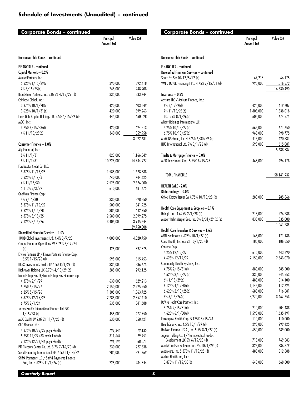| Corporate Bonds – continued<br>Principal<br>Value (\$)<br>Amount (a)<br>Nonconvertible Bonds - continued<br><b>FINANCIALS - continued</b><br>Capital Markets - 0.2%<br>AssuredPartners, Inc.:<br>5.625% 1/15/29(d)<br>390,000<br>392,418<br>7% 8/15/25(d)<br>245,000<br>248,908<br>Broadstreet Partners, Inc. 5.875% 4/15/29 (d)<br>335,000<br>333,744<br>Coinbase Global, Inc.:<br>3.375% 10/1/28(d)<br>403,549<br>420,000<br>$3.625\%$ 10/1/31(d)<br>420,000<br>399,263<br>Lions Gate Capital Holdings LLC 5.5% 4/15/29 (d)<br>445,000<br>460,028<br>MSCI, Inc.:<br>$3.25\%$ $8/15/33$ (d)<br>420,000<br>424,813<br>$4\%$ 11/15/29(d)<br>340,000<br>359,958<br>3,022,681<br>Consumer Finance - 1.8%<br>Ally Financial, Inc.:<br>$8\%$ 11/1/31<br>823,000<br>1,166,349<br>8% 11/1/31<br>10,223,000<br>14,744,927<br>Ford Motor Credit Co. LLC: |
|-------------------------------------------------------------------------------------------------------------------------------------------------------------------------------------------------------------------------------------------------------------------------------------------------------------------------------------------------------------------------------------------------------------------------------------------------------------------------------------------------------------------------------------------------------------------------------------------------------------------------------------------------------------------------------------------------------------------------------------------------------------------------------------------------------------------------------------------------|
|                                                                                                                                                                                                                                                                                                                                                                                                                                                                                                                                                                                                                                                                                                                                                                                                                                                 |
|                                                                                                                                                                                                                                                                                                                                                                                                                                                                                                                                                                                                                                                                                                                                                                                                                                                 |
|                                                                                                                                                                                                                                                                                                                                                                                                                                                                                                                                                                                                                                                                                                                                                                                                                                                 |
|                                                                                                                                                                                                                                                                                                                                                                                                                                                                                                                                                                                                                                                                                                                                                                                                                                                 |
|                                                                                                                                                                                                                                                                                                                                                                                                                                                                                                                                                                                                                                                                                                                                                                                                                                                 |
|                                                                                                                                                                                                                                                                                                                                                                                                                                                                                                                                                                                                                                                                                                                                                                                                                                                 |
|                                                                                                                                                                                                                                                                                                                                                                                                                                                                                                                                                                                                                                                                                                                                                                                                                                                 |
|                                                                                                                                                                                                                                                                                                                                                                                                                                                                                                                                                                                                                                                                                                                                                                                                                                                 |
|                                                                                                                                                                                                                                                                                                                                                                                                                                                                                                                                                                                                                                                                                                                                                                                                                                                 |
|                                                                                                                                                                                                                                                                                                                                                                                                                                                                                                                                                                                                                                                                                                                                                                                                                                                 |
|                                                                                                                                                                                                                                                                                                                                                                                                                                                                                                                                                                                                                                                                                                                                                                                                                                                 |
|                                                                                                                                                                                                                                                                                                                                                                                                                                                                                                                                                                                                                                                                                                                                                                                                                                                 |
|                                                                                                                                                                                                                                                                                                                                                                                                                                                                                                                                                                                                                                                                                                                                                                                                                                                 |
|                                                                                                                                                                                                                                                                                                                                                                                                                                                                                                                                                                                                                                                                                                                                                                                                                                                 |
|                                                                                                                                                                                                                                                                                                                                                                                                                                                                                                                                                                                                                                                                                                                                                                                                                                                 |
|                                                                                                                                                                                                                                                                                                                                                                                                                                                                                                                                                                                                                                                                                                                                                                                                                                                 |
|                                                                                                                                                                                                                                                                                                                                                                                                                                                                                                                                                                                                                                                                                                                                                                                                                                                 |
|                                                                                                                                                                                                                                                                                                                                                                                                                                                                                                                                                                                                                                                                                                                                                                                                                                                 |
|                                                                                                                                                                                                                                                                                                                                                                                                                                                                                                                                                                                                                                                                                                                                                                                                                                                 |
|                                                                                                                                                                                                                                                                                                                                                                                                                                                                                                                                                                                                                                                                                                                                                                                                                                                 |
|                                                                                                                                                                                                                                                                                                                                                                                                                                                                                                                                                                                                                                                                                                                                                                                                                                                 |
| 3.375% 11/13/25<br>1,585,000<br>1,628,588<br>3.625% 6/17/31<br>740,000<br>744,625                                                                                                                                                                                                                                                                                                                                                                                                                                                                                                                                                                                                                                                                                                                                                               |
| 2,525,000<br>2,626,000                                                                                                                                                                                                                                                                                                                                                                                                                                                                                                                                                                                                                                                                                                                                                                                                                          |
| 4% 11/13/30<br>610,000                                                                                                                                                                                                                                                                                                                                                                                                                                                                                                                                                                                                                                                                                                                                                                                                                          |
| 5.113% 5/3/29<br>681,675<br>OneMain Finance Corp.:                                                                                                                                                                                                                                                                                                                                                                                                                                                                                                                                                                                                                                                                                                                                                                                              |
| 4% 9/15/30<br>330,000<br>328,350                                                                                                                                                                                                                                                                                                                                                                                                                                                                                                                                                                                                                                                                                                                                                                                                                |
| 5.375% 11/15/29<br>500,000<br>541,925                                                                                                                                                                                                                                                                                                                                                                                                                                                                                                                                                                                                                                                                                                                                                                                                           |
| 6.625% 1/15/28<br>385,000<br>442,750                                                                                                                                                                                                                                                                                                                                                                                                                                                                                                                                                                                                                                                                                                                                                                                                            |
| 6.875% 3/15/25<br>2,580,000<br>2,899,275                                                                                                                                                                                                                                                                                                                                                                                                                                                                                                                                                                                                                                                                                                                                                                                                        |
| 7.125% 3/15/26<br>3,405,000<br>3,945,544                                                                                                                                                                                                                                                                                                                                                                                                                                                                                                                                                                                                                                                                                                                                                                                                        |
| 29,750,008                                                                                                                                                                                                                                                                                                                                                                                                                                                                                                                                                                                                                                                                                                                                                                                                                                      |
| Diversified Financial Services - 1.0%                                                                                                                                                                                                                                                                                                                                                                                                                                                                                                                                                                                                                                                                                                                                                                                                           |
| 1MDB Global Investments Ltd. 4.4% 3/9/23<br>4,000,000<br>4,020,750                                                                                                                                                                                                                                                                                                                                                                                                                                                                                                                                                                                                                                                                                                                                                                              |
| Cimpor Financial Operations BV 5.75% 7/17/24                                                                                                                                                                                                                                                                                                                                                                                                                                                                                                                                                                                                                                                                                                                                                                                                    |
| (d)<br>425,000<br>397,375                                                                                                                                                                                                                                                                                                                                                                                                                                                                                                                                                                                                                                                                                                                                                                                                                       |
| Enviva Partners LP / Enviva Partners Finance Corp.                                                                                                                                                                                                                                                                                                                                                                                                                                                                                                                                                                                                                                                                                                                                                                                              |
| $6.5\%$ 1/15/26 (d)<br>595,000<br>615,453                                                                                                                                                                                                                                                                                                                                                                                                                                                                                                                                                                                                                                                                                                                                                                                                       |
| HCRX Investments Holdco LP 4.5% 8/1/29 (d)<br>336,675<br>335,000                                                                                                                                                                                                                                                                                                                                                                                                                                                                                                                                                                                                                                                                                                                                                                                |
| Hightower Holding LLC 6.75% 4/15/29 (d)<br>285,000<br>292,125                                                                                                                                                                                                                                                                                                                                                                                                                                                                                                                                                                                                                                                                                                                                                                                   |
| Icahn Enterprises LP/Icahn Enterprises Finance Corp.:                                                                                                                                                                                                                                                                                                                                                                                                                                                                                                                                                                                                                                                                                                                                                                                           |
| 4.375% 2/1/29<br>630,000<br>629,213                                                                                                                                                                                                                                                                                                                                                                                                                                                                                                                                                                                                                                                                                                                                                                                                             |
| 5.25% 5/15/27<br>2,150,000<br>2,225,250                                                                                                                                                                                                                                                                                                                                                                                                                                                                                                                                                                                                                                                                                                                                                                                                         |
| 6.25% 5/15/26<br>1,305,000<br>1,363,725                                                                                                                                                                                                                                                                                                                                                                                                                                                                                                                                                                                                                                                                                                                                                                                                         |
| 6.375% 12/15/25<br>2,785,000<br>2,857,410                                                                                                                                                                                                                                                                                                                                                                                                                                                                                                                                                                                                                                                                                                                                                                                                       |
| 6.75% 2/1/24<br>535,000<br>541,688                                                                                                                                                                                                                                                                                                                                                                                                                                                                                                                                                                                                                                                                                                                                                                                                              |
| James Hardie International Finance Ltd. 5%                                                                                                                                                                                                                                                                                                                                                                                                                                                                                                                                                                                                                                                                                                                                                                                                      |
| $1/15/28$ (d)<br>455,000<br>477,750                                                                                                                                                                                                                                                                                                                                                                                                                                                                                                                                                                                                                                                                                                                                                                                                             |
| MDC GMTN BV 2.875% 11/7/29 (d)<br>530,000<br>558,421                                                                                                                                                                                                                                                                                                                                                                                                                                                                                                                                                                                                                                                                                                                                                                                            |
| OEC Finance Ltd.:                                                                                                                                                                                                                                                                                                                                                                                                                                                                                                                                                                                                                                                                                                                                                                                                                               |
| 4.375% 10/25/29 pay-in-kind(d)<br>799,344<br>79,135                                                                                                                                                                                                                                                                                                                                                                                                                                                                                                                                                                                                                                                                                                                                                                                             |
| 29,451<br>5.25% 12/27/33 pay-in-kind(d)<br>311,647                                                                                                                                                                                                                                                                                                                                                                                                                                                                                                                                                                                                                                                                                                                                                                                              |
|                                                                                                                                                                                                                                                                                                                                                                                                                                                                                                                                                                                                                                                                                                                                                                                                                                                 |
| 7.125% 12/26/46 pay-in-kind(d)<br>796,194                                                                                                                                                                                                                                                                                                                                                                                                                                                                                                                                                                                                                                                                                                                                                                                                       |
| PTT Treasury Center Co. Ltd. 3.7% 7/16/70 (d)<br>230,000                                                                                                                                                                                                                                                                                                                                                                                                                                                                                                                                                                                                                                                                                                                                                                                        |
| 68,871<br>227,838<br>Sasol Financing International PLC 4.5% 11/14/22<br>285,000<br>291,769                                                                                                                                                                                                                                                                                                                                                                                                                                                                                                                                                                                                                                                                                                                                                      |
| Shift4 Payments LLC / Shift4 Payments Finance<br>Sub, Inc. 4.625% 11/1/26 (d)<br>225,000<br>234,844                                                                                                                                                                                                                                                                                                                                                                                                                                                                                                                                                                                                                                                                                                                                             |

| Corporate Bonds – continued                                                    |                         |              |
|--------------------------------------------------------------------------------|-------------------------|--------------|
|                                                                                | Principal<br>Amount (a) | Value (\$)   |
| Nonconvertible Bonds - continued                                               |                         |              |
| <b>FINANCIALS - continued</b>                                                  |                         |              |
| Diversified Financial Services - continued                                     |                         |              |
| Sparc Em Spc 0% 12/5/22 (d)                                                    | 67,213                  | 66,175       |
| VMED 02 UK Financing I PLC 4.75% 7/15/31 (d)                                   | 995,000                 | 1,016,572    |
|                                                                                |                         | 16,330,490   |
| $Insurance - 0.3%$                                                             |                         |              |
| Acrisure LLC / Acrisure Finance, Inc.:                                         |                         |              |
| $6\%$ 8/1/29(d)                                                                | 425,000                 | 419,607      |
| 7% 11/15/25(d)                                                                 | 1,805,000               | 1,838,018    |
| $10.125\%$ 8/1/26(d)                                                           | 605,000                 | 674,575      |
| Alliant Holdings Intermediate LLC:                                             |                         |              |
| 4.25% 10/15/27(d)                                                              | 665,000                 | 671,650      |
| 6.75% 10/15/27(d)                                                              | 965,000                 | 998,775      |
| AmWINS Group, Inc. 4.875% 6/30/29 (d)                                          | 415,000                 | 420,831      |
| HUB International Ltd. 7% 5/1/26 (d)                                           | 595,000                 | 615,081      |
|                                                                                |                         | 5,638,537    |
| Thrifts & Mortgage Finance - 0.0%<br>MGIC Investment Corp. 5.25% 8/15/28       | 465,000                 | 496,178      |
|                                                                                |                         |              |
| TOTAL FINANCIALS                                                               |                         | 58, 141, 937 |
| <b>HEALTH CARE - 2.0%</b>                                                      |                         |              |
| Biotechnology - 0.0%                                                           |                         |              |
| Grifols Escrow Issuer SA 4.75% 10/15/28 (d)                                    | 280,000                 | 285,866      |
| Health Care Equipment & Supplies - 0.1%                                        |                         |              |
| Hologic, Inc. 4.625% 2/1/28 (d)                                                | 215,000                 | 226,288      |
| Mozart Debt Merger Sub, Inc. 0% 3/31/29 (d) (e)                                | 835,000                 | 835,000      |
|                                                                                |                         | 1,061,288    |
| Health Care Providers & Services - 1.6%                                        |                         |              |
| AMN Healthcare 4.625% 10/1/27 (d)                                              | 165,000                 | 171,188      |
| Cano Health, Inc. 6.25% 10/1/28 (d)                                            | 185,000                 | 186,850      |
| Centene Corp.:                                                                 |                         |              |
| 4.25% 12/15/27                                                                 | 615,000                 | 643,690      |
| 4.625% 12/15/29                                                                | 2,150,000               | 2,343,070    |
| Community Health Systems, Inc.:                                                |                         |              |
| 4.75% 2/15/31(d)                                                               | 880,000                 | 885,500      |
| 5.625% 3/15/27(d)                                                              | 330,000                 | 345,553      |
| 6% 1/15/29(d)                                                                  | 485,000                 | 514,100      |
| 6.125% 4/1/30(d)                                                               | 1,145,000               | 1,112,625    |
| $6.625\%$ 2/15/25(d)                                                           | 685,000                 | 716,681      |
| $8\%$ 3/15/26(d)                                                               | 3,270,000               | 3,467,753    |
| DaVita HealthCare Partners, Inc.:                                              |                         |              |
| $3.75\%$ 2/15/31(d)                                                            | 210,000                 | 204,488      |
| 4.625% 6/1/30(d)                                                               | 1,590,000               | 1,635,491    |
| Encompass Health Corp. 5.125% 3/15/23                                          | 110,000                 | 110,000      |
| HealthEquity, Inc. 4.5% 10/1/29 (d)                                            | 295,000                 | 299,425      |
| Horizon Pharma U.S.A., Inc. 5.5% 8/1/27 (d)                                    | 650,000                 | 689,000      |
| Jaguar Holding Co. II/Pharmaceutical Product<br>Development LLC 5% 6/15/28 (d) | 715,000                 | 769,583      |
| ModivCare Escrow Issuer, Inc. 5% 10/1/29 (d)                                   | 325,000                 | 336,879      |
| Modivcare, Inc. 5.875% 11/15/25 (d)                                            | 485,000                 | 512,888      |
| Molina Healthcare, Inc.:                                                       |                         |              |
| 3.875% 11/15/30(d)                                                             | 640,000                 | 668,800      |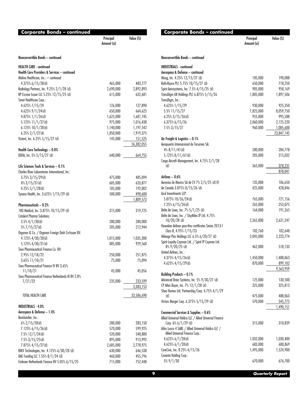| Corporate Bonds – continued                         |                         |            |
|-----------------------------------------------------|-------------------------|------------|
|                                                     | Principal<br>Amount (a) | Value (\$) |
| Nonconvertible Bonds - continued                    |                         |            |
| <b>HEALTH CARE - continued</b>                      |                         |            |
| Health Care Providers & Services - continued        |                         |            |
| Molina Healthcare, Inc.: - continued                |                         |            |
| 4.375% 6/15/28(d)                                   | 465,000                 | 483,777    |
| Radiology Partners, Inc. 9.25% 2/1/28 (d)           | 2,690,000               | 2,892,893  |
| RP Escrow Issuer LLC 5.25% 12/15/25 (d)             | 615,000                 | 632,681    |
| Tenet Healthcare Corp.:                             |                         |            |
| 4.625% 7/15/24                                      | 126,000                 | 127,890    |
| $4.625\%$ $9/1/24$ (d)                              | 650,000                 | 664,625    |
| 4.875% $1/1/26$ (d)                                 | 1,625,000               | 1,681,745  |
| 5.125% 11/1/27(d)                                   | 975,000                 | 1,016,438  |
| $6.125\%$ 10/1/28(d)                                | 1,140,000               | 1,197,542  |
| $6.25\%$ 2/1/27(d)                                  | 1,850,000               | 1,919,375  |
| Vizient, Inc. 6.25% 5/15/27 (d)                     | 145,000                 | 151,525    |
|                                                     |                         | 26,382,055 |
| Health Care Technology - 0.0%                       |                         |            |
| IQVIA, Inc. 5% 5/15/27 (d)                          | 640,000                 | 664,755    |
| Life Sciences Tools & Services - 0.1%               |                         |            |
| Charles River Laboratories International, Inc.:     |                         |            |
| $3.75\%3/15/29$ (d)                                 | 475,000                 | 485,094    |
| $4\%$ 3/15/31(d)                                    | 605,000                 | 633,877    |
| 4.25% $5/1/28$ (d)                                  | 185,000                 | 192,002    |
| Syneos Health, Inc. 3.625% 1/15/29 (d)              | 500,000                 | 498,600    |
|                                                     |                         | 1,809,573  |
| Pharmaceuticals - 0.2%                              |                         |            |
| 180 Medical, Inc. 3.875% 10/15/29 (d)               | 315,000                 | 319,725    |
| <b>Catalent Pharma Solutions:</b>                   |                         |            |
| $3.5\%$ 4/1/30(d)                                   | 280,000                 | 280,000    |
| $5\%$ 7/15/27(d)                                    | 205,000                 | 212,944    |
| Organon & Co. / Organon Foreign Debt Co-Issuer BV:  |                         |            |
| 4.125% 4/30/28(d)                                   | 1,015,000               | 1,035,300  |
| 5.125% 4/30/31(d)                                   | 885,000                 | 929,560    |
| Teva Pharmaceutical Finance Co. BV:                 |                         |            |
| 2.95% 12/18/22                                      | 250,000                 | 251,875    |
| 3.65% 11/10/21                                      | 75,000                  | 75,094     |
| Teva Pharmaceutical Finance IV BV 3.65%             |                         |            |
| 11/10/21                                            | 45,000                  | 45,056     |
| Teva Pharmaceutical Finance Netherlands III BV 2.8% |                         |            |
| 7/21/23                                             | 235,000                 | 233,599    |
|                                                     |                         | 3,383,153  |
| TOTAL HEALTH CARE                                   |                         | 33,586,690 |
|                                                     |                         |            |
| <b>INDUSTRIALS - 4.0%</b>                           |                         |            |
| Aerospace & Defense - 1.4%                          |                         |            |
| Bombardier, Inc.:                                   |                         |            |
| $6\%$ 2/15/28(d)                                    | 280,000                 | 283,150    |
| 7.125% 6/15/26(d)                                   | 570,000                 | 599,925    |
| 7.5% 12/1/24(d)                                     | 520,000                 | 540,800    |
| $7.5\%$ 3/15/25(d)                                  | 895,000                 | 913,992    |
| 7.875% 4/15/27(d)                                   | 2,685,000               | 2,778,975  |
| BWX Technologies, Inc. 4.125% 6/30/28 (d)           | 630,000                 | 646,538    |
| DAE Funding LLC 1.55% 8/1/24 (d)                    | 460,000                 | 455,796    |
| Embraer Netherlands Finance BV 5.05% 6/15/25        | 715,000                 | 752,448    |

| <b>Corporate Bonds – continued</b>                                                 |                         |                        |
|------------------------------------------------------------------------------------|-------------------------|------------------------|
|                                                                                    | Principal<br>Amount (a) | Value (\$)             |
| Nonconvertible Bonds - continued                                                   |                         |                        |
| <b>INDUSTRIALS - continued</b>                                                     |                         |                        |
| Aerospace & Defense - continued                                                    |                         |                        |
| Moog, Inc. 4.25% 12/15/27 (d)                                                      | 185,000                 | 190,088                |
| Rolls-Royce PLC 5.75% 10/15/27 (d)                                                 | 650,000                 | 718,250                |
| Spirit Aerosystems, Inc. 7.5% 4/15/25 (d)                                          | 905,000                 | 958,169                |
| TransDigm UK Holdings PLC 6.875% 5/15/26                                           | 1,805,000               | 1,897,506              |
| TransDigm, Inc.:                                                                   |                         |                        |
| 4.625% 1/15/29                                                                     | 930,000                 | 925,350                |
| 5.5% 11/15/27                                                                      | 7,825,000               | 8,059,750              |
| 6.25% 3/15/26(d)                                                                   | 955,000                 | 995,588                |
| 6.375% 6/15/26<br>7.5% 3/15/27                                                     | 2,060,000<br>960,000    | 2,125,220<br>1,005,600 |
|                                                                                    |                         | 23,847,145             |
| Air Freight & Logistics - 0.1%                                                     |                         |                        |
| Aeropuerto Internacional de Tocumen SA:                                            |                         |                        |
| $4\%$ 8/11/41(d)                                                                   | 280,000                 | 284,778                |
| 5.125% 8/11/61(d)                                                                  | 205,000                 | 215,032                |
| Cargo Aircraft Management, Inc. 4.75% 2/1/28                                       |                         |                        |
| (d)                                                                                | 365,000                 | 378,231                |
|                                                                                    |                         | 878,041                |
| Airlines — 0.6%                                                                    |                         |                        |
| Aerovias de Mexico SA de CV 7% 2/5/25 (d) (f)                                      | 135,000                 | 106,650                |
| Air Canada 3.875% 8/15/26 (d)<br>Azul Investments LLP:                             | 425,000                 | 428,846                |
| 5.875% 10/26/24(d)                                                                 | 765,000                 | 721,156                |
| 7.25% 6/15/26(d)                                                                   | 265,000                 | 253,075                |
| Delta Air Lines, Inc. 7% 5/1/25 (d)                                                | 164,000                 | 191,265                |
| Delta Air Lines, Inc. / SkyMiles IP Ltd. 4.75%                                     |                         |                        |
| $10/20/28$ (d)                                                                     | 2,365,000               | 2,631,247              |
| Hawaiian Airlines pass-thru certificates Series 2013-1                             |                         |                        |
| Class B, 4.95% 7/15/23                                                             | 102,760                 | 102,648                |
| Mileage Plus Holdings LLC 6.5% 6/20/27 (d)                                         | 2,045,000               | 2,223,774              |
| Spirit Loyalty Cayman Ltd. / Spirit IP Cayman Ltd.                                 |                         |                        |
| $8\%$ 9/20/25 (d)<br>United Airlines, Inc.:                                        | 462,000                 | 518,133                |
| $4.375\%$ 4/15/26(d)                                                               | 1,450,000               | 1,488,063              |
| 4.625% $4/15/29$ (d)                                                               | 870,000                 | 899,102                |
|                                                                                    |                         | 9,563,959              |
| <b>Building Products - 0.1%</b>                                                    |                         |                        |
| Advanced Drain Systems, Inc. 5% 9/30/27 (d)                                        | 125,000                 | 130,500                |
| CP Atlas Buyer, Inc. 7% 12/1/28 (d)                                                | 325,000                 | 325,813                |
| Shea Homes Ltd. Partnership/Corp. 4.75% 4/1/29                                     |                         |                        |
| (d)                                                                                | 475,000                 | 488,063                |
| Victors Merger Corp. 6.375% 5/15/29 (d)                                            | 570,000                 | 545,775                |
|                                                                                    |                         | 1,490,151              |
| Commercial Services & Supplies - 0.6%                                              |                         |                        |
| Allied Universal Holdco LLC / Allied Universal Finance<br>Corp. $6\%$ $6/1/29$ (d) | 315,000                 | 310,839                |
| Atlas Luxco 4 SARL / Allied Universal Holdco LLC /                                 |                         |                        |
| Allied Universal Finance Corp.:                                                    |                         |                        |
| $4.625\%$ 6/1/28(d)                                                                | 1,032,000               | 1,030,400              |
| $4.625\%$ 6/1/28(d)                                                                | 683,000                 | 680,869                |
| CoreCivic, Inc. 8.25% 4/15/26                                                      | 1,495,000               | 1,524,900              |
| Covanta Holding Corp.:                                                             |                         |                        |
| $5\%$ 9/1/30                                                                       | 670,000                 | 676,700                |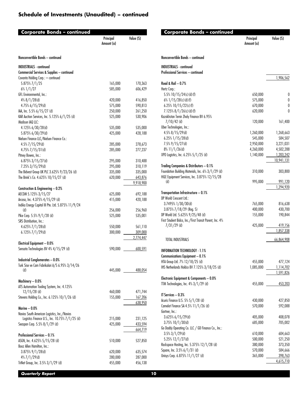| Corporate Bonds – continued                                                           |                         |           |
|---------------------------------------------------------------------------------------|-------------------------|-----------|
|                                                                                       | Principal<br>Amount (a) | Value (S) |
| Nonconvertible Bonds - continued                                                      |                         |           |
| <b>INDUSTRIALS - continued</b>                                                        |                         |           |
| Commercial Services & Supplies - continued                                            |                         |           |
| Covanta Holding Corp.: - continued                                                    |                         |           |
| 5.875% 7/1/25                                                                         | 165,000                 | 170,363   |
| $6\%$ 1/1/27                                                                          | 585,000                 | 606,429   |
| GFL Environmental, Inc.:                                                              |                         |           |
| $4\%$ 8/1/28(d)                                                                       | 420,000                 | 416,850   |
| 4.75% 6/15/29(d)                                                                      | 575,000                 | 590,813   |
| IAA, Inc. 5.5% 6/15/27 (d)                                                            | 250,000                 | 261,250   |
| KAR Auction Services, Inc. 5.125% 6/1/25 (d)                                          | 525,000                 | 530,906   |
| Madison IAQ LLC:                                                                      |                         |           |
| 4.125% 6/30/28(d)                                                                     | 535,000                 | 535,000   |
| 5.875% 6/30/29(d)                                                                     | 425,000                 | 428,188   |
| Nielsen Finance LLC/Nielsen Finance Co.:                                              |                         |           |
| 4.5%7/15/29(d)                                                                        | 285,000                 | 278,673   |
| 4.75% 7/15/31(d)                                                                      | 285,000                 | 277,237   |
| Pitney Bowes, Inc.:                                                                   |                         |           |
| 6.875% 3/15/27(d)                                                                     | 295,000                 | 310,488   |
| 7.25% 3/15/29(d)                                                                      | 295,000                 | 310,119   |
| The Bidvest Group UK PLC 3.625% 9/23/26 (d)                                           | 335,000                 | 335,000   |
| The Brink's Co. 4.625% 10/15/27 (d)                                                   | 620,000                 | 643,876   |
|                                                                                       |                         | 9,918,900 |
| Construction & Engineering - 0.2%                                                     |                         |           |
| AECOM 5.125% 3/15/27                                                                  | 625,000                 | 692,188   |
| Arcosa, Inc. 4.375% 4/15/29 (d)<br>Indika Energy Capital III Pte. Ltd. 5.875% 11/9/24 | 415,000                 | 420,188   |
| (d)                                                                                   | 256,000                 | 256,960   |
| Pike Corp. 5.5% 9/1/28 (d)                                                            | 525,000                 | 535,001   |
| SRS Distribution, Inc.:                                                               |                         |           |
| 4.625% 7/1/28(d)                                                                      | 550,000                 | 561,110   |
| 6.125% 7/1/29(d)                                                                      | 300,000                 | 309,000   |
|                                                                                       |                         | 2,774,447 |
| Electrical Equipment - 0.0%                                                           |                         |           |
| Sensata Technologies BV 4% 4/15/29 (d)                                                | 590,000                 | 600,591   |
|                                                                                       |                         |           |
| <b>Industrial Conglomerates - 0.0%</b>                                                |                         |           |
| Turk Sise ve Cam Fabrikalari A/S 6.95% 3/14/26                                        |                         |           |
| (d)                                                                                   | 445,000                 | 488,054   |
|                                                                                       |                         |           |
| Machinery - 0.0%                                                                      |                         |           |
| ATS Automation Tooling System, Inc. 4.125%                                            |                         |           |
| $12/15/28$ (d)                                                                        | 460,000                 | 471,744   |
| Stevens Holding Co., Inc. 6.125% 10/1/26 (d)                                          | 155,000                 | 167,206   |
|                                                                                       |                         | 638,950   |
| Marine $-0.0\%$                                                                       |                         |           |
| Navios South American Logistics, Inc./Navios                                          |                         |           |
| Logistics Finance U.S., Inc. 10.75% 7/1/25 (d)                                        | 215,000                 | 231,125   |
| Seaspan Corp. 5.5% 8/1/29 (d)                                                         | 425,000                 | 433,594   |
|                                                                                       |                         | 664,719   |
| <b>Professional Services - 0.1%</b>                                                   |                         |           |
| ASGN, Inc. 4.625% 5/15/28 (d)                                                         | 510,000                 | 527,850   |
| Booz Allen Hamilton, Inc.:<br>3.875% 9/1/28(d)                                        | 620,000                 | 635,574   |
| $4\%$ 7/1/29(d)                                                                       | 280,000                 | 287,000   |
| TriNet Group, Inc. 3.5% 3/1/29 (d)                                                    | 455,000                 | 456,138   |
|                                                                                       |                         |           |

| Corporate Bonds – continued                                                                  | Principal<br>Amount (a) | Value (S)          |
|----------------------------------------------------------------------------------------------|-------------------------|--------------------|
| Nonconvertible Bonds - continued                                                             |                         |                    |
| <b>INDUSTRIALS - continued</b>                                                               |                         |                    |
| <b>Professional Services - continued</b>                                                     |                         |                    |
| Road & Rail $-0.7\%$                                                                         |                         | 1,906,562          |
| Hertz Corp.:                                                                                 |                         |                    |
| 5.5% $10/15/24$ (c) (d) (f)                                                                  | 650,000                 | 0                  |
| $6\%$ 1/15/28(c)(d)(f)                                                                       | 575,000                 | 0                  |
| 6.25% $10/15/22(c)$ (f)                                                                      | 670,000                 | 0                  |
| $7.125\%$ $8/1/26$ (c) (d) (f)                                                               | 620,000                 | 0                  |
| Kazakhstan Temir Zholy Finance BV 6.95%<br>$7/10/42$ (d)                                     | 120,000                 | 161,400            |
| Uber Technologies, Inc.:                                                                     |                         |                    |
| $4.5\%$ 8/15/29(d)                                                                           | 1,260,000               | 1,268,663          |
| $6.25\%$ 1/15/28(d)                                                                          | 545,000                 | 584,507            |
| $7.5\%$ 9/15/27(d)                                                                           | 2,950,000               | 3,221,031          |
| $8\%$ 11/1/26(d)                                                                             | 4,260,000               | 4,502,288          |
| XPO Logistics, Inc. 6.25% 5/1/25 (d)                                                         | 1,140,000               | 1,203,242          |
|                                                                                              |                         | 10,941,131         |
| Trading Companies & Distributors - 0.1%<br>Foundation Building Materials, Inc. 6% 3/1/29 (d) | 310,000                 | 303,800            |
| H&E Equipment Services, Inc. 3.875% 12/15/28                                                 |                         |                    |
| (d)                                                                                          | 995,000                 | 991,120            |
|                                                                                              |                         | 1,294,920          |
| Transportation Infrastructure - 0.1%                                                         |                         |                    |
| DP World Crescent Ltd.:                                                                      |                         |                    |
| $3.7495\%$ $1/30/30$ (d)                                                                     | 765,000                 | 816,638            |
| $3.875\%$ $7/18/29$ (Reg. S)<br>DP World Ltd. 5.625% 9/25/48 (d)                             | 400,000<br>155,000      | 430,700<br>190,844 |
| First Student Bidco, Inc./First Transit Parent, Inc. 4%                                      |                         |                    |
| $7/31/29$ (d)                                                                                | 425,000                 | 419,156            |
|                                                                                              |                         | <u>1,857,338</u>   |
| TOTAL INDUSTRIALS                                                                            |                         | 66,864,908         |
| <b>INFORMATION TECHNOLOGY - 1.1%</b>                                                         |                         |                    |
| Communications Equipment - 0.1%                                                              |                         |                    |
| HTA Group Ltd. 7% 12/18/25 (d)                                                               | 455,000                 | 477,124            |
| IHS Netherlands Holdco BV 7.125% 3/18/25 (d)                                                 | 1,085,000               | 1,114,702          |
|                                                                                              |                         | 1,591,826          |
| Electronic Equipment & Components - 0.0%                                                     |                         |                    |
| TTM Technologies, Inc. 4% 3/1/29 (d)                                                         | 455,000                 | 453,203            |
| IT Services - 0.3%                                                                           |                         |                    |
| Acuris Finance U.S. 5% 5/1/28 (d)                                                            | 430,000                 | 427,850            |
| Camelot Finance SA 4.5% 11/1/26 (d)                                                          | 570,000                 | 592,088            |
| Gartner, Inc.:                                                                               |                         |                    |
| $3.625\%$ 6/15/29(d)                                                                         | 405,000                 | 408,078            |
| $3.75\%$ 10/1/30(d)                                                                          | 685,000                 | 705,002            |
| Go Daddy Operating Co. LLC / GD Finance Co., Inc.:<br>$3.5\%$ 3/1/29(d)                      |                         | 604,663            |
| 5.25% 12/1/27(d)                                                                             | 610,000<br>500,000      | 521,250            |
| Rackspace Hosting, Inc. 5.375% 12/1/28 (d)                                                   | 380,000                 | 373,350            |
| Square, Inc. 3.5% 6/1/31 (d)                                                                 | 570,000                 | 584,666            |
| Unisys Corp. 6.875% 11/1/27 (d)                                                              | 365,000                 | 398,763            |
|                                                                                              |                         | 4,615,710          |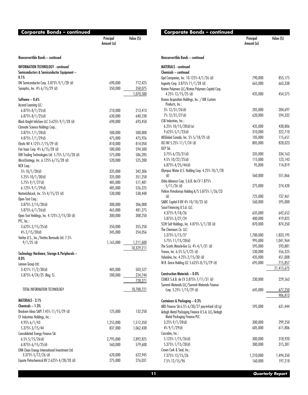| <b>Corporate Bonds – continued</b>                                                        |                         |                    |
|-------------------------------------------------------------------------------------------|-------------------------|--------------------|
|                                                                                           | Principal<br>Amount (a) | Value (S)          |
| Nonconvertible Bonds - continued                                                          |                         |                    |
| INFORMATION TECHNOLOGY - continued<br>Semiconductors & Semiconductor Equipment -          |                         |                    |
| 0.1%                                                                                      |                         |                    |
| ON Semiconductor Corp. 3.875% 9/1/28 (d)<br>Synaptics, Inc. 4% 6/15/29 (d)                | 690,000<br>350,000      | 712,425<br>358,075 |
|                                                                                           |                         | 1,070,500          |
| Software - 0.6%                                                                           |                         |                    |
| Ascend Learning LLC:                                                                      |                         |                    |
| 6.875% 8/1/25(d)                                                                          | 210,000                 | 213,413            |
| 6.875% 8/1/25(d)                                                                          | 630,000                 | 640,238            |
| Black Knight InfoServ LLC 3.625% 9/1/28 (d)                                               | 690,000                 | 693,450            |
| Clarivate Science Holdings Corp.:                                                         |                         |                    |
| 3.875% 7/1/28(d)                                                                          | 500,000                 | 500,000            |
| 4.875% 7/1/29(d)                                                                          | 475,000                 | 475,926            |
| Elastic NV 4.125% 7/15/29 (d)                                                             | 810,000                 | 814,050            |
| Fair Isaac Corp. 4% 6/15/28 (d)                                                           | 580,000                 | 594,500            |
| ION Trading Technologies Ltd. 5.75% 5/15/28 (d)<br>MicroStrategy, Inc. 6.125% 6/15/28 (d) | 575,000                 | 586,285            |
| NCR Corp.:                                                                                | 520,000                 | 525,200            |
| 5% 10/1/28(d)                                                                             | 335,000                 | 342,306            |
| 5.25% 10/1/30(d)                                                                          | 335,000                 | 351,258            |
| $5.75\%$ 9/1/27(d)                                                                        | 485,000                 | 511,481            |
| $6.125\%$ $9/1/29$ (d)                                                                    | 485,000                 | 526,225            |
| NortonLifeLock, Inc. 5% 4/15/25 (d)                                                       | 530,000                 | 538,448            |
| Open Text Corp.:                                                                          |                         |                    |
| 3.875% 2/15/28(d)                                                                         | 300,000                 | 306,000            |
| $5.875\%$ 6/1/26(d)                                                                       | 465,000                 | 481,275            |
| Open Text Holdings, Inc. 4.125% 2/15/30 (d)                                               | 300,000                 | 308,250            |
| PTC, Inc.:                                                                                |                         |                    |
| 3.625% 2/15/25(d)                                                                         | 350,000                 | 355,250            |
| $4\%$ 2/15/28(d)                                                                          | 345,000                 | 354,056            |
| Veritas U.S., Inc./Veritas Bermuda Ltd. 7.5%                                              |                         |                    |
| $9/1/25$ (d)                                                                              | 1,165,000               | 1,211,600          |
| Technology Hardware, Storage & Peripherals -<br>$0.0\%$                                   |                         | 10,329,211         |
| Lenovo Group Ltd.:                                                                        |                         |                    |
| 3.421% 11/2/30(d)                                                                         | 485,000                 | 503,527            |
| 5.875% 4/24/25 (Reg. S)                                                                   | 200,000                 | 224,744            |
|                                                                                           |                         | 728,271            |
| TOTAL INFORMATION TECHNOLOGY                                                              |                         | 18,788,721         |
| MATERIALS - 3.1%                                                                          |                         |                    |
| Chemicals $-1.3%$                                                                         |                         |                    |
| Braskem Idesa SAPI 7.45% 11/15/29 (d)                                                     | 125,000                 | 132,250            |
| CF Industries Holdings, Inc.:                                                             |                         |                    |
| 4.95% 6/1/43                                                                              | 1,255,000               | 1,512,350          |
| 5.375% 3/15/44                                                                            | 837,000                 | 1,062,438          |
| Consolidated Energy Finance SA:                                                           |                         |                    |
| $6.5\%$ 5/15/26(d)<br>6.875% 6/15/25(d)                                                   | 2,795,000<br>560,000    | 2,892,825          |
| ENN Clean Energy International Investment Ltd.                                            |                         | 579,600            |
| $3.375\% 5/12/26$ (d)                                                                     | 620,000                 | 622,945            |
| Equate Petrochemical BV 2.625% 4/28/28 (d)                                                | 275,000                 | 276,031            |
|                                                                                           |                         |                    |

| Corporate Bonds – continued                                                      | Principal<br>Amount (a) | Value (S)                 |
|----------------------------------------------------------------------------------|-------------------------|---------------------------|
| Nonconvertible Bonds - continued                                                 |                         |                           |
| <b>MATERIALS - continued</b>                                                     |                         |                           |
| Chemicals - continued                                                            |                         |                           |
| Gpd Companies, Inc. 10.125% 4/1/26 (d)                                           | 790,000                 | 855,175                   |
| Ingevity Corp. 3.875% 11/1/28 (d)                                                | 665,000                 | 663,338                   |
| Kraton Polymers LLC/Kraton Polymers Capital Corp.<br>4.25% 12/15/25 (d)          | 435,000                 | 454,575                   |
| Kronos Acquisition Holdings, Inc. / KIK Custom<br>Products, Inc.:                |                         |                           |
| 5% 12/31/26(d)                                                                   | 205,000                 | 204,697                   |
| 7% 12/31/27(d)                                                                   | 620,000                 | 594,332                   |
| LSB Industries, Inc.:                                                            |                         |                           |
| $6.25\%$ 10/15/28(d)(e)                                                          | 435,000                 | 438,806                   |
| $9.625\% 5/1/23$ (d)                                                             | 310,000                 | 322,710                   |
| MEGlobal Canada, Inc. 5% 5/18/25 (d)                                             | 105,000                 | 115,651                   |
| OCI NV 5.25% 11/1/24 (d)                                                         | 805,000                 | 828,023                   |
| OCP SA:                                                                          |                         |                           |
| $3.75\%$ 6/23/31(d)                                                              | 335,000                 | 334,163                   |
| 4.5% 10/22/25(d)<br>$6.875\%$ 4/25/44(d)                                         | 115,000<br>95,000       | 123,143<br>114,819        |
| Olympus Water U.S. Holding Corp. 4.25% 10/1/28                                   |                         |                           |
| (d)<br>Orbia Advance Corp. S.A.B. de CV 1.875%                                   | 560,000                 | 551,866                   |
| $5/11/26$ (d)                                                                    | 275,000                 | 274,420                   |
| Petkim Petrokimya Holding A/S 5.875% 1/26/23                                     |                         |                           |
| (d)                                                                              | 725,000                 | 737,461                   |
| SABIC Capital II BV 4% 10/10/23 (d)                                              | 560,000                 | 595,000                   |
| Sasol Financing U.S.A. LLC:                                                      |                         |                           |
| 4.375% 9/18/26                                                                   | 635,000                 | 642,652                   |
| 5.875% 3/27/24                                                                   | 400,000<br>870,000      | 419,825<br>874,350        |
| SCIH Salt Holdings, Inc. 4.875% 5/1/28 (d)<br>The Chemours Co. LLC:              |                         |                           |
| 5.375% 5/15/27                                                                   | 1,700,000               | 1,833,195                 |
| 5.75% 11/15/28(d)                                                                | 995,000                 | 1,041,964                 |
| The Scotts Miracle-Gro Co. 4% 4/1/31 (d)                                         | 595,000                 | 593,881                   |
| Tronox, Inc. 6.5% 5/1/25 (d)                                                     | 530,000                 | 556,325                   |
| Valvoline, Inc. 4.25% 2/15/30 (d)                                                | 435,000                 | 451,008                   |
| W.R. Grace Holding LLC 5.625% 8/15/29 (d)                                        | 695,000                 | 715,857                   |
|                                                                                  |                         | 21,415,675                |
| Construction Materials - 0.0%                                                    |                         |                           |
| CEMEX S.A.B. de CV 3.875% 7/11/31 (d)                                            | 230,000                 | 229,563                   |
| Summit Materials LLC/Summit Materials Finance<br>Corp. 5.25% 1/15/29 (d)         | 645,000                 |                           |
|                                                                                  |                         | 677,250<br><u>906,813</u> |
| Containers & Packaging - 0.3%                                                    |                         |                           |
| ARD Finance SA 6.5% 6/30/27 pay-in-kind (d) (g)                                  | 595,000                 | 631,444                   |
| Ardagh Metal Packaging Finance U.S.A. LLC/Ardagh<br>Metal Packaging Finance PLC: |                         |                           |
| $3.25\%$ $9/1/28$ (d)                                                            | 300,000                 | 299,250                   |
| $4\%$ 9/1/29(d)                                                                  | 605,000                 | 611,806                   |
| Cascades, Inc.:                                                                  |                         |                           |
| 5.125% 1/15/26(d)                                                                | 300,000                 | 318,920                   |
| 5.375% 1/15/28(d)                                                                | 300,000                 | 315,381                   |
| Crown Cork & Seal, Inc.:                                                         |                         |                           |
| 7.375% 12/15/26                                                                  | 1,210,000               | 1,494,350                 |
| 7.5% 12/15/96                                                                    | 160,000                 | 197,218                   |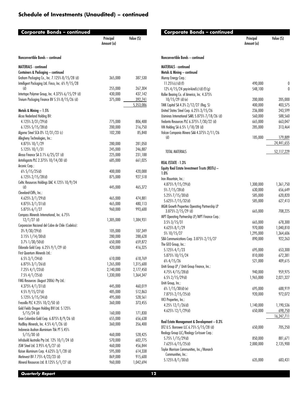| Principal<br>Value (S)<br>Amount (a)<br>Nonconvertible Bonds - continued<br>MATERIALS - continued<br>Containers & Packaging - continued<br>Graham Packaging Co., Inc. 7.125% 8/15/28 (d)<br>365,000<br>Intelligent Packaging Ltd. Finco, Inc. 6% 9/15/28<br>(d)<br>255,000<br>267,304<br>Intertape Polymer Group, Inc. 4.375% 6/15/29 (d)<br>430,000<br>437,142<br>Trivium Packaging Finance BV 5.5% 8/15/26 (d)<br>375,000<br>392,741<br>5,353,086<br>Metals & Mining - 1.5%<br>Alcoa Nederland Holding BV:<br>4.125% 3/31/29(d)<br>775,000<br>806,488<br>6.125% 5/15/28(d)<br>200,000<br>216,750<br>Algoma Steel SCA 0% 12/31/23 (c)<br>102,200<br>Allegheny Technologies, Inc.:<br>4.875% 10/1/29<br>280,000<br>5.125% 10/1/31<br>245,000<br>Alrosa Finance SA 3.1% 6/25/27 (d)<br>225,000<br>Antofagasta PLC 2.375% 10/14/30 (d)<br>685,000<br>Arconic Corp.:<br>$6\%$ 5/15/25(d)<br>400,000<br>875,000<br>$6.125\%$ 2/15/28(d)<br>Celtic Resources Holdings DAC 4.125% 10/9/24<br>(d)<br>465,372<br>445,000<br>Cleveland-Cliffs, Inc.:<br>$4.625\%$ 3/1/29(d)<br>465,000<br>474,881<br>4.875% 3/1/31(d)<br>465,000<br>480,113<br>5.875% 6/1/27<br>960,000<br>993,600<br>Compass Minerals International, Inc. 6.75%<br>$12/1/27$ (d)<br>1,305,000<br>1,384,931<br>Corporacion Nacional del Cobre de Chile (Codelco):<br>$3\%$ 9/30/29(d)<br>105,000<br>107,349<br>3.15% 1/14/30(d)<br>280,000<br>$3.7\%$ 1/30/50(d)<br>650,000<br>Eldorado Gold Corp. 6.25% 9/1/29 (d)<br>420,000<br>First Quantum Minerals Ltd.:<br>$6.5\%$ 3/1/24(d)<br>610,000<br>$6.875\%$ 3/1/26(d)<br>1,265,000<br>$7.25\%$ 4/1/23(d)<br>2,140,000<br>$7.5\%$ 4/1/25(d)<br>1,330,000<br>FMG Resources (August 2006) Pty Ltd.:<br>$4.375\%$ 4/1/31(d)<br>445,000<br>$4.5\%$ 9/15/27(d)<br>485,000<br>512,863<br>5.125% 5/15/24(d)<br>495,000<br>528,561<br>Fresnillo PLC 4.25% 10/2/50 (d)<br>373,455<br>360,000<br>Gold Fields Orogen Holding BVI Ltd. 5.125%<br>$5/15/24$ (d)<br>160,000<br>171,830<br>Gran Colombia Gold Corp. 6.875% 8/9/26 (d)<br>655,000<br>656,638<br>HudBay Minerals, Inc. 4.5% 4/1/26 (d)<br>360,000<br>356,400<br>Indonesia Asahan Aluminium Tbk PT 5.45%<br>$5/15/30$ (d)<br>460,000<br>528,425<br>Infrabuild Australia Pty Ltd. 12% 10/1/24 (d)<br>570,000<br>JSW Steel Ltd. 3.95% 4/5/27 (d)<br>460,000<br>Kaiser Aluminum Corp. 4.625% 3/1/28 (d)<br>595,000<br>Metinvest BV 7.75% 4/23/23 (d)<br>869,000<br>Mineral Resources Ltd. 8.125% 5/1/27 (d)<br>960,000 | Corporate Bonds – continued |  |           |  |
|-------------------------------------------------------------------------------------------------------------------------------------------------------------------------------------------------------------------------------------------------------------------------------------------------------------------------------------------------------------------------------------------------------------------------------------------------------------------------------------------------------------------------------------------------------------------------------------------------------------------------------------------------------------------------------------------------------------------------------------------------------------------------------------------------------------------------------------------------------------------------------------------------------------------------------------------------------------------------------------------------------------------------------------------------------------------------------------------------------------------------------------------------------------------------------------------------------------------------------------------------------------------------------------------------------------------------------------------------------------------------------------------------------------------------------------------------------------------------------------------------------------------------------------------------------------------------------------------------------------------------------------------------------------------------------------------------------------------------------------------------------------------------------------------------------------------------------------------------------------------------------------------------------------------------------------------------------------------------------------------------------------------------------------------------------------------------------------------------------------------------------------------------------------------------------------------------------------------------------------------------------------------------------------------------------------------------------------------------------------------------------------------------------------------------------------------------------------------------|-----------------------------|--|-----------|--|
|                                                                                                                                                                                                                                                                                                                                                                                                                                                                                                                                                                                                                                                                                                                                                                                                                                                                                                                                                                                                                                                                                                                                                                                                                                                                                                                                                                                                                                                                                                                                                                                                                                                                                                                                                                                                                                                                                                                                                                                                                                                                                                                                                                                                                                                                                                                                                                                                                                                                         |                             |  |           |  |
|                                                                                                                                                                                                                                                                                                                                                                                                                                                                                                                                                                                                                                                                                                                                                                                                                                                                                                                                                                                                                                                                                                                                                                                                                                                                                                                                                                                                                                                                                                                                                                                                                                                                                                                                                                                                                                                                                                                                                                                                                                                                                                                                                                                                                                                                                                                                                                                                                                                                         |                             |  |           |  |
|                                                                                                                                                                                                                                                                                                                                                                                                                                                                                                                                                                                                                                                                                                                                                                                                                                                                                                                                                                                                                                                                                                                                                                                                                                                                                                                                                                                                                                                                                                                                                                                                                                                                                                                                                                                                                                                                                                                                                                                                                                                                                                                                                                                                                                                                                                                                                                                                                                                                         |                             |  |           |  |
|                                                                                                                                                                                                                                                                                                                                                                                                                                                                                                                                                                                                                                                                                                                                                                                                                                                                                                                                                                                                                                                                                                                                                                                                                                                                                                                                                                                                                                                                                                                                                                                                                                                                                                                                                                                                                                                                                                                                                                                                                                                                                                                                                                                                                                                                                                                                                                                                                                                                         |                             |  |           |  |
|                                                                                                                                                                                                                                                                                                                                                                                                                                                                                                                                                                                                                                                                                                                                                                                                                                                                                                                                                                                                                                                                                                                                                                                                                                                                                                                                                                                                                                                                                                                                                                                                                                                                                                                                                                                                                                                                                                                                                                                                                                                                                                                                                                                                                                                                                                                                                                                                                                                                         |                             |  | 387,530   |  |
|                                                                                                                                                                                                                                                                                                                                                                                                                                                                                                                                                                                                                                                                                                                                                                                                                                                                                                                                                                                                                                                                                                                                                                                                                                                                                                                                                                                                                                                                                                                                                                                                                                                                                                                                                                                                                                                                                                                                                                                                                                                                                                                                                                                                                                                                                                                                                                                                                                                                         |                             |  |           |  |
|                                                                                                                                                                                                                                                                                                                                                                                                                                                                                                                                                                                                                                                                                                                                                                                                                                                                                                                                                                                                                                                                                                                                                                                                                                                                                                                                                                                                                                                                                                                                                                                                                                                                                                                                                                                                                                                                                                                                                                                                                                                                                                                                                                                                                                                                                                                                                                                                                                                                         |                             |  |           |  |
|                                                                                                                                                                                                                                                                                                                                                                                                                                                                                                                                                                                                                                                                                                                                                                                                                                                                                                                                                                                                                                                                                                                                                                                                                                                                                                                                                                                                                                                                                                                                                                                                                                                                                                                                                                                                                                                                                                                                                                                                                                                                                                                                                                                                                                                                                                                                                                                                                                                                         |                             |  |           |  |
|                                                                                                                                                                                                                                                                                                                                                                                                                                                                                                                                                                                                                                                                                                                                                                                                                                                                                                                                                                                                                                                                                                                                                                                                                                                                                                                                                                                                                                                                                                                                                                                                                                                                                                                                                                                                                                                                                                                                                                                                                                                                                                                                                                                                                                                                                                                                                                                                                                                                         |                             |  |           |  |
|                                                                                                                                                                                                                                                                                                                                                                                                                                                                                                                                                                                                                                                                                                                                                                                                                                                                                                                                                                                                                                                                                                                                                                                                                                                                                                                                                                                                                                                                                                                                                                                                                                                                                                                                                                                                                                                                                                                                                                                                                                                                                                                                                                                                                                                                                                                                                                                                                                                                         |                             |  |           |  |
|                                                                                                                                                                                                                                                                                                                                                                                                                                                                                                                                                                                                                                                                                                                                                                                                                                                                                                                                                                                                                                                                                                                                                                                                                                                                                                                                                                                                                                                                                                                                                                                                                                                                                                                                                                                                                                                                                                                                                                                                                                                                                                                                                                                                                                                                                                                                                                                                                                                                         |                             |  |           |  |
|                                                                                                                                                                                                                                                                                                                                                                                                                                                                                                                                                                                                                                                                                                                                                                                                                                                                                                                                                                                                                                                                                                                                                                                                                                                                                                                                                                                                                                                                                                                                                                                                                                                                                                                                                                                                                                                                                                                                                                                                                                                                                                                                                                                                                                                                                                                                                                                                                                                                         |                             |  |           |  |
|                                                                                                                                                                                                                                                                                                                                                                                                                                                                                                                                                                                                                                                                                                                                                                                                                                                                                                                                                                                                                                                                                                                                                                                                                                                                                                                                                                                                                                                                                                                                                                                                                                                                                                                                                                                                                                                                                                                                                                                                                                                                                                                                                                                                                                                                                                                                                                                                                                                                         |                             |  |           |  |
|                                                                                                                                                                                                                                                                                                                                                                                                                                                                                                                                                                                                                                                                                                                                                                                                                                                                                                                                                                                                                                                                                                                                                                                                                                                                                                                                                                                                                                                                                                                                                                                                                                                                                                                                                                                                                                                                                                                                                                                                                                                                                                                                                                                                                                                                                                                                                                                                                                                                         |                             |  | 85,848    |  |
|                                                                                                                                                                                                                                                                                                                                                                                                                                                                                                                                                                                                                                                                                                                                                                                                                                                                                                                                                                                                                                                                                                                                                                                                                                                                                                                                                                                                                                                                                                                                                                                                                                                                                                                                                                                                                                                                                                                                                                                                                                                                                                                                                                                                                                                                                                                                                                                                                                                                         |                             |  |           |  |
|                                                                                                                                                                                                                                                                                                                                                                                                                                                                                                                                                                                                                                                                                                                                                                                                                                                                                                                                                                                                                                                                                                                                                                                                                                                                                                                                                                                                                                                                                                                                                                                                                                                                                                                                                                                                                                                                                                                                                                                                                                                                                                                                                                                                                                                                                                                                                                                                                                                                         |                             |  | 281,050   |  |
|                                                                                                                                                                                                                                                                                                                                                                                                                                                                                                                                                                                                                                                                                                                                                                                                                                                                                                                                                                                                                                                                                                                                                                                                                                                                                                                                                                                                                                                                                                                                                                                                                                                                                                                                                                                                                                                                                                                                                                                                                                                                                                                                                                                                                                                                                                                                                                                                                                                                         |                             |  | 246,887   |  |
|                                                                                                                                                                                                                                                                                                                                                                                                                                                                                                                                                                                                                                                                                                                                                                                                                                                                                                                                                                                                                                                                                                                                                                                                                                                                                                                                                                                                                                                                                                                                                                                                                                                                                                                                                                                                                                                                                                                                                                                                                                                                                                                                                                                                                                                                                                                                                                                                                                                                         |                             |  | 231,188   |  |
|                                                                                                                                                                                                                                                                                                                                                                                                                                                                                                                                                                                                                                                                                                                                                                                                                                                                                                                                                                                                                                                                                                                                                                                                                                                                                                                                                                                                                                                                                                                                                                                                                                                                                                                                                                                                                                                                                                                                                                                                                                                                                                                                                                                                                                                                                                                                                                                                                                                                         |                             |  | 661,025   |  |
|                                                                                                                                                                                                                                                                                                                                                                                                                                                                                                                                                                                                                                                                                                                                                                                                                                                                                                                                                                                                                                                                                                                                                                                                                                                                                                                                                                                                                                                                                                                                                                                                                                                                                                                                                                                                                                                                                                                                                                                                                                                                                                                                                                                                                                                                                                                                                                                                                                                                         |                             |  |           |  |
|                                                                                                                                                                                                                                                                                                                                                                                                                                                                                                                                                                                                                                                                                                                                                                                                                                                                                                                                                                                                                                                                                                                                                                                                                                                                                                                                                                                                                                                                                                                                                                                                                                                                                                                                                                                                                                                                                                                                                                                                                                                                                                                                                                                                                                                                                                                                                                                                                                                                         |                             |  | 420,088   |  |
|                                                                                                                                                                                                                                                                                                                                                                                                                                                                                                                                                                                                                                                                                                                                                                                                                                                                                                                                                                                                                                                                                                                                                                                                                                                                                                                                                                                                                                                                                                                                                                                                                                                                                                                                                                                                                                                                                                                                                                                                                                                                                                                                                                                                                                                                                                                                                                                                                                                                         |                             |  | 927,518   |  |
|                                                                                                                                                                                                                                                                                                                                                                                                                                                                                                                                                                                                                                                                                                                                                                                                                                                                                                                                                                                                                                                                                                                                                                                                                                                                                                                                                                                                                                                                                                                                                                                                                                                                                                                                                                                                                                                                                                                                                                                                                                                                                                                                                                                                                                                                                                                                                                                                                                                                         |                             |  |           |  |
|                                                                                                                                                                                                                                                                                                                                                                                                                                                                                                                                                                                                                                                                                                                                                                                                                                                                                                                                                                                                                                                                                                                                                                                                                                                                                                                                                                                                                                                                                                                                                                                                                                                                                                                                                                                                                                                                                                                                                                                                                                                                                                                                                                                                                                                                                                                                                                                                                                                                         |                             |  |           |  |
|                                                                                                                                                                                                                                                                                                                                                                                                                                                                                                                                                                                                                                                                                                                                                                                                                                                                                                                                                                                                                                                                                                                                                                                                                                                                                                                                                                                                                                                                                                                                                                                                                                                                                                                                                                                                                                                                                                                                                                                                                                                                                                                                                                                                                                                                                                                                                                                                                                                                         |                             |  |           |  |
|                                                                                                                                                                                                                                                                                                                                                                                                                                                                                                                                                                                                                                                                                                                                                                                                                                                                                                                                                                                                                                                                                                                                                                                                                                                                                                                                                                                                                                                                                                                                                                                                                                                                                                                                                                                                                                                                                                                                                                                                                                                                                                                                                                                                                                                                                                                                                                                                                                                                         |                             |  |           |  |
|                                                                                                                                                                                                                                                                                                                                                                                                                                                                                                                                                                                                                                                                                                                                                                                                                                                                                                                                                                                                                                                                                                                                                                                                                                                                                                                                                                                                                                                                                                                                                                                                                                                                                                                                                                                                                                                                                                                                                                                                                                                                                                                                                                                                                                                                                                                                                                                                                                                                         |                             |  |           |  |
|                                                                                                                                                                                                                                                                                                                                                                                                                                                                                                                                                                                                                                                                                                                                                                                                                                                                                                                                                                                                                                                                                                                                                                                                                                                                                                                                                                                                                                                                                                                                                                                                                                                                                                                                                                                                                                                                                                                                                                                                                                                                                                                                                                                                                                                                                                                                                                                                                                                                         |                             |  |           |  |
|                                                                                                                                                                                                                                                                                                                                                                                                                                                                                                                                                                                                                                                                                                                                                                                                                                                                                                                                                                                                                                                                                                                                                                                                                                                                                                                                                                                                                                                                                                                                                                                                                                                                                                                                                                                                                                                                                                                                                                                                                                                                                                                                                                                                                                                                                                                                                                                                                                                                         |                             |  |           |  |
|                                                                                                                                                                                                                                                                                                                                                                                                                                                                                                                                                                                                                                                                                                                                                                                                                                                                                                                                                                                                                                                                                                                                                                                                                                                                                                                                                                                                                                                                                                                                                                                                                                                                                                                                                                                                                                                                                                                                                                                                                                                                                                                                                                                                                                                                                                                                                                                                                                                                         |                             |  |           |  |
|                                                                                                                                                                                                                                                                                                                                                                                                                                                                                                                                                                                                                                                                                                                                                                                                                                                                                                                                                                                                                                                                                                                                                                                                                                                                                                                                                                                                                                                                                                                                                                                                                                                                                                                                                                                                                                                                                                                                                                                                                                                                                                                                                                                                                                                                                                                                                                                                                                                                         |                             |  |           |  |
|                                                                                                                                                                                                                                                                                                                                                                                                                                                                                                                                                                                                                                                                                                                                                                                                                                                                                                                                                                                                                                                                                                                                                                                                                                                                                                                                                                                                                                                                                                                                                                                                                                                                                                                                                                                                                                                                                                                                                                                                                                                                                                                                                                                                                                                                                                                                                                                                                                                                         |                             |  | 288,628   |  |
|                                                                                                                                                                                                                                                                                                                                                                                                                                                                                                                                                                                                                                                                                                                                                                                                                                                                                                                                                                                                                                                                                                                                                                                                                                                                                                                                                                                                                                                                                                                                                                                                                                                                                                                                                                                                                                                                                                                                                                                                                                                                                                                                                                                                                                                                                                                                                                                                                                                                         |                             |  | 659,872   |  |
|                                                                                                                                                                                                                                                                                                                                                                                                                                                                                                                                                                                                                                                                                                                                                                                                                                                                                                                                                                                                                                                                                                                                                                                                                                                                                                                                                                                                                                                                                                                                                                                                                                                                                                                                                                                                                                                                                                                                                                                                                                                                                                                                                                                                                                                                                                                                                                                                                                                                         |                             |  | 416,325   |  |
|                                                                                                                                                                                                                                                                                                                                                                                                                                                                                                                                                                                                                                                                                                                                                                                                                                                                                                                                                                                                                                                                                                                                                                                                                                                                                                                                                                                                                                                                                                                                                                                                                                                                                                                                                                                                                                                                                                                                                                                                                                                                                                                                                                                                                                                                                                                                                                                                                                                                         |                             |  |           |  |
|                                                                                                                                                                                                                                                                                                                                                                                                                                                                                                                                                                                                                                                                                                                                                                                                                                                                                                                                                                                                                                                                                                                                                                                                                                                                                                                                                                                                                                                                                                                                                                                                                                                                                                                                                                                                                                                                                                                                                                                                                                                                                                                                                                                                                                                                                                                                                                                                                                                                         |                             |  | 618,769   |  |
|                                                                                                                                                                                                                                                                                                                                                                                                                                                                                                                                                                                                                                                                                                                                                                                                                                                                                                                                                                                                                                                                                                                                                                                                                                                                                                                                                                                                                                                                                                                                                                                                                                                                                                                                                                                                                                                                                                                                                                                                                                                                                                                                                                                                                                                                                                                                                                                                                                                                         |                             |  | 1,315,600 |  |
|                                                                                                                                                                                                                                                                                                                                                                                                                                                                                                                                                                                                                                                                                                                                                                                                                                                                                                                                                                                                                                                                                                                                                                                                                                                                                                                                                                                                                                                                                                                                                                                                                                                                                                                                                                                                                                                                                                                                                                                                                                                                                                                                                                                                                                                                                                                                                                                                                                                                         |                             |  | 2,177,450 |  |
|                                                                                                                                                                                                                                                                                                                                                                                                                                                                                                                                                                                                                                                                                                                                                                                                                                                                                                                                                                                                                                                                                                                                                                                                                                                                                                                                                                                                                                                                                                                                                                                                                                                                                                                                                                                                                                                                                                                                                                                                                                                                                                                                                                                                                                                                                                                                                                                                                                                                         |                             |  | 1,364,347 |  |
|                                                                                                                                                                                                                                                                                                                                                                                                                                                                                                                                                                                                                                                                                                                                                                                                                                                                                                                                                                                                                                                                                                                                                                                                                                                                                                                                                                                                                                                                                                                                                                                                                                                                                                                                                                                                                                                                                                                                                                                                                                                                                                                                                                                                                                                                                                                                                                                                                                                                         |                             |  |           |  |
|                                                                                                                                                                                                                                                                                                                                                                                                                                                                                                                                                                                                                                                                                                                                                                                                                                                                                                                                                                                                                                                                                                                                                                                                                                                                                                                                                                                                                                                                                                                                                                                                                                                                                                                                                                                                                                                                                                                                                                                                                                                                                                                                                                                                                                                                                                                                                                                                                                                                         |                             |  | 460,019   |  |
|                                                                                                                                                                                                                                                                                                                                                                                                                                                                                                                                                                                                                                                                                                                                                                                                                                                                                                                                                                                                                                                                                                                                                                                                                                                                                                                                                                                                                                                                                                                                                                                                                                                                                                                                                                                                                                                                                                                                                                                                                                                                                                                                                                                                                                                                                                                                                                                                                                                                         |                             |  |           |  |
|                                                                                                                                                                                                                                                                                                                                                                                                                                                                                                                                                                                                                                                                                                                                                                                                                                                                                                                                                                                                                                                                                                                                                                                                                                                                                                                                                                                                                                                                                                                                                                                                                                                                                                                                                                                                                                                                                                                                                                                                                                                                                                                                                                                                                                                                                                                                                                                                                                                                         |                             |  |           |  |
|                                                                                                                                                                                                                                                                                                                                                                                                                                                                                                                                                                                                                                                                                                                                                                                                                                                                                                                                                                                                                                                                                                                                                                                                                                                                                                                                                                                                                                                                                                                                                                                                                                                                                                                                                                                                                                                                                                                                                                                                                                                                                                                                                                                                                                                                                                                                                                                                                                                                         |                             |  |           |  |
|                                                                                                                                                                                                                                                                                                                                                                                                                                                                                                                                                                                                                                                                                                                                                                                                                                                                                                                                                                                                                                                                                                                                                                                                                                                                                                                                                                                                                                                                                                                                                                                                                                                                                                                                                                                                                                                                                                                                                                                                                                                                                                                                                                                                                                                                                                                                                                                                                                                                         |                             |  |           |  |
|                                                                                                                                                                                                                                                                                                                                                                                                                                                                                                                                                                                                                                                                                                                                                                                                                                                                                                                                                                                                                                                                                                                                                                                                                                                                                                                                                                                                                                                                                                                                                                                                                                                                                                                                                                                                                                                                                                                                                                                                                                                                                                                                                                                                                                                                                                                                                                                                                                                                         |                             |  |           |  |
|                                                                                                                                                                                                                                                                                                                                                                                                                                                                                                                                                                                                                                                                                                                                                                                                                                                                                                                                                                                                                                                                                                                                                                                                                                                                                                                                                                                                                                                                                                                                                                                                                                                                                                                                                                                                                                                                                                                                                                                                                                                                                                                                                                                                                                                                                                                                                                                                                                                                         |                             |  |           |  |
|                                                                                                                                                                                                                                                                                                                                                                                                                                                                                                                                                                                                                                                                                                                                                                                                                                                                                                                                                                                                                                                                                                                                                                                                                                                                                                                                                                                                                                                                                                                                                                                                                                                                                                                                                                                                                                                                                                                                                                                                                                                                                                                                                                                                                                                                                                                                                                                                                                                                         |                             |  |           |  |
|                                                                                                                                                                                                                                                                                                                                                                                                                                                                                                                                                                                                                                                                                                                                                                                                                                                                                                                                                                                                                                                                                                                                                                                                                                                                                                                                                                                                                                                                                                                                                                                                                                                                                                                                                                                                                                                                                                                                                                                                                                                                                                                                                                                                                                                                                                                                                                                                                                                                         |                             |  |           |  |
|                                                                                                                                                                                                                                                                                                                                                                                                                                                                                                                                                                                                                                                                                                                                                                                                                                                                                                                                                                                                                                                                                                                                                                                                                                                                                                                                                                                                                                                                                                                                                                                                                                                                                                                                                                                                                                                                                                                                                                                                                                                                                                                                                                                                                                                                                                                                                                                                                                                                         |                             |  | 602,775   |  |
|                                                                                                                                                                                                                                                                                                                                                                                                                                                                                                                                                                                                                                                                                                                                                                                                                                                                                                                                                                                                                                                                                                                                                                                                                                                                                                                                                                                                                                                                                                                                                                                                                                                                                                                                                                                                                                                                                                                                                                                                                                                                                                                                                                                                                                                                                                                                                                                                                                                                         |                             |  | 456,844   |  |
|                                                                                                                                                                                                                                                                                                                                                                                                                                                                                                                                                                                                                                                                                                                                                                                                                                                                                                                                                                                                                                                                                                                                                                                                                                                                                                                                                                                                                                                                                                                                                                                                                                                                                                                                                                                                                                                                                                                                                                                                                                                                                                                                                                                                                                                                                                                                                                                                                                                                         |                             |  | 614,338   |  |
|                                                                                                                                                                                                                                                                                                                                                                                                                                                                                                                                                                                                                                                                                                                                                                                                                                                                                                                                                                                                                                                                                                                                                                                                                                                                                                                                                                                                                                                                                                                                                                                                                                                                                                                                                                                                                                                                                                                                                                                                                                                                                                                                                                                                                                                                                                                                                                                                                                                                         |                             |  | 915,600   |  |
|                                                                                                                                                                                                                                                                                                                                                                                                                                                                                                                                                                                                                                                                                                                                                                                                                                                                                                                                                                                                                                                                                                                                                                                                                                                                                                                                                                                                                                                                                                                                                                                                                                                                                                                                                                                                                                                                                                                                                                                                                                                                                                                                                                                                                                                                                                                                                                                                                                                                         |                             |  | 1,042,694 |  |

| Corporate Bonds – co <u>ntinued</u>                              | Principal<br>Amount (a) | Value (S)          |
|------------------------------------------------------------------|-------------------------|--------------------|
| Nonconvertible Bonds - continued                                 |                         |                    |
| <b>MATERIALS - continued</b>                                     |                         |                    |
| Metals & Mining - continued                                      |                         |                    |
| Murray Energy Corp.:                                             |                         |                    |
| $11.25\%$ (c) (d) (f)                                            | 490,000                 | 0                  |
| $12\%$ 4/15/24 pay-in-kind(c)(d)(f)(q)                           | 548,100                 | 0                  |
| Roller Bearing Co. of America, Inc. 4.375%<br>$10/15/29$ (d) (e) | 200,000                 | 205,000            |
| TMK Capital SA 4.3% 2/12/27 (Reg. S)                             | 400,000                 | 403,575            |
| United States Steel Corp. 6.25% 3/15/26                          | 236,000                 | 243,599            |
| Usiminas International SARL 5.875% 7/18/26 (d)                   | 560,000                 | 588,560            |
| Vedanta Resources PLC 6.375% 7/30/22 (d)                         | 665,000                 | 663,047            |
| VM Holding SA 6.5% 1/18/28 (d)                                   | 285,000                 | 313,464            |
| Volcan Compania Minera SAA 4.375% 2/11/26                        |                         |                    |
| (d)                                                              | 185,000                 | 179,889            |
|                                                                  |                         | 24,441,655         |
| TOTAL MATERIALS                                                  |                         | 52,117,229         |
| <b>REAL ESTATE - 1.3%</b>                                        |                         |                    |
| Equity Real Estate Investment Trusts (REITs) -<br>1.0%           |                         |                    |
| Iron Mountain, Inc.:                                             |                         |                    |
| 4.875% 9/15/29(d)                                                | 1,300,000               | 1,361,750          |
| 5% 7/15/28(d)                                                    | 630,000                 | 656,649            |
| 5.25% 7/15/30(d)<br>5.625% 7/15/32(d)                            | 585,000<br>585,000      | 620,820<br>627,413 |
| MGM Growth Properties Operating Partnership LP                   |                         |                    |
| 3.875% 2/15/29 (d)                                               | 665,000                 | 708,225            |
| MPT Operating Partnership LP/MPT Finance Corp.:                  |                         |                    |
| $3.5\%3/15/31$                                                   | 665,000                 | 678,300            |
| 4.625% 8/1/29                                                    | 970,000                 | 1,040,810          |
| 5% 10/15/27                                                      | 1,295,000               | 1,364,606          |
| SBA Communications Corp. 3.875% 2/15/27                          | 890,000                 | 922,263            |
| The GEO Group, Inc.:                                             |                         |                    |
| $5.125\%$ 4/1/23                                                 | 695,000                 | 653,300            |
| 5.875% 10/15/24<br>$6\%$ 4/15/26                                 | 810,000<br>521,000      | 672,381<br>409,615 |
| Uniti Group LP / Uniti Group Finance, Inc.:                      |                         |                    |
| 4.75% 4/15/28(d)                                                 | 940,000                 | 959,975            |
| $6.5\%$ 2/15/29(d)                                               | 1,965,000               | 2,021,327          |
| Uniti Group, Inc.:                                               |                         |                    |
| $6\%$ 1/15/30(d)(e)                                              | 695,000                 | 688,919            |
| 7.875% 2/15/25(d)                                                | 920,000                 | 972,072            |
| VICI Properties, Inc.:                                           |                         |                    |
| 4.25% $12/1/26$ (d)                                              | 1,140,000               | 1,190,536          |
| 4.625% 12/1/29(d)                                                | 650,000                 | 698,750            |
| Real Estate Management & Development - 0.3%                      |                         | 16,247,711         |
| DTZ U.S. Borrower LLC 6.75% 5/15/28 (d)                          | 650,000                 | 705,250            |
| Realogy Group LLC/Realogy Co-Issuer Corp.:                       |                         |                    |
| 5.75% 1/15/29(d)                                                 | 850,000                 | 881,671            |
| 7.625% 6/15/25(d)                                                | 2,000,000               | 2,135,900          |
| Taylor Morrison Communities, Inc./Monarch                        |                         |                    |
| Communities, Inc.:                                               |                         |                    |
| 5.125% 8/1/30(d)                                                 | 635,000                 | 683,431            |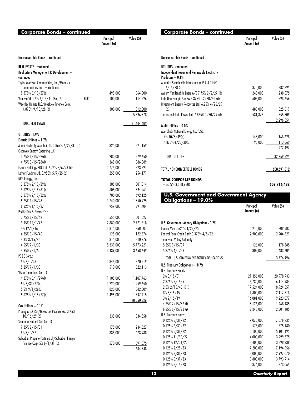| Corporate Bonds – continued                                                    |     | Principal<br>Amount (a) | Value (S)  |
|--------------------------------------------------------------------------------|-----|-------------------------|------------|
| Nonconvertible Bonds - continued                                               |     |                         |            |
| <b>REAL ESTATE - continued</b>                                                 |     |                         |            |
| Real Estate Management & Development-                                          |     |                         |            |
| continued<br>Taylor Morrison Communities, Inc./Monarch                         |     |                         |            |
| Communities, Inc.: - continued                                                 |     |                         |            |
| 5.875% 6/15/27(d)                                                              |     | 495,000                 | 564,300    |
| Vonovia SE 1.5% 6/14/41 (Reg. S)                                               | EUR | 100,000                 | 114,226    |
| Weekley Homes LLC/Weekley Finance Corp.                                        |     |                         |            |
| 4.875% 9/15/28 (d)                                                             |     | 300,000                 | 312,000    |
|                                                                                |     |                         | 5,396,778  |
| TOTAL REAL ESTATE                                                              |     |                         | 21,644,489 |
| UTILITIES - 1.9%                                                               |     |                         |            |
| Electric Utilities $-1.7%$                                                     |     |                         |            |
| Adani Electricity Mumbai Ltd. 3.867% 7/22/31 (d)                               |     | 325,000                 | 321,159    |
| Clearway Energy Operating LLC:                                                 |     |                         |            |
| 3.75% 1/15/32(d)                                                               |     | 280,000                 | 279,650    |
| $4.75\%$ 3/15/28(d)                                                            |     | 365,000                 | 386,389    |
| Eskom Holdings SOC Ltd. 6.75% 8/6/23 (d)                                       |     | 1,775,000               | 1,823,591  |
| Lamar Funding Ltd. 3.958% 5/7/25 (d)                                           |     | 255,000                 | 254,171    |
| NRG Energy, Inc.:<br>$3.375\%$ 2/15/29(d)                                      |     | 305,000                 | 301,014    |
| $3.625\%$ 2/15/31(d)                                                           |     | 605,000                 | 594,261    |
| 3.875% 2/15/32(d)                                                              |     | 700,000                 | 692,125    |
| 5.75% 1/15/28                                                                  |     | 1,740,000               | 1,850,925  |
| 6.625% 1/15/27                                                                 |     | 957,000                 | 991,404    |
| Pacific Gas & Electric Co.:                                                    |     |                         |            |
| $3.75\%$ $8/15/42$                                                             |     | 555,000                 | 501,527    |
| 3.95% 12/1/47                                                                  |     | 2,880,000               | 2,771,518  |
| 4% 12/1/46                                                                     |     | 1,315,000               | 1,268,001  |
| 4.25% 3/15/46                                                                  |     | 125,000                 | 122,876    |
| 4.3% 3/15/45                                                                   |     | 315,000                 | 310,776    |
| 4.55% 7/1/30                                                                   |     | 5,339,000               | 5,773,221  |
| $4.95\%$ $7/1/50$                                                              |     | 3,439,000               | 3,658,649  |
| PG&E Corp.:<br>5% 7/1/28                                                       |     | 1,345,000               | 1,370,219  |
| 5.25% 7/1/30                                                                   |     | 510,000                 | 522,113    |
| Vistra Operations Co. LLC:                                                     |     |                         |            |
| 4.375% 5/1/29(d)                                                               |     | 1,105,000               | 1,107,763  |
| $5\%$ 7/31/27(d)                                                               |     | 1,220,000               | 1,259,650  |
| $5.5\%$ 9/1/26(d)                                                              |     | 820,000                 | 842,509    |
| 5.625% 2/15/27(d)                                                              |     | 1,495,000               | 1,547,415  |
|                                                                                |     |                         | 28,550,926 |
| Gas Utilities - 0.1%                                                           |     |                         |            |
| Promigas SA ESP/Gases del Pacifico SAC 3.75%                                   |     |                         |            |
| $10/16/29$ (d)                                                                 |     | 335,000                 | 334,858    |
| Southern Natural Gas Co. LLC:                                                  |     |                         |            |
| 7.35% 2/15/31                                                                  |     | 175,000                 | 234,527    |
| $8\%3/1/32$                                                                    |     | 335,000                 | 473,988    |
| Suburban Propane Partners LP/Suburban Energy<br>Finance Corp. $5\% 6/1/31$ (d) |     | 570,000                 | 591,375    |
|                                                                                |     |                         | 1,634,748  |
|                                                                                |     |                         |            |

| Corporate Bonds – continued                                                                                               |                         |                         |
|---------------------------------------------------------------------------------------------------------------------------|-------------------------|-------------------------|
|                                                                                                                           | Principal<br>Amount (a) | Value (S)               |
| Nonconvertible Bonds - continued                                                                                          |                         |                         |
| UTILITIES - continued                                                                                                     |                         |                         |
| Independent Power and Renewable Electricity                                                                               |                         |                         |
| Producers - 0.1%<br>Atlantica Sustainable Infrastructure PLC 4.125%                                                       |                         |                         |
| $6/15/28$ (d)                                                                                                             | 370,000                 | 382,395                 |
| Aydem Yenilenebilir Enerji A/S 7.75% 2/2/27 (d)                                                                           | 245,000                 | 238,875                 |
| EnfraGen Energia Sur SA 5.375% 12/30/30 (d)                                                                               | 605,000                 | 593,656                 |
| Investment Energy Resources Ltd. 6.25% 4/26/29<br>(d)                                                                     | 485,000                 |                         |
| Termocandelaria Power Ltd. 7.875% 1/30/29 (d)                                                                             | 531,875                 | 525,619<br>555,809      |
|                                                                                                                           |                         | 2,296,354               |
| Multi-Utilities — 0.0%                                                                                                    |                         |                         |
| Abu Dhabi National Energy Co. PJSC:                                                                                       |                         |                         |
| 4% 10/3/49(d)                                                                                                             | 143,000                 | 163,628                 |
| 4.875% 4/23/30(d)                                                                                                         | 95,000                  | 113,869                 |
|                                                                                                                           |                         | 277,497                 |
| <b>TOTAL UTILITIES</b>                                                                                                    |                         | 32,759,525              |
| TOTAL NONCONVERTIBLE BONDS                                                                                                |                         | 608,691,512             |
| TOTAL CORPORATE BONDS                                                                                                     |                         |                         |
| (Cost \$583,358,950)                                                                                                      |                         | 609,716,438             |
| <b>U.S. Government and Government Agency</b>                                                                              |                         |                         |
| <b>Obligations - 19.0%</b>                                                                                                |                         |                         |
|                                                                                                                           | Principal<br>Amount (a) | Value (\$)              |
| U.S. Government Agency Obligations - 0.2%                                                                                 |                         |                         |
| Fannie Mae 0.625% 4/22/25                                                                                                 | 210,000                 | 209,583                 |
| Federal Farm Credit Bank 0.375% 4/8/22                                                                                    | 2,900,000               |                         |
| Tennessee Valley Authority:                                                                                               |                         | 2,904,821               |
|                                                                                                                           |                         |                         |
| 5.25% 9/15/39                                                                                                             | 126,000                 | 178,385                 |
| 5.375% 4/1/56                                                                                                             | 302,000                 | 483,705                 |
| TOTAL U.S. GOVERNMENT AGENCY OBLIGATIONS                                                                                  |                         | 3,776,494               |
|                                                                                                                           |                         |                         |
|                                                                                                                           |                         |                         |
| $2\%8/15/51$                                                                                                              | 21,356,000              | 20,978,933              |
| 2.375% 5/15/51                                                                                                            | 5,730,000               | 6,114,984               |
| $2.5\%$ 2/15/45 (i)(j)                                                                                                    | 17,524,000              | 18,924,551              |
| $3\%5/15/45$                                                                                                              | 1,800,000               | 2,117,813               |
| $3\%$ 2/15/49                                                                                                             | 16,081,000              | 19,223,077              |
| $4.75\%$ 2/15/37 (i)<br>$6.25\%$ 8/15/23 (i)                                                                              | 8,126,000<br>2,249,000  | 11,468,135<br>2,501,485 |
|                                                                                                                           |                         |                         |
| $0.125\% 5/31/22$                                                                                                         | 7,075,000               | 7,076,935               |
| 0.125% 6/30/22                                                                                                            | 575,000                 | 575,180                 |
| $0.125\%$ 8/31/22                                                                                                         | 5,100,000               | 5,101,195               |
| 0.125% 11/30/22                                                                                                           | 4,000,000               | 3,999,375               |
| $0.125\%$ 12/31/22                                                                                                        | 3,400,000               | 3,398,938               |
| $0.125\%$ 2/28/23                                                                                                         | 7,200,000               | 7,194,656               |
| U.S. Treasury Obligations - 18.7%<br>U.S. Treasury Bonds:<br>U.S. Treasury Notes:<br>$0.125\%3/31/23$<br>$0.125\%5/31/23$ | 3,000,000<br>3,800,000  | 2,997,070<br>3,793,914  |

0.125% 8/15/23 374,000 373,065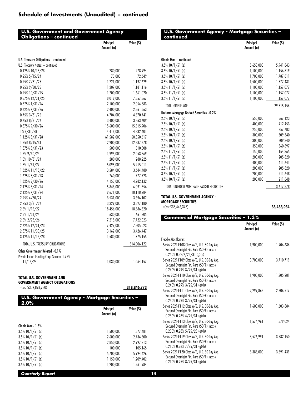|                                            | Principal<br>Amount (a) | Value (S)   |
|--------------------------------------------|-------------------------|-------------|
| U.S. Treasury Obligations - continued      |                         |             |
| U.S. Treasury Notes: - continued           |                         |             |
| 0.125% 10/15/23                            | 280,000                 | 278,994     |
| $0.25\% 5/15/24$                           | 73,000                  | 72,649      |
| $0.25\%$ $7/31/25$                         | 1,221,000               | 1,197,629   |
| 0.25% 9/30/25                              | 1,207,000               | 1,181,116   |
| 0.25% 10/31/25                             | 1,700,000               | 1,661,020   |
| 0.375% 12/31/25                            | 8,019,000               | 7,857,367   |
| 0.375% 1/31/26                             | 2,100,000               | 2,054,883   |
| $0.625\%$ $7/31/26$                        | 2,400,000               | 2,361,563   |
| $0.75\%3/31/26$                            | 4,704,000               | 4,670,741   |
| $0.75\%$ 8/31/26                           | 3,400,000               | 3,363,609   |
| 0.875% 9/30/26                             | 15,600,000              | 15,515,906  |
| $1\%7/31/28$                               | 4,418,000               | 4,332,401   |
| 1.125% 8/31/28                             | 61,582,000              | 60,850,617  |
| 1.25% 8/15/31                              | 12,900,000              | 12,587,578  |
| 1.375% 8/31/23                             | 500,000                 | 510,508     |
| 1.5% 9/30/24                               | 1,995,000               | 2,053,369   |
| 1.5% 10/31/24                              | 280,000                 | 288,225     |
| $1.5\%$ $1/31/27$                          | 5,095,000               | 5,215,011   |
| 1.625% 11/15/22                            | 3,584,000               | 3,644,480   |
| 1.625% 5/31/23                             | 760,000                 | 777,723     |
| 1.625% 9/30/26                             | 4,153,000               | 4,282,132   |
| 2.125% 3/31/24                             | 5,843,000               | 6,091,556   |
| 2.125% 7/31/24                             | 9,671,000               | 10,118,284  |
| 2.25% 4/30/24                              | 3,531,000               | 3,696,102   |
| 2.25% 3/31/26                              | 3,329,000               | 3,527,180   |
| 2.5% 1/15/22                               | 18,456,000              | 18,586,320  |
| 2.5% 1/31/24                               | 630,000                 | 661,205     |
| 2.5% 2/28/26                               | 7,215,000               | 7,722,023   |
| 2.625% 12/31/23                            | 7,427,000               | 7,805,023   |
| 2.875% 11/30/25                            | 3,162,000               | 3,426,447   |
| 3.125% 11/15/28                            | 1,580,000               | 1,775,155   |
| TOTAL U.S. TREASURY OBLIGATIONS            |                         | 314,006,122 |
| Other Government Related - 0.1%            |                         |             |
| Private Export Funding Corp. Secured 1.75% |                         |             |
| 11/15/24                                   | 1,030,000               | 1,064,157   |

#### **TOTAL U.S. GOVERNMENT AND**

|  | GOVERNMENT AGENCY OBLIGATIONS |
|--|-------------------------------|
|  |                               |

(Cost \$309,898,730) **318,846,773**

| U.S. Government Agency - Mortgage Securities -<br>2.0% |                         |           |  |
|--------------------------------------------------------|-------------------------|-----------|--|
|                                                        | Principal<br>Amount (a) | Value (S) |  |
| Ginnie Mae - 1.8%                                      |                         |           |  |
| $3.5\%$ 10/1/51 (e)                                    | 1,500,000               | 1,577,481 |  |
| $3.5\%$ 10/1/51 (e)                                    | 2,600,000               | 2,734,300 |  |
| $3.5\%$ 10/1/51 (e)                                    | 2,850,000               | 2,997,213 |  |
| $3.5\%$ 10/1/51 (e)                                    | 100.000                 | 105,165   |  |
| $3.5\%$ 10/1/51 (e)                                    | 5,700,000               | 5,994,426 |  |
| $3.5\%$ 10/1/51 (e)                                    | 1,150,000               | 1.209.402 |  |
| $3.5\%$ 10/1/51 (e)                                    | 1,200,000               | 1.261.984 |  |

| U.S. Government Agency - Mortgage Securities –<br>continued                                |                         |            |
|--------------------------------------------------------------------------------------------|-------------------------|------------|
|                                                                                            | Principal<br>Amount (a) | Value (S)  |
| Ginnie Mae - continued                                                                     |                         |            |
| $3.5\%$ 10/1/51 (e)                                                                        | 5,650,000               | 5,941,843  |
| $3.5\%$ 10/1/51 (e)                                                                        | 1,100,000               | 1,156,819  |
| $3.5\%$ 10/1/51 (e)                                                                        | 1,700,000               | 1,787,811  |
| $3.5\%$ 10/1/51 (e)                                                                        | 1,500,000               | 1,577,481  |
| $3.5\%$ 11/1/51 (e)                                                                        | 1,100,000               | 1,157,077  |
| $3.5\%$ 11/1/51 (e)                                                                        | 1,100,000               | 1,157,077  |
| $3.5\%$ 11/1/51 (e)                                                                        | 1,100,000               | 1,157,077  |
| <b>TOTAL GINNIE MAE</b>                                                                    |                         | 29,815,156 |
| Uniform Mortgage Backed Securities - 0.2%                                                  |                         |            |
| $2.5\%$ 10/1/51 (e)                                                                        | 550,000                 | 567,123    |
| $2.5\%$ 10/1/51 (e)                                                                        | 400,000                 | 412,453    |
| $2.5\%$ 10/1/51 (e)                                                                        | 250,000                 | 257,783    |
| $2.5\%$ 10/1/51 (e)                                                                        | 300,000                 | 309,340    |
| $2.5\%$ 10/1/51 (e)                                                                        | 300,000                 | 309,340    |
| $2.5\%$ 10/1/51 (e)                                                                        | 350,000                 | 360,897    |
| $2.5\%$ 11/1/51 (e)                                                                        | 150,000                 | 154,365    |
| $2.5\%$ 11/1/51 (e)                                                                        | 200,000                 | 205,820    |
| $2.5\%$ 11/1/51 (e)                                                                        | 400,000                 | 411,641    |
| $2.5\%$ 11/1/51 (e)                                                                        | 200,000                 | 205,820    |
| $3.5\%$ 10/1/51 (e)                                                                        | 200,000                 | 211,648    |
| $3.5\%$ 10/1/51 (e)                                                                        | 200,000                 | 211,648    |
| TOTAL UNIFORM MORTGAGE BACKED SECURITIES                                                   |                         | 3,617,878  |
| <b>TOTAL U.S. GOVERNMENT AGENCY -</b><br><b>MORTGAGE SECURITIES</b><br>(Cost \$33,446,373) |                         | 33,433,034 |

**Commercial Mortgage Securities – 1.3%** Principal Amount (a) Value (\$) Freddie Mac floater: Series 2021-F108 Class A/S, U.S. 30-Day Avg. Secured Overnight Fin. Rate (SOFR) Indx + 0.250% 0.3% 2/25/31 (g)(h) 1,900,000 1,906,686 Series 2021-F109 Class A/S, U.S. 30-Day Avg. Secured Overnight Fin. Rate (SOFR) Indx + 0.240% 0.29% 3/25/31 (g)(h) 3,700,000 3,710,719 Series 2021-F110 Class A/S, U.S. 30-Day Avg. Secured Overnight Fin. Rate (SOFR) Indx + 0.240% 0.29% 3/25/31 (g)(h) 1,900,000 1,905,281 Series 2021-F111 Class A/S, U.S. 30-Day Avg. Secured Overnight Fin. Rate (SOFR) Indx + 0.240% 0.29% 3/25/31 (g)(h) 2,299,868 2,306,517 Series 2021-F112 Class A/S, U.S. 30-Day Avg. Secured Overnight Fin. Rate (SOFR) Indx + 0.230% 0.28% 4/25/31 (g)(h) 1,600,000 1,603,884 Series 2021-F113 Class A/S, U.S. 30-Day Avg. Secured Overnight Fin. Rate (SOFR) Indx + 0.230% 0.28% 5/25/28 (g)(h) 1,574,961 1,579,024 Series 2021-F119 Class A/S, U.S. 30-Day Avg. Secured Overnight Fin. Rate (SOFR) Indx + 0.210% 0.26% 7/25/31 (g)(h) 3,576,991 3,582,150 Series 2021-F120 Class A/S, U.S. 30-Day Avg. Secured Overnight Fin. Rate (SOFR) Indx + 0.210% 0.25% 8/25/31 (g)(h) 3,388,000 3,391,439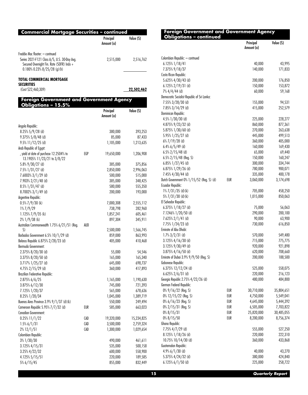| <b>Commercial Mortgage Securities - continued</b>                                                                             |                         |            |
|-------------------------------------------------------------------------------------------------------------------------------|-------------------------|------------|
|                                                                                                                               | Principal<br>Amount (a) | Value (S)  |
| Freddie Mac floater: - contnued                                                                                               |                         |            |
| Series 2021-F121 Class A/S, U.S. 30-Day Avg.<br>Secured Overnight Fin. Rate (SOFR) Indx +<br>$0.180\%$ 0.23% $8/25/28$ (g)(h) | 2,515,000               | 2,516,762  |
| TOTAL COMMERCIAL MORTGAGE<br><b>SECURITIES</b>                                                                                |                         |            |
| (Cost \$22,460,309)                                                                                                           |                         | 22,502,462 |
| <b>Foreign Government and Government Agency</b><br><b>Obligations - 15.5%</b>                                                 |                         |            |
|                                                                                                                               | Principal<br>Amount (a) | Value (S)  |
| Angola Republic:                                                                                                              |                         |            |
| $8.25\%$ 5/9/28 (d)                                                                                                           | 380,000                 | 393,253    |
|                                                                                                                               |                         |            |

|                                             |     | Principal<br>Amount (a) | Value (S)  |
|---------------------------------------------|-----|-------------------------|------------|
| Colombian Republic: - contnued              |     |                         |            |
| 6.125% 1/18/41                              |     | 40,000                  | 43,995     |
| 7.375% 9/18/37                              |     | 140,000                 | 171,833    |
| Costa Rican Republic:                       |     |                         |            |
| 5.625% $4/30/43$ (d)                        |     | 200,000                 | 176,850    |
| $6.125\%$ 2/19/31 (d)                       |     | 150,000                 | 153,872    |
| $7\%$ 4/4/44 (d)                            |     | 60,000                  | 59,168     |
| Democratic Socialist Republic of Sri Lanka: |     |                         |            |
| 7.55% 3/28/30 (d)                           |     | 155,000                 | 94,531     |
| 7.85% 3/14/29 (d)                           |     | 415,000                 | 252,579    |
| Dominican Republic:                         |     |                         |            |
| $4.5\%$ 1/30/30 (d)                         |     | 225,000                 | 228,277    |
| 4.875% $9/23/32$ (d)                        |     | 860,000                 | 877,361    |
| 5.875% 1/30/60 (d)                          |     | 270,000                 | 263,638    |
| 5.95% 1/25/27 (d)                           |     | 445,000                 | 499,513    |
| $6\%$ $7/19/28$ (d)                         |     | 360,000                 | 405,000    |
| $6.4\%$ 6/5/49 (d)                          |     | 160,000                 | 169,430    |
| $6.5\%$ 2/15/48 (d)                         |     | 65,000                  | 69,440     |
| $6.5\%$ 2/15/48 (Reg. S)                    |     | 150,000                 | 160,247    |
| $6.85\%$ 1/27/45 (d)                        |     | 300,000                 | 334,744    |
| 6.875% 1/29/26 (d)                          |     | 780,000                 | 900,071    |
| 7.45% 4/30/44 (d)                           |     | 335,000                 | 400,178    |
| Dutch Government 0% 1/15/52 (Reg. S) (d)    | EUR | 3,060,000               | 3,174,698  |
| <b>Ecuador Republic:</b>                    |     |                         |            |
| $1\%7/31/35$ (d)(k)                         |     | 705,000                 | 458,250    |
| 5% 7/31/30 (d) (k)                          |     | 1,015,000               | 850,063    |
| El Salvador Republic:                       |     |                         |            |
| $6.375\%$ 1/18/27 (d)                       |     | 75,000                  | 56,063     |
| 7.1246% 1/20/50 (d)                         |     | 290,000                 | 200,100    |
| $7.625\%$ 2/1/41 (d)                        |     | 90,000                  | 63,900     |
| 7.75% 1/24/23 (d)                           |     | 730,000                 | 616,850    |
| Emirate of Abu Dhabi:                       |     |                         |            |
| $1.7\%3/2/31$ (d)                           |     | 570,000                 | 549,480    |
| $3.125\%$ 4/16/30 (d)                       |     | 715,000                 | 775,775    |
| 3.125% 9/30/49 (d)                          |     | 920,000                 | 921,898    |
| $3.875\%$ 4/16/50 (d)                       |     | 620,000                 | 708,660    |
| Emirate of Dubai 3.9% 9/9/50 (Reg. S)       |     | 200,000                 | 188,500    |
| Gabonese Republic:                          |     |                         |            |
| 6.375% 12/12/24 (d)                         |     | 525,000                 | 558,075    |
| $6.625\%$ 2/6/31 (d)                        |     | 220,000                 | 216,123    |
| Georgia Republic 2.75% 4/22/26 (d)          |     | 480,000                 | 484,800    |
| German Federal Republic:                    |     |                         |            |
| 0% 9/16/22 (Reg. S)                         | EUR | 30,710,000              | 35,804,651 |
| 0% 12/15/22 (Reg. S)                        | EUR | 4,750,000               | 5,549,041  |
| $0\% 6/16/23$ (Reg. S)                      | EUR | 4,645,000               | 5,444,392  |
| $0\%$ 2/15/31 (Reg. S)                      | EUR | 6,505,000               | 7,703,822  |
| $0\%$ 8/15/31                               | EUR | 25,820,000              | 30,485,055 |
| $0\%$ 8/15/50                               | EUR | 8,200,000               | 8,756,374  |
| <b>Ghana Republic:</b>                      |     |                         |            |
| 7.75% 4/7/29 (d)                            |     | 555,000                 | 527,250    |
| 8.125% 1/18/26 (d)                          |     | 220,000                 | 222,310    |
| 10.75% 10/14/30 (d)                         |     | 360,000                 | 433,868    |
| Guatemalan Republic:                        |     |                         |            |
| $4.9\%$ 6/1/30 (d)                          |     | 40,000                  | 43,270     |
| 5.375% 4/24/32 (d)                          |     | 380,000                 | 424,840    |
| $6.125\%$ $6/1/50$ (d)                      |     | 225,000                 | 258,722    |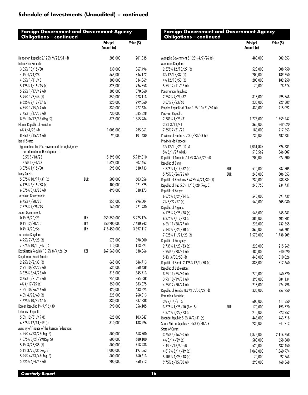| <b>Foreign Government and Government Agency</b><br><b>Obligations - continued</b> |     |                         |            | <b>Foreign Government and Government Agency</b><br><b>Obligations - continued</b> |     |                         |           |
|-----------------------------------------------------------------------------------|-----|-------------------------|------------|-----------------------------------------------------------------------------------|-----|-------------------------|-----------|
|                                                                                   |     | Principal<br>Amount (a) | Value (\$) |                                                                                   |     | Principal<br>Amount (a) | Value (S) |
| Hungarian Republic 2.125% 9/22/31 (d)                                             |     | 205,000                 | 201,835    | Mongolia Government 5.125% 4/7/26 (d)                                             |     | 480,000                 | 502,853   |
| Indonesian Republic:                                                              |     |                         |            | Moroccan Kingdom:                                                                 |     |                         |           |
| 3.85% 10/15/30                                                                    |     | 330,000                 | 367,496    | 2.375% 12/15/27 (d)                                                               |     | 520,000                 | 508,950   |
| 4.1% 4/24/28                                                                      |     | 665,000                 | 746,172    | 3% 12/15/32 (d)                                                                   |     | 200,000                 | 189,750   |
| 4.35% 1/11/48                                                                     |     | 300,000                 | 334,369    | $4\%$ 12/15/50 (d)                                                                |     | 200,000                 | 182,250   |
| 5.125% 1/15/45 (d)                                                                |     | 825,000                 | 996,858    | 5.5% 12/11/42 (d)                                                                 |     | 70,000                  | 78,676    |
| 5.25% 1/17/42 (d)                                                                 |     | 305,000                 | 370,060    | Panamanian Republic:                                                              |     |                         |           |
| 5.95% 1/8/46 (d)                                                                  |     | 350,000                 | 473,113    | 2.252% 9/29/32                                                                    |     | 315,000                 | 295,568   |
| 6.625% 2/17/37 (d)                                                                |     | 220,000                 | 299,860    | 3.87% 7/23/60                                                                     |     | 235,000                 | 229,389   |
| $6.75\%$ 1/15/44 (d)                                                              |     | 330,000                 | 477,634    | Peoples Republic of China 1.2% 10/21/30 (d)                                       |     | 430,000                 | 415,092   |
| 7.75% 1/17/38 (d)                                                                 |     | 730,000                 | 1,085,328  | Peruvian Republic:                                                                |     |                         |           |
| 8.5% 10/12/35 (Reg. S)                                                            |     | 875,000                 | 1,365,984  | 2.783% 1/23/31                                                                    |     | 1,775,000               | 1,759,247 |
| Islamic Republic of Pakistan:                                                     |     |                         |            | $3.3\%3/11/41$                                                                    |     | 360,000                 | 349,020   |
| $6\%$ 4/8/26 (d)                                                                  |     | 1,005,000               | 995,061    | 7.35% 7/21/25                                                                     |     | 180,000                 | 217,553   |
| 8.25% 4/15/24 (d)                                                                 |     | 95,000                  | 101,430    | Province of Santa Fe 7% 3/23/23 (d)                                               |     | 735,000                 | 682,631   |
| <b>Israeli State:</b>                                                             |     |                         |            | Provincia de Cordoba:                                                             |     |                         |           |
|                                                                                   |     |                         |            |                                                                                   |     |                         |           |
| (guaranteed by U.S. Government through Agency<br>for International Development):  |     |                         |            | 5% 12/10/25 (d)(k)                                                                |     | 1,051,837               | 796,635   |
|                                                                                   |     |                         | 5,939,510  | 5% $6/1/27$ (d)(k)                                                                |     | 515,562                 | 346,007   |
| 5.5% 9/18/23                                                                      |     | 5,395,000               |            | Republic of Armenia 7.15% 3/26/25 (d)                                             |     | 200,000                 | 227,600   |
| 5.5% 12/4/23                                                                      |     | 1,628,000               | 1,807,457  | Republic of Benin:                                                                |     |                         |           |
| 3.375% 1/15/50                                                                    |     | 595,000                 | 630,733    | 4.875% 1/19/32 (d)                                                                | EUR | 510,000                 | 587,805   |
| Ivory Coast:                                                                      |     |                         |            | 5.75% 3/26/26 (d)                                                                 | EUR | 245,000                 | 306,553   |
| 5.875% 10/17/31 (d)                                                               | EUR | 500,000                 | 603,356    | Republic of Honduras 5.625% 6/24/30 (d)                                           |     | 230,000                 | 238,884   |
| $6.125\%$ 6/15/33 (d)                                                             |     | 400,000                 | 421,325    | Republic of Iraq 5.8% 1/15/28 (Reg. S)                                            |     | 243,750                 | 234,731   |
| $6.375\%$ 3/3/28 (d)                                                              |     | 490,000                 | 538,173    | Republic of Kenya:                                                                |     |                         |           |
| Jamaican Government:                                                              |     |                         |            | $6.875\%$ $6/24/24$ (d)                                                           |     | 540,000                 | 591,739   |
| 6.75% 4/28/28                                                                     |     | 255,000                 | 296,804    | $7\%5/22/27$ (d)                                                                  |     | 560,000                 | 605,080   |
| 7.875% 7/28/45                                                                    |     | 160,000                 | 221,980    | Republic of Nigeria:                                                              |     |                         |           |
| Japan Government:                                                                 |     |                         |            | 6.125% 9/28/28 (d)                                                                |     | 545,000                 | 545,681   |
| $0.1\%$ 9/20/29                                                                   | JPY | 659,350,000             | 5,975,176  | 6.375% $7/12/23$ (d)                                                              |     | 385,000                 | 405,285   |
| 0.1% 12/20/30                                                                     | JPY | 850,200,000             | 7,680,943  | $6.5\%$ 11/28/27 (d)                                                              |     | 225,000                 | 232,355   |
| $0.4\%3/20/56$                                                                    | JPY | 418,450,000             | 3,397,117  | 7.143% 2/23/30 (d)                                                                |     | 360,000                 | 366,705   |
| Jordanian Kingdom:                                                                |     |                         |            | 7.625% 11/21/25 (d)                                                               |     | 1,575,000               | 1,738,209 |
| 4.95% 7/7/25 (d)                                                                  |     | 575,000                 | 598,000    | Republic of Paraguay:                                                             |     |                         |           |
| 7.375% 10/10/47 (d)                                                               |     | 110,000                 | 113,321    | 2.739% 1/29/33 (d)                                                                |     | 225,000                 | 215,269   |
| Kazakhstan Republic 10.5% 8/4/26 (c)                                              | KZT | 267,560,000             | 638,066    | 4.95% 4/28/31 (d)                                                                 |     | 480,000                 | 540,090   |
| Kingdom of Saudi Arabia:                                                          |     |                         |            | $5.4\%$ $3/30/50$ (d)                                                             |     | 445,000                 | 510,026   |
| $2.25\%$ 2/2/33 (d)                                                               |     | 665,000                 | 646,713    | Republic of Serbia 2.125% 12/1/30 (d)                                             |     | 335,000                 | 312,660   |
| 2.9% 10/22/25 (d)                                                                 |     | 535,000                 | 568,438    | Republic of Uzbekistan:                                                           |     |                         |           |
| $3.625\%$ $3/4/28$ (d)                                                            |     | 315,000                 | 345,713    | 3.7% 11/25/30 (d)                                                                 |     |                         | 260,820   |
| 3.75% 1/21/55 (d)                                                                 |     | 255,000                 | 265,838    |                                                                                   |     | 270,000                 |           |
|                                                                                   |     |                         |            | $3.9\%$ 10/19/31 (d)                                                              |     | 395,000                 | 384,134   |
| $4\%$ 4/17/25 (d)                                                                 |     | 350,000                 | 383,075    | 4.75% 2/20/24 (d)                                                                 |     | 215,000                 | 224,998   |
| 4.5% 10/26/46 (d)                                                                 |     | 420,000                 | 483,525    | Republic of Zambia 8.97% 7/30/27 (d)                                              |     | 335,000                 | 257,950   |
| $4.5\%$ 4/22/60 (d)                                                               |     | 225,000                 | 268,313    | Romanian Republic:                                                                |     |                         |           |
| 4.625% 10/4/47 (d)                                                                |     | 330,000                 | 387,338    | $3\%$ 2/14/31 (d)                                                                 |     | 600,000                 | 611,550   |
| Korean Republic 1% 9/16/30                                                        |     | 590,000                 | 556,105    | 3.375% 1/28/50 (Reg. S)                                                           | EUR | 170,000                 | 193,720   |
| Lebanese Republic:                                                                |     |                         |            | 4.375% 8/22/23 (d)                                                                |     | 210,000                 | 223,952   |
| 5.8% 12/31/49 (f)                                                                 |     | 625,000                 | 103,047    | Rwanda Republic 5.5% 8/9/31 (d)                                                   |     | 445,000                 | 463,718   |
| $6.375\%$ 12/31/49 (f)                                                            |     | 810,000                 | 133,296    | South African Republic 4.85% 9/30/29                                              |     | 235,000                 | 241,213   |
| Ministry of Finance of the Russian Federation:                                    |     |                         |            | State of Qatar:                                                                   |     |                         |           |
| 4.25% 6/23/27 (Reg. S)                                                            |     | 600,000                 | 668,700    | $3.75\%$ 4/16/30 (d)                                                              |     | 1,875,000               | 2,116,758 |
| 4.375% 3/21/29 (Reg. S)                                                           |     | 600,000                 | 680,100    | $4\%$ 3/14/29 (d)                                                                 |     | 580,000                 | 658,880   |
| 5.1% 3/28/35 (d)                                                                  |     | 600,000                 | 718,238    | $4.4\%$ $4/16/50$ (d)                                                             |     | 520,000                 | 632,450   |
| 5.1% 3/28/35 (Reg. S)                                                             |     | 1,000,000               | 1,197,063  | 4.817% 3/14/49 (d)                                                                |     | 1,060,000               | 1,360,974 |
| 5.25% 6/23/47 (Reg. S)                                                            |     | 600,000                 | 760,613    | 5.103% 4/23/48 (d)                                                                |     | 70,000                  | 92,763    |
| 5.625% 4/4/42 (d)                                                                 |     | 200,000                 | 258,913    | $9.75\%$ 6/15/30 (d)                                                              |     | 295,000                 | 468,368   |
|                                                                                   |     |                         |            |                                                                                   |     |                         |           |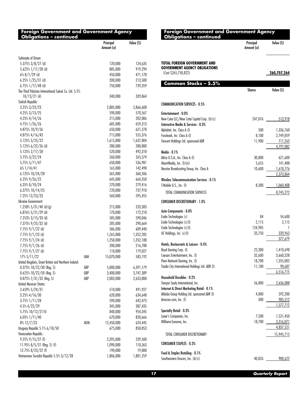| <b>Foreign Government and Government Agency</b> |  |
|-------------------------------------------------|--|
| <b>Obligations - continued</b>                  |  |

|                                                      |     | Principal<br>Amount (a) | Value (\$)         |
|------------------------------------------------------|-----|-------------------------|--------------------|
| Sultanate of Oman:                                   |     |                         |                    |
| 5.375% 3/8/27 (d)                                    |     | 120,000                 | 124,635            |
| 5.625% 1/17/28 (d)                                   |     | 885,000                 | 919,294            |
| $6\%$ 8/1/29 (d)                                     |     | 450,000                 | 471,178            |
| $6.25\%$ 1/25/31 (d)                                 |     | 200,000                 | 213,500            |
| 6.75% 1/17/48 (d)                                    |     | 750,000                 | 739,359            |
| The Third Pakistan International Sukuk Co. Ltd. 5.5% |     |                         |                    |
| $10/13/21$ (d)                                       |     | 340,000                 | 339,864            |
| Turkish Republic:                                    |     |                         |                    |
| $3.25\%3/23/23$                                      |     | 2,885,000               | 2,866,608          |
| 4.25% 3/13/25                                        |     | 590,000                 | 570,567            |
| $4.25\%$ 4/14/26                                     |     | 215,000                 | 202,006            |
| 4.75% 1/26/26                                        |     | 685,000                 | 659,313            |
| 4.875% 10/9/26                                       |     | 650,000                 | 621,278            |
| 4.875% 4/16/43                                       |     | 715,000                 | 555,376            |
| 5.125% 3/25/22                                       |     | 1,615,000               | 1,637,004          |
|                                                      |     | 280,000                 | 280,000            |
| 5.125% 6/22/26 (d)<br>5.125% 2/17/28                 |     | 520,000                 | 492,310            |
|                                                      |     |                         |                    |
| 5.75% 3/22/24<br>5.75% 5/11/47                       |     | 260,000                 | 265,574            |
|                                                      |     | 650,000                 | 536,981<br>142,498 |
| $6\%$ 1/14/41                                        |     | 165,000                 |                    |
| 6.125% 10/24/28                                      |     | 365,000                 | 360,506            |
| 6.25% 9/26/22                                        |     | 645,000                 | 664,350            |
| 6.35% 8/10/24                                        |     | 270,000                 | 279,416            |
| 6.375% 10/14/25                                      |     | 720,000                 | 737,910            |
| 7.25% 12/23/23                                       |     | 560,000                 | 595,455            |
| Ukraine Government:                                  |     |                         |                    |
| $1.258\% 5/31/40$ (d)(g)                             |     | 215,000                 | 233,383            |
| $6.876\%$ 5/21/29 (d)                                |     | 170,000                 | 172,210            |
| 7.253% 3/15/33 (d)                                   |     | 585,000                 | 590,046            |
| 7.375% 9/25/32 (d)                                   |     | 285,000                 | 290,664            |
| 7.75% 9/1/22 (d)                                     |     | 586,000                 | 609,440            |
| $7.75\%$ $9/1/23$ (d)                                |     | 1,265,000               | 1,352,285          |
| $7.75\%$ $9/1/24$ (d)                                |     | 1,250,000               | 1,352,188          |
| $7.75\%$ $9/1/26$ (d)                                |     | 200,000                 | 216,788            |
| $7.75\%$ $9/1/27$ (d)                                |     | 110,000                 | 119,027            |
| $17\% 5/11/22$                                       | UAH | 15,070,000              | 583,192            |
| United Kingdom, Great Britain and Northern Ireland:  |     |                         |                    |
| 0.375% 10/22/30 (Reg. S)                             | GBP | 5,000,000               | 6,391,179          |
| $0.625\%$ 10/22/50 (Reg. S)                          | GBP | 3,400,000               | 3,747,389          |
| 0.875% 7/31/33 (Reg. S)                              | GBP | 2,003,000               | 2,633,800          |
| <b>United Mexican States:</b>                        |     |                         |                    |
| 2.659% 5/24/31                                       |     | 510,000                 | 491,927            |
| $3.25\%$ 4/16/30                                     |     | 620,000                 | 634,648            |
| 3.75% 1/11/28                                        |     | 590,000                 | 642,473            |
| 4.5% 4/22/29                                         |     | 345,000                 | 387,435            |
| 5.75% 10/12/2110                                     |     | 840,000                 | 954,345            |
| $6.05\%$ $1/11/40$                                   |     | 670,000                 | 820,666            |
| 8% 12/7/23                                           | MXN | 12,450,000              | 624,445            |
| Uruguay Republic 5.1% 6/18/50                        |     | 675,000                 | 858,853            |
| Venezuelan Republic:                                 |     |                         |                    |
| $9.25\%$ $9/15/27$ (f)                               |     | 2,395,000               | 239,500            |
| 11.95% $8/5/31$ (Reg. S) (f)                         |     | 1,090,000               | 110,363            |
| 12.75% 8/23/22 (f)                                   |     | 190,000                 | 19,000             |
| Vietnamese Socialist Republic 5.5% 3/12/28           |     | 1,806,000               | 1,801,259          |

| <b>Obligations – continued</b>                                                               | Principal<br>Amount (a) | Value (S)              |  |
|----------------------------------------------------------------------------------------------|-------------------------|------------------------|--|
| TOTAL FOREIGN GOVERNMENT AND<br><b>GOVERNMENT AGENCY OBLIGATIONS</b><br>(Cost \$265,750,822) |                         | 260,707,264            |  |
| Common Stocks - 5.5%                                                                         |                         |                        |  |
|                                                                                              | <b>Shares</b>           | Value (S)              |  |
| <b>COMMUNICATION SERVICES - 0.5%</b>                                                         |                         |                        |  |
| Entertainment - 0.0%                                                                         |                         |                        |  |
| New Cotai LLC/New Cotai Capital Corp. (b) (c)<br>Interactive Media & Services - 0.3%         | 247,076                 | 513,918                |  |
| Alphabet, Inc. Class A (I)                                                                   | 500                     | 1,336,760              |  |
| Facebook, Inc. Class A (I)                                                                   | 8,100                   | 2,749,059              |  |
| Tencent Holdings Ltd. sponsored ADR                                                          | 11,900                  | 711,263                |  |
| Media - 0.1%                                                                                 |                         | 4,797,082              |  |
| Altice U.S.A., Inc. Class A (I)                                                              | 30,000                  | 621,600                |  |
| iHeartMedia, Inc. (I) (m)                                                                    | 5,655                   | 141,488                |  |
| Nexstar Broadcasting Group, Inc. Class A                                                     | 10,600                  | 1,610,776              |  |
|                                                                                              |                         | 2,373,864              |  |
| <b>Wireless Telecommunication Services - 0.1%</b>                                            |                         |                        |  |
| T-Mobile U.S., Inc. (I)                                                                      | 8,300                   | 1,060,408              |  |
| TOTAL COMMUNICATION SERVICES                                                                 |                         | 8,745,272              |  |
| <b>CONSUMER DISCRETIONARY - 1.0%</b>                                                         |                         |                        |  |
| Auto Components - 0.0%                                                                       |                         |                        |  |
| Exide Technologies (c)                                                                       | 84                      | 54,600                 |  |
| Exide Technologies (c)(l)                                                                    | 2,115                   | 2,115                  |  |
| Exide Technologies (c)(l)                                                                    | 124,905                 | 1                      |  |
| UC Holdings, Inc. (c)(l)                                                                     | 33,750                  | 320,963<br>377,679     |  |
| Hotels, Restaurants & Leisure - 0.4%                                                         |                         |                        |  |
| Boyd Gaming Corp. (I)                                                                        | 22,300                  | 1,410,698              |  |
| Caesars Entertainment, Inc. (I)                                                              | 32,600                  | 3,660,328              |  |
| Penn National Gaming, Inc. (I)                                                               | 18,700                  | 1,355,002              |  |
| Studio City International Holdings Ltd. ADR (I)                                              | 11,100                  | 90,687                 |  |
| <b>Household Durables - 0.2%</b>                                                             |                         | 6,516,715              |  |
| Tempur Sealy International, Inc.                                                             | 56,800                  | 2,636,088              |  |
| Internet & Direct Marketing Retail - 0.1%                                                    |                         |                        |  |
| Alibaba Group Holding Ltd. sponsored ADR (I)                                                 | 4,000                   | 592,200                |  |
| Amazon.com, Inc. (I)                                                                         | 300                     | <u>985,512</u>         |  |
|                                                                                              |                         | 1,577,712              |  |
| Specialty Retail - 0.3%                                                                      |                         |                        |  |
| Lowe's Companies, Inc.                                                                       | 7,500                   | 1,521,450              |  |
| Williams-Sonoma, Inc.                                                                        | 18,700                  | 3,316,071<br>4,837,521 |  |
| TOTAL CONSUMER DISCRETIONARY                                                                 |                         | <u>15,945,715</u>      |  |
| <b>CONSUMER STAPLES - 0.3%</b>                                                               |                         |                        |  |
|                                                                                              |                         |                        |  |
| Food & Staples Retailing - 0.1%                                                              |                         |                        |  |
| Southeastern Grocers, Inc. (b) (c)                                                           | 40,826                  | 900,622                |  |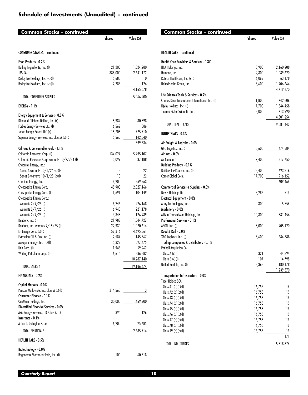| Common Stocks – continued                                         | <b>Shares</b> | Value (S)        | Comn                                    |
|-------------------------------------------------------------------|---------------|------------------|-----------------------------------------|
| <b>CONSUMER STAPLES - continued</b>                               |               |                  | <b>HEALTH CARE</b>                      |
| Food Products - 0.2%                                              |               |                  | Health Care I                           |
| Darling Ingredients, Inc. (I)                                     | 21,200        | 1,524,280        | <b>HCA Holdings,</b>                    |
| <b>JBS SA</b>                                                     | 388,000       | 2,641,172        | Humana, Inc.                            |
| Reddy Ice Holdings, Inc. (c)(I)                                   | 5,683         | 0                | Rotech Health                           |
| Reddy Ice Holdings, Inc. (c)(I)                                   | 2,286         | 126              | UnitedHealth                            |
|                                                                   |               | 4,165,578        |                                         |
| TOTAL CONSUMER STAPLES                                            |               | 5,066,200        | <b>Life Sciences</b><br>Charles River I |
| ENERGY - 1.1%                                                     |               |                  | <b>IQVIA Holding</b>                    |
| <b>Energy Equipment &amp; Services - 0.0%</b>                     |               |                  | Thermo Fisher                           |
| Diamond Offshore Drilling, Inc. (c)                               | 5,989         | 30,598           |                                         |
| Forbes Energy Services Ltd. (I)                                   | 6,562         | 886              | TOTAL HEA                               |
| Jonah Energy Parent LLC (c)                                       | 15,708        | 725,710          | <b>INDUSTRIALS</b>                      |
| Superior Energy Services, Inc. Class A (c) (l)                    | 5,560         | 142,340          |                                         |
|                                                                   |               | 899,534          | Air Freight &                           |
| Oil, Gas & Consumable Fuels - 1.1%                                |               |                  | GXO Logistics,                          |
| California Resources Corp. (I)                                    | 134,027       | 5,495,107        | Airlines - 0.0                          |
| California Resources Corp. warrants 10/27/24 (I)                  | 3,099         | 37,188           | Air Canada (I)                          |
| Chaparral Energy, Inc.:                                           |               |                  | <b>Building Prod</b>                    |
| Series A warrants 10/1/24 (c) (l)                                 | 13            | 22               | <b>Builders FirstS</b>                  |
| Series B warrants $10/1/25$ (c)(l)                                | 13            | 22               | Carrier Global                          |
| Cheniere Energy, Inc.                                             | 8,900         | 869,263          |                                         |
| Chesapeake Energy Corp.                                           | 45,903        | 2,827,166        | Commercial S                            |
| Chesapeake Energy Corp. (b)                                       | 1,691         | 104,149          | Novus Holding                           |
| Chesapeake Energy Corp.:                                          |               |                  | <b>Electrical Equ</b>                   |
| warrants $2/9/26$ (l)                                             | 6,246         | 226,168          | Array Technold                          |
| warrants 2/9/26 (l)                                               | 6,940         | 221,178          | Machinery - 0                           |
| warrants $2/9/26$ (l)                                             | 4,343         | 126,989          | <b>Allison Transm</b>                   |
| Denbury, Inc. (I)                                                 | 21,989        | 1,544,727        | <b>Professional</b>                     |
| Denbury, Inc. warrants 9/18/25 (l)                                | 22,930        | 1,020,614        | ASGN, Inc. (I)                          |
| EP Energy Corp. (c)(l)                                            | 52,316        | 4,695,361        | Road & Rail -                           |
| Extraction Oil & Gas, Inc. (I)                                    | 2,584         | 145,867          | XPO Logistics,                          |
| Mesquite Energy, Inc. (c)(I)                                      | 15,322        | 527,675          | <b>Trading Comp</b>                     |
| Unit Corp. (I)                                                    | 1,943         | 59,262           | Penhall Acquis                          |
| Whiting Petroleum Corp. (I)                                       | 6,615         | 386,382          | Class $A(c)$ (I                         |
|                                                                   |               | 18,287,140       | Class $B(c)$ (I                         |
| TOTAL ENERGY                                                      |               | 19,186,674       | <b>United Rentals</b>                   |
| <b>FINANCIALS - 0.2%</b>                                          |               |                  | Transportatio                           |
|                                                                   |               |                  | Tricer Holdco 9                         |
| Capital Markets - 0.0%                                            |               |                  | Class $AI$ (b)                          |
| Penson Worldwide, Inc. Class A (c) (l)<br>Consumer Finance - 0.1% |               | $314,563$ $3$    | Class $A2(b)$                           |
| OneMain Holdings, Inc.                                            |               | 30,000 1,659,900 | Class $A3(b)$                           |
| <b>Diversified Financial Services - 0.0%</b>                      |               |                  | Class $A4$ (b)                          |
| Axis Energy Services, LLC Class A (c)                             | 395           | 126              | Class A5 (b)                            |
| Insurance - 0.1%                                                  |               |                  | Class A6 (b)                            |
| Arthur J. Gallagher & Co.                                         |               | 6,900 1,025,685  | Class $A7$ (b)                          |
|                                                                   |               |                  | Class $AB(b)$                           |
| <b>TOTAL FINANCIALS</b>                                           |               | 2,685,714        | Class $A9(b)$                           |
| HEALTH CARE - 0.5%                                                |               |                  | TOTAL IND                               |
| Biotechnology - 0.0%                                              |               |                  |                                         |
| Regeneron Pharmaceuticals, Inc. (I)                               |               | 60,518           |                                         |
|                                                                   |               |                  |                                         |

| Common Stocks – continued                          |               |            |
|----------------------------------------------------|---------------|------------|
|                                                    | <b>Shares</b> | Value (S)  |
| <b>HEALTH CARE - continued</b>                     |               |            |
| Health Care Providers & Services - 0.3%            |               |            |
| HCA Holdings, Inc.                                 | 8,900         | 2,160,208  |
| Humana, Inc.                                       | 2,800         | 1,089,620  |
| Rotech Healthcare, Inc. (c)(I)                     | 6,069         | 63,178     |
| UnitedHealth Group, Inc.                           | 3,600         | 1,406,664  |
|                                                    |               | 4,719,670  |
| Life Sciences Tools & Services - 0.2%              |               |            |
| Charles River Laboratories International, Inc. (I) | 1,800         | 742,806    |
| IQVIA Holdings, Inc. (I)                           | 7,700         | 1,844,458  |
| Thermo Fisher Scientific, Inc.                     | 3,000         | 1,713,990  |
|                                                    |               | 4,301,254  |
| TOTAL HEALTH CARE                                  |               | 9,081,442  |
| <b>INDUSTRIALS - 0.3%</b>                          |               |            |
| Air Freight & Logistics - 0.0%                     |               |            |
| GXO Logistics, Inc. (I)                            | 8,600         | 674,584    |
| Airlines - 0.0%                                    |               |            |
| Air Canada (I)                                     | 17,400        | 317,750    |
| <b>Building Products - 0.1%</b>                    |               |            |
| Builders FirstSource, Inc. (I)                     | 13,400        | 693,316    |
| Carrier Global Corp.                               | 17,700        | 916,152    |
|                                                    |               | 1,609,468  |
| <b>Commercial Services &amp; Supplies - 0.0%</b>   |               |            |
| Novus Holdings Ltd.                                | 3,285         | 513        |
| Electrical Equipment - 0.0%                        |               |            |
| Array Technologies, Inc.                           | 300           | 5,556      |
| Machinery - 0.0%                                   |               |            |
| Allison Transmission Holdings, Inc.                | 10,800        | 381,456    |
| <b>Professional Services - 0.1%</b>                |               |            |
| ASGN, Inc. (I)                                     | 8,000         | 905,120    |
| Road & Rail - 0.0%                                 |               |            |
| XPO Logistics, Inc. (I)                            | 8,600         | 684,388    |
| Trading Companies & Distributors - 0.1%            |               |            |
| Penhall Acquisition Co.:                           |               |            |
| Class $A(c)(I)$                                    | 321           | 44,394     |
| Class $B(c)(I)$                                    | 107           | 14,798     |
| United Rentals, Inc. (I)                           | 3,363         | 1,180,178  |
|                                                    |               | 1,239,370  |
| Transportation Infrastructure - 0.0%               |               |            |
| Tricer Holdco SCA:                                 |               |            |
| Class A1 $(b)(c)(l)$                               | 16,755        | 19         |
| Class A2 (b) (c) (l)                               | 16,755        | 19         |
| Class A3 (b) $(c)$ (l)                             | 16,755        | 19         |
| Class A4 (b) (c) (l)                               | 16,755        | 19         |
| Class A5 (b) (c) (l)                               | 16,755        | 19         |
| Class A6 $(b)(c)(l)$                               | 16,755        | 19         |
| Class $A7$ (b) (c) (l)                             | 16,755        | 19         |
| Class A8 (b) (c) (l)                               | 16,755        | 19         |
| Class A9 (b) (c) (l)                               | 16,755        | <u> 19</u> |
|                                                    |               | 171        |
| TOTAL INDUSTRIALS                                  |               | 5,818,376  |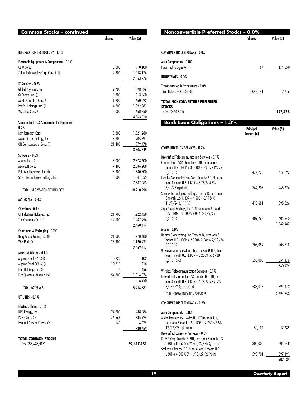| Common Stocks - continued                          |               |                        |
|----------------------------------------------------|---------------|------------------------|
|                                                    | <b>Shares</b> | Value (S)              |
| INFORMATION TECHNOLOGY - 1.1%                      |               |                        |
| Electronic Equipment & Components - 0.1%           |               |                        |
| CDW Corp.                                          | 5,000         | 910,100                |
| Zebra Technologies Corp. Class A (I)               | 2,800         | 1,443,176<br>2,353,276 |
| IT Services - 0.3%                                 |               |                        |
| Global Payments, Inc.                              | 9,700         | 1,528,526              |
| GoDaddy, Inc. (I)                                  | 8,800         | 613,360                |
| MasterCard, Inc. Class A                           | 1,900         | 660,592                |
| PayPal Holdings, Inc. (I)                          | 4,200         | 1,092,882              |
| Visa, Inc. Class A                                 | 3,000         | 668,250<br>4,563,610   |
| Semiconductors & Semiconductor Equipment -<br>0.2% |               |                        |
| Lam Research Corp.                                 | 3,200         | 1,821,280              |
| Microchip Technology, Inc.                         | 5,900         | 905,591                |
| ON Semiconductor Corp. (I)                         | 21,400        | 979,478                |
|                                                    |               | 3,706,349              |
| Software - 0.5%                                    |               |                        |
| Adobe, Inc. (I)                                    | 5,000         | 2,878,600              |
| Microsoft Corp.                                    | 7,400         | 2,086,208              |
| Palo Alto Networks, Inc. (I)                       | 3,300         | 1,580,700              |
| SS&C Technologies Holdings, Inc.                   | 15,008        | 1,041,555              |
|                                                    |               | 7,587,063              |
| TOTAL INFORMATION TECHNOLOGY                       |               | 18,210,298             |
| <b>MATERIALS - 0.4%</b>                            |               |                        |
| Chemicals - 0.1%                                   |               |                        |
| CF Industries Holdings, Inc.                       | 21,900        | 1,222,458              |
| The Chemours Co. LLC                               | 42,600        | 1,237,956              |
|                                                    |               | 2,460,414              |
| Containers & Packaging - 0.2%                      |               |                        |
| Berry Global Group, Inc. (I)                       | 21,000        | 1,278,480              |
| WestRock Co.                                       | 23,900        | 1,190,937              |
| Metals & Mining - 0.1%                             |               | 2,469,417              |
| Algoma Steel GP (c) (l)                            | 10,220        | 102                    |
| Algoma Steel SCA (c)(l)                            | 10,220        | 818                    |
| Elah Holdings, Inc. (I)                            | 14            | 1,456                  |
| First Quantum Minerals Ltd.                        | 54,800        | 1,014,574              |
|                                                    |               | 1,016,950              |
| TOTAL MATERIALS                                    |               | 5,946,781              |
| UTILITIES - 0.1%                                   |               |                        |
| Electric Utilities - 0.1%                          |               |                        |
| NRG Energy, Inc.                                   | 24,200        | 988,086                |
| PG&E Corp. (I)                                     | 76,666        | 735,994                |
| Portland General Electric Co.                      | 140           | 6,579                  |
|                                                    |               | 1,730,659              |
| <b>TOTAL COMMON STOCKS</b>                         |               |                        |
| (Cost \$53,683,488)                                |               | 92,417,131             |

| Nonconvertible Preferred Stocks - 0.0%                                                                                                                                   |                         |                      |
|--------------------------------------------------------------------------------------------------------------------------------------------------------------------------|-------------------------|----------------------|
|                                                                                                                                                                          | Shares                  | Value (\$)           |
| <b>CONSUMER DISCRETIONARY - 0.0%</b>                                                                                                                                     |                         |                      |
| Auto Components - 0.0%<br>Exide Technologies (c)(l)                                                                                                                      |                         | 187 — 187<br>174,050 |
| <b>INDUSTRIALS - 0.0%</b>                                                                                                                                                |                         |                      |
| Transportation Infrastructure - 0.0%<br>Tricer Holdco SCA (b)(c)(l)                                                                                                      | 8,042,141               | 2,716                |
| TOTAL NONCONVERTIBLE PREFERRED<br>STOCKS<br>(Cost \$460,804)                                                                                                             |                         | 176,766              |
| <b>Bank Loan Obligations - 1.3%</b>                                                                                                                                      | Principal<br>Amount (a) | Value (S)            |
| <b>COMMUNICATION SERVICES - 0.2%</b>                                                                                                                                     |                         |                      |
| Diversified Telecommunication Services - 0.1%<br>Connect Finco SARL Tranche B 1LN, term loan 3<br>month U.S. LIBOR + 3.500% 4.5% 12/12/26                                |                         |                      |
| (g)(h)(n)<br>Frontier Communications Corp. Tranche B 1LN, term                                                                                                           | 477,725                 | 477,897              |
| loan 3 month U.S. LIBOR + 3.750% 4.5%<br>$5/1/28$ (g) (h) (n)<br>Securus Technologies Holdings Tranche B, term loan                                                      | 264,203                 | 263,624              |
| 3 month U.S. LIBOR + 4.500% 6.1934%<br>$11/1/24$ (g) (h) (n)<br>Zayo Group Holdings, Inc. 1LN, term loan 3 month                                                         | 415,681                 | 395,026              |
| U.S. LIBOR + 3.000% 3.0841% 3/9/27<br>(g)(h)(n)                                                                                                                          | 409,763                 | 405,940<br>1,542,487 |
| Media - 0.0%                                                                                                                                                             |                         |                      |
| Nexstar Broadcasting, Inc. Tranche B, term loan 3<br>month U.S. LIBOR + 2.500% 2.586% 9/19/26<br>(g)(h)(n)                                                               | 207,059                 | 206,748              |
| Univision Communications, Inc. Tranche B 1LN, term<br>loan 1 month U.S. LIBOR + 3.250% 5/6/28<br>(g)(h)(n)(o)                                                            | 355,000                 | 354,176              |
|                                                                                                                                                                          |                         | 560,924              |
| Wireless Telecommunication Services - 0.1%<br>Intelsat Jackson Holdings SA Tranche DD 1LN, term<br>loan 3 month U.S. LIBOR + 4.750% 5.3917%<br>$7/13/22$ (g) (h) (n) (p) |                         | 588,013 591,442      |
| TOTAL COMMUNICATION SERVICES                                                                                                                                             |                         | 2,694,853            |
| <b>CONSUMER DISCRETIONARY - 0.2%</b>                                                                                                                                     |                         |                      |
| Auto Components - 0.0%<br>Midas Intermediate Holdco II LLC Tranche B 1LN,<br>term loan 3 month U.S. LIBOR + 7.750% 7.5%                                                  |                         |                      |
| $12/16/25$ (g) (h) (n)<br><b>Diversified Consumer Services - 0.0%</b>                                                                                                    |                         | 50,134 47,639        |
| KUEHG Corp. Tranche B 2LN, term loan 3 month U.S.<br>LIBOR + 8.250% 9.25% 8/22/25 (g) (h) (n)                                                                            | 305,000                 | 304,848              |
| Sotheby's Tranche B 1LN, term loan 1 month U.S.<br>LIBOR + 4.500% 5% $1/15/27$ (g)(h)(n)                                                                                 | 595,701                 | 597,191<br>902,039   |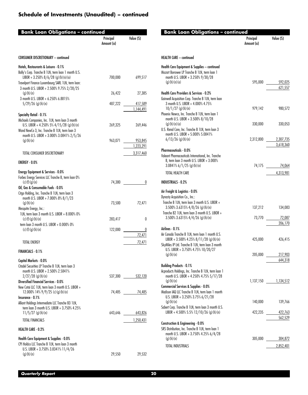| <b>Bank Loan Obligations - continued</b>                                                                     |                         |                      |
|--------------------------------------------------------------------------------------------------------------|-------------------------|----------------------|
|                                                                                                              | Principal<br>Amount (a) | Value (S)            |
| <b>CONSUMER DISCRETIONARY - continued</b>                                                                    |                         |                      |
| Hotels, Restaurants & Leisure - 0.1%                                                                         |                         |                      |
| Bally's Corp. Tranche B 1LN, term loan 1 month U.S.<br>LIBOR + 3.250% $8/6/28$ (g) (h) (n) (o)               | 700,000                 | 699,517              |
| Travelport Finance Luxembourg SARL 1LN, term loan:<br>3 month U.S. LIBOR + 2.500% 9.75% 2/28/25<br>(q)(h)(n) | 26,422                  | 27,385               |
| 3 month U.S. LIBOR + 6.250% 6.8815%                                                                          |                         |                      |
| $5/29/26$ (g) (h) (n)                                                                                        | 487,222                 | 417,589<br>1,144,491 |
| Specialty Retail - 0.1%                                                                                      |                         |                      |
| Michaels Companies, Inc. 1LN, term loan 3 month<br>U.S. LIBOR + 4.250% 5% $4/15/28$ (g)(h)(n)                | 269,325                 | 269,446              |
| Wand NewCo 3, Inc. Tranche B 1LN, term loan 3<br>month U.S. LIBOR + 3.000% 3.0841% 2/5/26                    |                         |                      |
| (g)(h)(n)                                                                                                    | 963,071                 | 953,845              |
|                                                                                                              |                         | 1,223,291            |
| TOTAL CONSUMER DISCRETIONARY                                                                                 |                         | 3,317,460            |
| ENERGY - 0.0%                                                                                                |                         |                      |
| Energy Equipment & Services - 0.0%                                                                           |                         |                      |
| Forbes Energy Services LLC Tranche B, term loan 0%                                                           |                         |                      |
| (c)(f)(g)(n)<br>Oil, Gas & Consumable Fuels - 0.0%                                                           |                         | 74,380<br>0          |
| Citgo Holding, Inc. Tranche B 1LN, term loan 3                                                               |                         |                      |
| month U.S. LIBOR + 7.000% 8% 8/1/23<br>(g)(h)(n)                                                             | 73,500                  | 72,471               |
| Mesquite Energy, Inc.:                                                                                       |                         |                      |
| 1LN, term loan 3 month U.S. LIBOR + 8.000% 0%                                                                |                         |                      |
| $(c)$ (f) (g) (h) (n)<br>term loan 3 month U.S. LIBOR + 0.000% 0%                                            | 283,417                 | 0                    |
| (c) (f) (g) (h) (n)                                                                                          | 122,000                 | 0                    |
|                                                                                                              |                         | 72,471               |
| TOTAL ENERGY                                                                                                 |                         | 72,471               |
| FINANCIALS - 0.1%                                                                                            |                         |                      |
| Capital Markets - 0.0%<br>Citadel Securities LP Tranche B 1LN, term loan 3                                   |                         |                      |
| month U.S. LIBOR + 2.500% 2.5841%                                                                            |                         |                      |
| $2/27/28$ (g) (h) (n)<br><b>Diversified Financial Services - 0.0%</b>                                        |                         | 537,300 532,120      |
| New Cotai LLC 1LN, term loan 3 month U.S. LIBOR +                                                            |                         |                      |
| 12.000% 14% $9/9/25$ (c)(g)(h)(n)                                                                            |                         | 74,485 74,485        |
| Insurance - 0.1%                                                                                             |                         |                      |
| Alliant Holdings Intermediate LLC Tranche B3 1LN,<br>term loan 3 month U.S. LIBOR + 3.750% 4.25%             |                         |                      |
| $11/5/27$ (g) (h) (n)                                                                                        |                         | 643,646 643,826      |
| <b>TOTAL FINANCIALS</b>                                                                                      |                         | 1,250,431            |
| <b>HEALTH CARE - 0.2%</b>                                                                                    |                         |                      |
| Health Care Equipment & Supplies - 0.0%                                                                      |                         |                      |
| CPI Holdco LLC Tranche B 1LN, term loan 3 month                                                              |                         |                      |
| U.S. LIBOR + 3.750% 3.8341% 11/4/26<br>(g)(h)(n)                                                             | 29,550                  | 29,532               |
|                                                                                                              |                         |                      |

| <b>HEALTH CARE - continued</b><br>Health Care Equipment & Supplies - continued<br>Mozart Borrower LP Tranche B 1LN, term loan 1<br>month U.S. LIBOR + 3.250% 9/30/28<br>595,000<br>(g)(h)(n)(o)<br>592,025<br>621,557<br><b>Health Care Providers &amp; Services - 0.2%</b><br>Gainwell Acquisition Corp. Tranche B 1LN, term loan<br>3 month U.S. LIBOR + 4.000% 4.75%<br>$10/1/27$ (g) (h) (n)<br>979,142<br>980,572<br>Phoenix Newco, Inc. Tranche B 1LN, term loan 1<br>month U.S. LIBOR + 3.500% 8/10/28<br>(g)(h)(n)(o)<br>330,000<br>330,053<br>U.S. Renal Care, Inc. Tranche B 1LN, term loan 3<br>month U.S. LIBOR + 5.000% 5.0841%<br>$6/13/26$ (g) (h) (n)<br>2,312,800<br>2,307,735<br>3,618,360<br><b>Pharmaceuticals - 0.0%</b><br>Valeant Pharmaceuticals International, Inc. Tranche<br>B, term loan 3 month U.S. LIBOR + 3.000%<br>$3.0841\%$ 6/1/25 (g)(h)(n)<br>74,064<br>TOTAL HEALTH CARE<br>4,313,981<br><b>INDUSTRIALS - 0.2%</b><br>Air Freight & Logistics - 0.0%<br>Dynasty Acquisition Co., Inc.:<br>Tranche B 1LN, term loan 3 month U.S. LIBOR +<br>$3.500\%$ 3.6315% $4/8/26$ (g) (h) (n)<br>137,212<br>134,083<br>Tranche B2 1LN, term loan 3 month U.S. LIBOR +<br>3.500% 3.6315% 4/4/26 (g) (h) (n)<br>73,770<br>72,087<br>206,170<br>Airlines - 0.1%<br>Air Canada Tranche B 1LN, term loan 1 month U.S.<br>LIBOR + 3.500% 4.25% $8/11/28$ (g) (h) (n)<br>425,000<br>426,415<br>SkyMiles IP Ltd. Tranche B 1LN, term loan 3 month<br>U.S. LIBOR + 3.750% 4.75% $10/20/27$<br>(g)(h)(n)<br>205,000<br>217,903<br>644,318<br><b>Building Products - 0.1%</b><br>Acproducts Holdings, Inc. Tranche B 1LN, term loan 1<br>month U.S. LIBOR + 4.250% 4.75% 5/17/28<br>1,137,150 1,134,512<br>(g)(h)(n)<br>Commercial Services & Supplies - 0.0%<br>Madison IAQ LLC Tranche B 1LN, term loan 1 month<br>U.S. LIBOR + 3.250% 3.75% $6/21/28$<br>140,000 139,766<br>(g)(h)(n)<br>Sabert Corp. Tranche B 1LN, term loan 3 month U.S.<br>LIBOR + 4.500% 5.5% 12/10/26 (g) (h) (n)<br>$422,235$ $422,763$<br>562,529<br>Construction & Engineering - 0.0%<br>SRS Distribution, Inc. Tranche B 1LN, term loan 1<br>month U.S. LIBOR + 3.750% 4.25% 6/4/28<br>305,000 304,872<br>(g)(h)(n)<br>2,852,401<br>TOTAL INDUSTRIALS | Bank Loan Obligations – continued | Principal<br>Amount (a) | Value (S) |
|---------------------------------------------------------------------------------------------------------------------------------------------------------------------------------------------------------------------------------------------------------------------------------------------------------------------------------------------------------------------------------------------------------------------------------------------------------------------------------------------------------------------------------------------------------------------------------------------------------------------------------------------------------------------------------------------------------------------------------------------------------------------------------------------------------------------------------------------------------------------------------------------------------------------------------------------------------------------------------------------------------------------------------------------------------------------------------------------------------------------------------------------------------------------------------------------------------------------------------------------------------------------------------------------------------------------------------------------------------------------------------------------------------------------------------------------------------------------------------------------------------------------------------------------------------------------------------------------------------------------------------------------------------------------------------------------------------------------------------------------------------------------------------------------------------------------------------------------------------------------------------------------------------------------------------------------------------------------------------------------------------------------------------------------------------------------------------------------------------------------------------------------------------------------------------------------------------------------------------------------------|-----------------------------------|-------------------------|-----------|
|                                                                                                                                                                                                                                                                                                                                                                                                                                                                                                                                                                                                                                                                                                                                                                                                                                                                                                                                                                                                                                                                                                                                                                                                                                                                                                                                                                                                                                                                                                                                                                                                                                                                                                                                                                                                                                                                                                                                                                                                                                                                                                                                                                                                                                                   |                                   |                         |           |
|                                                                                                                                                                                                                                                                                                                                                                                                                                                                                                                                                                                                                                                                                                                                                                                                                                                                                                                                                                                                                                                                                                                                                                                                                                                                                                                                                                                                                                                                                                                                                                                                                                                                                                                                                                                                                                                                                                                                                                                                                                                                                                                                                                                                                                                   |                                   |                         |           |
|                                                                                                                                                                                                                                                                                                                                                                                                                                                                                                                                                                                                                                                                                                                                                                                                                                                                                                                                                                                                                                                                                                                                                                                                                                                                                                                                                                                                                                                                                                                                                                                                                                                                                                                                                                                                                                                                                                                                                                                                                                                                                                                                                                                                                                                   |                                   |                         |           |
|                                                                                                                                                                                                                                                                                                                                                                                                                                                                                                                                                                                                                                                                                                                                                                                                                                                                                                                                                                                                                                                                                                                                                                                                                                                                                                                                                                                                                                                                                                                                                                                                                                                                                                                                                                                                                                                                                                                                                                                                                                                                                                                                                                                                                                                   |                                   |                         |           |
|                                                                                                                                                                                                                                                                                                                                                                                                                                                                                                                                                                                                                                                                                                                                                                                                                                                                                                                                                                                                                                                                                                                                                                                                                                                                                                                                                                                                                                                                                                                                                                                                                                                                                                                                                                                                                                                                                                                                                                                                                                                                                                                                                                                                                                                   |                                   |                         |           |
|                                                                                                                                                                                                                                                                                                                                                                                                                                                                                                                                                                                                                                                                                                                                                                                                                                                                                                                                                                                                                                                                                                                                                                                                                                                                                                                                                                                                                                                                                                                                                                                                                                                                                                                                                                                                                                                                                                                                                                                                                                                                                                                                                                                                                                                   |                                   |                         |           |
|                                                                                                                                                                                                                                                                                                                                                                                                                                                                                                                                                                                                                                                                                                                                                                                                                                                                                                                                                                                                                                                                                                                                                                                                                                                                                                                                                                                                                                                                                                                                                                                                                                                                                                                                                                                                                                                                                                                                                                                                                                                                                                                                                                                                                                                   |                                   |                         |           |
|                                                                                                                                                                                                                                                                                                                                                                                                                                                                                                                                                                                                                                                                                                                                                                                                                                                                                                                                                                                                                                                                                                                                                                                                                                                                                                                                                                                                                                                                                                                                                                                                                                                                                                                                                                                                                                                                                                                                                                                                                                                                                                                                                                                                                                                   |                                   |                         |           |
|                                                                                                                                                                                                                                                                                                                                                                                                                                                                                                                                                                                                                                                                                                                                                                                                                                                                                                                                                                                                                                                                                                                                                                                                                                                                                                                                                                                                                                                                                                                                                                                                                                                                                                                                                                                                                                                                                                                                                                                                                                                                                                                                                                                                                                                   |                                   |                         |           |
|                                                                                                                                                                                                                                                                                                                                                                                                                                                                                                                                                                                                                                                                                                                                                                                                                                                                                                                                                                                                                                                                                                                                                                                                                                                                                                                                                                                                                                                                                                                                                                                                                                                                                                                                                                                                                                                                                                                                                                                                                                                                                                                                                                                                                                                   |                                   |                         |           |
|                                                                                                                                                                                                                                                                                                                                                                                                                                                                                                                                                                                                                                                                                                                                                                                                                                                                                                                                                                                                                                                                                                                                                                                                                                                                                                                                                                                                                                                                                                                                                                                                                                                                                                                                                                                                                                                                                                                                                                                                                                                                                                                                                                                                                                                   |                                   |                         |           |
|                                                                                                                                                                                                                                                                                                                                                                                                                                                                                                                                                                                                                                                                                                                                                                                                                                                                                                                                                                                                                                                                                                                                                                                                                                                                                                                                                                                                                                                                                                                                                                                                                                                                                                                                                                                                                                                                                                                                                                                                                                                                                                                                                                                                                                                   |                                   |                         |           |
|                                                                                                                                                                                                                                                                                                                                                                                                                                                                                                                                                                                                                                                                                                                                                                                                                                                                                                                                                                                                                                                                                                                                                                                                                                                                                                                                                                                                                                                                                                                                                                                                                                                                                                                                                                                                                                                                                                                                                                                                                                                                                                                                                                                                                                                   |                                   |                         |           |
|                                                                                                                                                                                                                                                                                                                                                                                                                                                                                                                                                                                                                                                                                                                                                                                                                                                                                                                                                                                                                                                                                                                                                                                                                                                                                                                                                                                                                                                                                                                                                                                                                                                                                                                                                                                                                                                                                                                                                                                                                                                                                                                                                                                                                                                   |                                   |                         |           |
|                                                                                                                                                                                                                                                                                                                                                                                                                                                                                                                                                                                                                                                                                                                                                                                                                                                                                                                                                                                                                                                                                                                                                                                                                                                                                                                                                                                                                                                                                                                                                                                                                                                                                                                                                                                                                                                                                                                                                                                                                                                                                                                                                                                                                                                   |                                   |                         |           |
|                                                                                                                                                                                                                                                                                                                                                                                                                                                                                                                                                                                                                                                                                                                                                                                                                                                                                                                                                                                                                                                                                                                                                                                                                                                                                                                                                                                                                                                                                                                                                                                                                                                                                                                                                                                                                                                                                                                                                                                                                                                                                                                                                                                                                                                   |                                   |                         |           |
|                                                                                                                                                                                                                                                                                                                                                                                                                                                                                                                                                                                                                                                                                                                                                                                                                                                                                                                                                                                                                                                                                                                                                                                                                                                                                                                                                                                                                                                                                                                                                                                                                                                                                                                                                                                                                                                                                                                                                                                                                                                                                                                                                                                                                                                   |                                   |                         |           |
|                                                                                                                                                                                                                                                                                                                                                                                                                                                                                                                                                                                                                                                                                                                                                                                                                                                                                                                                                                                                                                                                                                                                                                                                                                                                                                                                                                                                                                                                                                                                                                                                                                                                                                                                                                                                                                                                                                                                                                                                                                                                                                                                                                                                                                                   |                                   |                         |           |
|                                                                                                                                                                                                                                                                                                                                                                                                                                                                                                                                                                                                                                                                                                                                                                                                                                                                                                                                                                                                                                                                                                                                                                                                                                                                                                                                                                                                                                                                                                                                                                                                                                                                                                                                                                                                                                                                                                                                                                                                                                                                                                                                                                                                                                                   |                                   |                         |           |
|                                                                                                                                                                                                                                                                                                                                                                                                                                                                                                                                                                                                                                                                                                                                                                                                                                                                                                                                                                                                                                                                                                                                                                                                                                                                                                                                                                                                                                                                                                                                                                                                                                                                                                                                                                                                                                                                                                                                                                                                                                                                                                                                                                                                                                                   |                                   |                         |           |
|                                                                                                                                                                                                                                                                                                                                                                                                                                                                                                                                                                                                                                                                                                                                                                                                                                                                                                                                                                                                                                                                                                                                                                                                                                                                                                                                                                                                                                                                                                                                                                                                                                                                                                                                                                                                                                                                                                                                                                                                                                                                                                                                                                                                                                                   |                                   |                         |           |
|                                                                                                                                                                                                                                                                                                                                                                                                                                                                                                                                                                                                                                                                                                                                                                                                                                                                                                                                                                                                                                                                                                                                                                                                                                                                                                                                                                                                                                                                                                                                                                                                                                                                                                                                                                                                                                                                                                                                                                                                                                                                                                                                                                                                                                                   |                                   |                         |           |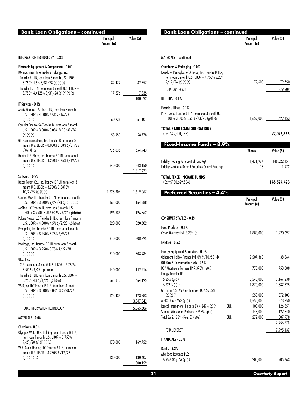| <b>Bank Loan Obligations - continued</b>                                                                                                          |                         |                      |
|---------------------------------------------------------------------------------------------------------------------------------------------------|-------------------------|----------------------|
|                                                                                                                                                   | Principal<br>Amount (a) | Value (\$)           |
| <b>INFORMATION TECHNOLOGY - 0.3%</b>                                                                                                              |                         |                      |
| Electronic Equipment & Components - 0.0%<br>DG Investment Intermediate Holdings, Inc.:                                                            |                         |                      |
| Tranche B 1LN, term loan 3 month U.S. LIBOR +<br>$3.750\%$ 4.5% $3/31/28$ (g) (h) (n)                                                             | 82,477                  | 82,757               |
| Tranche DD 1LN, term loan 3 month U.S. LIBOR +<br>$3.750\%$ 4.4425% $3/31/28$ (g)(h)(n)(p)                                                        | 17,276                  | 17,335<br>100,092    |
| IT Services - 0.1%<br>Acuris Finance U.S., Inc. 1LN, term loan 3 month                                                                            |                         |                      |
| U.S. LIBOR + 4.000% 4.5% $2/16/28$<br>(g)(h)(n)                                                                                                   | 60,938                  | 61,101               |
| Camelot Finance SA Tranche B, term loan 3 month<br>U.S. LIBOR + 3.000% 3.0841% $10/31/26$<br>(g)(h)(n)                                            | 58,950                  | 58,778               |
| GTT Communications, Inc. Tranche B, term loan 3<br>month U.S. LIBOR + 0.000% 2.88% 5/31/25                                                        |                         |                      |
| (f)(g)(h)(n)<br>Hunter U.S. Bidco, Inc. Tranche B 1LN, term loan 1<br>month U.S. LIBOR + 4.250% 4.75% 8/19/28                                     | 776,035                 | 654,943              |
| (g)(h)(n)                                                                                                                                         | 840,000                 | 843,150<br>1,617,972 |
| Software - 0.2%<br>Boxer Parent Co., Inc. Tranche B 1LN, term loan 3                                                                              |                         |                      |
| month U.S. LIBOR + 3.750% 3.8815%<br>$10/2/25$ (g) (h) (n)                                                                                        | 1,628,906               | 1,619,067            |
| ConnectWise LLC Tranche B 1LN, term loan 3 month<br>U.S. LIBOR + 3.500% $9/24/28$ (g) (h) (n) (o)<br>McAfee LLC Tranche B, term loan 3 month U.S. | 165,000                 | 164,588              |
| LIBOR + 3.750% 3.8368% 9/29/24 (g) (h) (n)<br>Polaris Newco LLC Tranche B 1LN, term loan 1 month                                                  | 196,336                 | 196,362              |
| U.S. LIBOR + 4.000% 4.5% $6/2/28$ (g)(h)(n)<br>Proofpoint, Inc. Tranche B 1LN, term loan 1 month                                                  | 320,000                 | 320,602              |
| U.S. LIBOR + 3.250% 3.75% $6/9/28$<br>(g)(h)(n)<br>RealPage, Inc. Tranche B 1LN, term loan 3 month                                                | 310,000                 | 308,295              |
| U.S. LIBOR + 3.250% 3.75% $4/22/28$<br>(g)(h)(n)                                                                                                  | 310,000                 | 308,934              |
| UKG, Inc.:<br>2LN, term loan 3 month U.S. LIBOR + 6.750%                                                                                          |                         |                      |
| $7.5\% 5/3/27$ (g)(h)(n)<br>Tranche B 1LN, term loan 3 month U.S. LIBOR +<br>$3.250\%$ 4% $5/4/26$ (g) (h) (n)                                    | 140,000<br>663,313      | 142,216<br>664,195   |
| VS Buyer LLC Tranche B 1LN, term loan 3 month<br>U.S. LIBOR + 3.000% 3.0841% 2/28/27                                                              |                         |                      |
| (g)(h)(n)                                                                                                                                         | 123,438                 | 123,283<br>3,847,542 |
| TOTAL INFORMATION TECHNOLOGY                                                                                                                      |                         | 5,565,606            |
| MATERIALS - 0.0%                                                                                                                                  |                         |                      |
| Chemicals - 0.0%<br>Olympus Water U.S. Holding Corp. Tranche B 1LN,<br>term loan 1 month U.S. LIBOR + 3.750%                                      |                         |                      |
| $9/21/28$ (g) (h) (n) (o)<br>W.R. Grace Holding LLC Tranche B 1LN, term loan 1                                                                    | 170,000                 | 169,752              |
| month U.S. LIBOR + 3.750% 8/12/28<br>(g)(h)(n)(o)                                                                                                 | 130,000                 | 130,407<br>300,159   |

| <b>Bank Loan Obligations - continued</b>                                                                                             |     |                         |                      |
|--------------------------------------------------------------------------------------------------------------------------------------|-----|-------------------------|----------------------|
|                                                                                                                                      |     | Principal<br>Amount (a) | Value (S)            |
| MATERIALS - continued                                                                                                                |     |                         |                      |
| Containers & Packaging - 0.0%<br>Kloeckner Pentaplast of America, Inc. Tranche B 1LN,<br>term loan 3 month U.S. LIBOR + 4.750% 5.25% |     |                         |                      |
| $2/12/26$ (g) (h) (n)                                                                                                                |     | 79,600                  | 79,750               |
| <b>TOTAL MATERIALS</b>                                                                                                               |     |                         | 379,909              |
| UTILITIES - 0.1%                                                                                                                     |     |                         |                      |
| Electric Utilities - 0.1%<br>PG&E Corp. Tranche B 1LN, term loan 3 month U.S.<br>LIBOR + 3.000% 3.5% $6/23/25$ (g) (h) (n)           |     |                         | 1,659,000 1,629,453  |
| TOTAL BANK LOAN OBLIGATIONS<br>(Cost \$22,401,145)                                                                                   |     |                         | 22,076,565           |
| Fixed-Income Funds - 8.9%                                                                                                            |     |                         |                      |
|                                                                                                                                      |     | <b>Shares</b>           | Value (S)            |
| Fidelity Floating Rate Central Fund (g)<br>Fidelity Mortgage Backed Securities Central Fund (q)                                      |     | 1,471,977<br>18         | 148,522,451<br>1,972 |
| TOTAL FIXED-INCOME FUNDS<br>(Cost \$150,629,564)                                                                                     |     |                         | 148,524,423          |
| <b>Preferred Securities - 4.4%</b>                                                                                                   |     |                         |                      |
|                                                                                                                                      |     | Principal<br>Amount (a) | Value (S)            |
| CONSUMER STAPLES - 0.1%                                                                                                              |     |                         |                      |
| Food Products - 0.1%<br>Cosan Overseas Ltd. 8.25% (r)                                                                                |     |                         | 1,885,000 1,920,697  |
| ENERGY - 0.5%                                                                                                                        |     |                         |                      |
| Energy Equipment & Services - 0.0%                                                                                                   |     |                         |                      |
| Odebrecht Holdco Finance Ltd. 0% 9/10/58 (d)                                                                                         |     | 2,507,360               | 38,864               |
| Oil, Gas & Consumable Fuels - 0.5%<br>DCP Midstream Partners LP 7.375% (g) (r)<br>Energy Transfer LP:                                |     | 775,000                 | 753,688              |
| $6.25\%$ (g)(r)                                                                                                                      |     | 3,540,000               | 3,167,238            |
| $6.625\%$ (g)(r)<br>Gazprom PJSC Via Gaz Finance PLC 4.5985%                                                                         |     | 1,370,000               | 1,332,325            |
| (d)(g)(r)                                                                                                                            |     | 550,000                 | 572,103              |
| MPLX LP 6.875% (g) (r)                                                                                                               |     | 1,550,000               | 1,573,250            |
| Repsol International Finance BV 4.247% (g) (r)                                                                                       | EUR | 100,000                 | 126,851              |
| Summit Midstream Partners LP 9.5% (g) (r)<br>Total SA 2.125% (Reg. S) (g)(r)                                                         | EUR | 148,000<br>272,000      | 122,840<br>307,978   |
|                                                                                                                                      |     |                         | 7,956,273            |
| <b>TOTAL ENERGY</b>                                                                                                                  |     |                         | 7,995,137            |
| FINANCIALS - 3.7%                                                                                                                    |     |                         |                      |
| <b>Banks - 3.3%</b>                                                                                                                  |     |                         |                      |
| Alfa Bond Issuance PLC:                                                                                                              |     |                         |                      |
| $6.95\%$ (Reg. S) (g)(r)                                                                                                             |     | 200,000                 | 205,663              |
|                                                                                                                                      |     |                         |                      |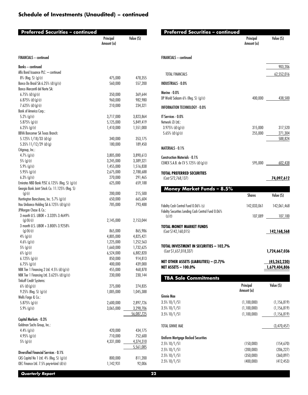| Preferred Securities – continued                                    |                         |                        |
|---------------------------------------------------------------------|-------------------------|------------------------|
|                                                                     | Principal<br>Amount (a) | Value (S)              |
| <b>FINANCIALS</b> - continued                                       |                         |                        |
| <b>Banks - continued</b>                                            |                         |                        |
| Alfa Bond Issuance PLC: - continued                                 |                         |                        |
| 8% (Reg. S) (g) (r)                                                 | 475,000                 | 478,355                |
| Banco Do Brasil SA 6.25% (d) (g) (r)                                | 560,000                 | 557,200                |
| Banco Mercantil del Norte SA:                                       |                         |                        |
| 6.75% (d)(g)(r)                                                     | 350,000                 | 369,644                |
| $6.875\%$ (d) (g) (r)                                               | 960,000                 | 982,980                |
| $7.625\%$ (d) (g) (r)                                               | 210,000                 | 234,321                |
| <b>Bank of America Corp.:</b>                                       |                         |                        |
| 5.2% (g) (r)                                                        | 3,717,000               | 3,823,864              |
| 5.875% (g) (r)                                                      | 5,125,000               | 5,849,419              |
| $6.25\%$ (g)(r)                                                     | 1,410,000               | 1,551,000              |
| <b>BBVA Bancomer SA Texas Branch:</b><br>$5.125\%$ $1/18/33$ (d)(g) | 340,000                 | 353,175                |
| 5.35% $11/12/29$ (d)(g)                                             | 180,000                 | 189,450                |
| Citigroup, Inc.:                                                    |                         |                        |
| $4.7\%$ (g) (r)                                                     | 3,805,000               | 3,890,613              |
| 5% (g) (r)                                                          | 3,245,000               | 3,389,321              |
| $5.9\%$ (g)(r)                                                      | 1,455,000               | 1,516,838              |
| 5.95% (g)(r)                                                        | 2,675,000               | 2,788,688              |
| $6.3\%$ (g)(r)                                                      | 270,000                 | 291,465                |
| Emirates NBD Bank PJSC 6.125% (Reg. S) (g) (r)                      | 625,000                 | 659,188                |
| Georgia Bank Joint Stock Co. 11.125% (Reg. S)                       |                         |                        |
| (g)(r)                                                              | 200,000                 | 215,500                |
| Huntington Bancshares, Inc. 5.7% (g) (r)                            | 650,000                 | 665,604                |
| Itau Unibanco Holding SA 6.125% (d) (g) (r)                         | 785,000                 | 793,488                |
| JPMorgan Chase & Co.:                                               |                         |                        |
| 3 month U.S. LIBOR + 3.320% 3.4649%                                 |                         |                        |
| (g)(h)(r)                                                           | 2,145,000               | 2,153,044              |
| 3 month U.S. LIBOR + 3.800% 3.9258%                                 |                         |                        |
| (g)(h)(r)                                                           | 865,000                 | 865,986                |
| $4\%$ (g) (r)                                                       | 4,805,000<br>1,225,000  | 4,825,421              |
| $4.6\%$ (g)(r)                                                      | 1,660,000               | 1,252,563<br>1,732,625 |
| 5% (g) (r)<br>$6\%$ (g) (r)                                         | 6,524,000               | 6,882,820              |
| $6.125\%$ (g) (r)                                                   | 850,000                 | 914,813                |
| $6.75\%$ (g)(r)                                                     | 400,000                 | 439,000                |
| NBK Tier 1 Financing 2 Ltd. 4.5% (d) (g) (r)                        | 455,000                 | 468,878                |
| NBK Tier 1 Financing Ltd. 3.625% (d)(g)(r)                          | 230,000                 | 230,144                |
| <b>Tinkoff Credit Systems:</b>                                      |                         |                        |
| $6\%$ (d) (g) (r)                                                   | 275,000                 | 274,835                |
| $9.25\%$ (Reg. S) (g)(r)                                            | 1,005,000               | 1,045,388              |
| Wells Fargo & Co.:                                                  |                         |                        |
| 5.875% (g) (r)                                                      | 2,600,000               | 2,897,726              |
| $5.9\%$ (g)(r)                                                      | 3,065,000               | 3,298,706              |
|                                                                     |                         | 56,087,725             |
| Capital Markets - 0.3%                                              |                         |                        |
| Goldman Sachs Group, Inc.:                                          |                         |                        |
| 4.4% (g) (r)                                                        | 420,000                 | 434,175                |
| $4.95\%$ (g) (r)                                                    | 710,000                 | 752,600                |
| 5% (g) (r)                                                          | 4,331,000               | 4,374,310              |
|                                                                     |                         | 5,561,085              |
| Diversified Financial Services - 0.1%                               |                         |                        |
| CAS Capital No 1 Ltd. 4% (Reg. S) (g) (r)                           | 800,000                 | 811,200                |
| OEC Finance Ltd. 7.5% pay-in-kind (d) (r)                           | 1,142,931               | 92,006                 |

| Preferred Securities - continued                                                     | Principal<br>Amount (a)      | Value (S)                       |
|--------------------------------------------------------------------------------------|------------------------------|---------------------------------|
| <b>FINANCIALS</b> - continued                                                        |                              |                                 |
|                                                                                      |                              | 903,206                         |
| TOTAL FINANCIALS                                                                     |                              | 62,552,016                      |
| <b>INDUSTRIALS - 0.0%</b>                                                            |                              |                                 |
| <b>Marine - 0.0%</b><br>DP World Salaam 6% (Reg. S) (g) (r)                          |                              | 400,000 438,500                 |
| <b>INFORMATION TECHNOLOGY - 0.0%</b>                                                 |                              |                                 |
| IT Services - 0.0%<br>Network i2i Ltd.:<br>$3.975%$ (d) (g) (r)<br>5.65% (d) (g) (r) | 315,000<br>255,000           | 317,520<br>271,304<br>588,824   |
| MATERIALS - 0.1%                                                                     |                              |                                 |
| <b>Construction Materials - 0.1%</b><br>CEMEX S.A.B. de CV 5.125% (d) (g) (r)        |                              | 595,000 602,438                 |
| <b>TOTAL PREFERRED SECURITIES</b><br>(Cost \$72,768,137)                             |                              | 74,097,612                      |
| Money Market Funds - 8.5%                                                            |                              |                                 |
|                                                                                      | <b>Shares</b>                | Value (S)                       |
| Fidelity Cash Central Fund 0.06% (s)                                                 |                              | 142,033,061 142,061,468         |
| Fidelity Securities Lending Cash Central Fund 0.06%<br>(s)(t)                        |                              | 107,089 107,100                 |
| <b>TOTAL MONEY MARKET FUNDS</b><br>(Cost \$142, 160, 015)                            |                              | 142,168,568                     |
| TOTAL INVESTMENT IN SECURITIES - 102.7%<br>(Cost \$1,657,018,337)                    |                              | 1,724,667,036                   |
| NET OTHER ASSETS (LIABILITIES) - (2.7)%<br><b>NET ASSETS - 100.0%</b>                |                              | (45, 262, 230)<br>1,679,404,806 |
| <b>TBA Sale Commitments</b>                                                          |                              |                                 |
|                                                                                      | Principal<br>Amount (a)      | Value (\$)                      |
| <b>Ginnie Mae</b>                                                                    |                              |                                 |
| 3.5% 10/1/51<br>3.5% 10/1/51                                                         | (1,100,000)                  | (1, 156, 819)                   |
| $3.5\%$ 10/1/51                                                                      | (1, 100, 000)<br>(1,100,000) | (1, 156, 819)<br>(1, 156, 819)  |
|                                                                                      |                              |                                 |
| <b>TOTAL GINNIE MAE</b>                                                              |                              | (3,470,457)                     |
| <b>Uniform Mortgage Backed Securities</b>                                            |                              |                                 |
| 2.5% 10/1/51                                                                         | (150,000)                    | (154, 670)                      |
| 2.5% 10/1/51                                                                         | (200,000)                    | (206, 227)                      |
| 2.5% 10/1/51<br>2.5% 10/1/51                                                         | (350,000)<br>(400,000)       | (360, 897)<br>(412, 453)        |
|                                                                                      |                              |                                 |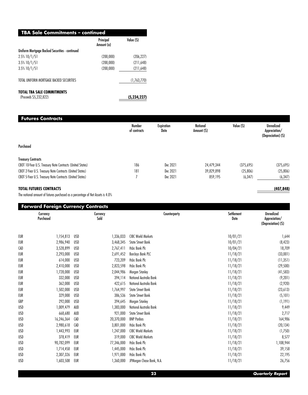| <b>TBA Sale Commitments - continued</b> |             |  |  |  |  |
|-----------------------------------------|-------------|--|--|--|--|
| Principal<br>Amount (a)                 | Value (S)   |  |  |  |  |
|                                         |             |  |  |  |  |
| (200,000)                               | (206, 227)  |  |  |  |  |
| (200,000)                               | (211,648)   |  |  |  |  |
| (200,000)                               | (211,648)   |  |  |  |  |
|                                         | (1,763,770) |  |  |  |  |
|                                         | (5,234,227) |  |  |  |  |
|                                         |             |  |  |  |  |

## **Futures Contracts**

|                                                           | Number<br>of contracts | <b>Expiration</b><br>Date | <b>Notional</b><br>Amount (S) | Value (S) | <b>Unrealized</b><br>Appreciation/<br>(Depreciation) (\$) |
|-----------------------------------------------------------|------------------------|---------------------------|-------------------------------|-----------|-----------------------------------------------------------|
| Purchased                                                 |                        |                           |                               |           |                                                           |
| <b>Treasury Contracts</b>                                 |                        |                           |                               |           |                                                           |
| CBOT 10-Year U.S. Treasury Note Contracts (United States) | 186                    | Dec 2021                  | 24,479,344                    | (375,695) | (375,695)                                                 |
| CBOT 2-Year U.S. Treasury Note Contracts (United States)  | 181                    | Dec 2021                  | 39,829,898                    | (25,806)  | (25,806)                                                  |
| CBOT 5-Year U.S. Treasury Note Contracts (United States)  |                        | Dec 2021                  | 859,195                       | (6, 347)  | (6, 347)                                                  |

## **TOTAL FUTURES CONTRACTS (407,848)**

The notional amount of futures purchased as a percentage of Net Assets is 4.0%

|            | Currency<br>Purchased |            | Currency<br>Sold | Counterparty              | Settlement<br>Date | <b>Unrealized</b><br>Appreciation/<br>(Depreciation) (\$) |
|------------|-----------------------|------------|------------------|---------------------------|--------------------|-----------------------------------------------------------|
|            |                       |            |                  |                           |                    |                                                           |
| EUR        | 1,154,813             | USD        | 1,336,033        | <b>CIBC World Markets</b> | 10/01/21           | 1,644                                                     |
| EUR        | 2,986,940             | USD        | 3,468,345        | <b>State Street Bank</b>  | 10/01/21           | (8, 423)                                                  |
| <b>CAD</b> | 3,528,899             | USD        | 2,767,411        | Hsbc Bank Plc             | 10/04/21           | 18,709                                                    |
| EUR        | 2,293,000             | <b>USD</b> | 2,691,452        | <b>Barclays Bank PLC</b>  | 11/18/21           | (33,001)                                                  |
| EUR        | 614,000               | USD        | 723,209          | Hsbc Bank Plc             | 11/18/21           | (11, 351)                                                 |
| EUR        | 2,410,000             | USD        | 2,823,598        | Hsbc Bank Plc             | 11/18/21           | (29, 500)                                                 |
| EUR        | 1,728,000             | USD        | 2,044,986        | Morgan Stanley            | 11/18/21           | (41, 583)                                                 |
| EUR        | 332,000               | USD        | 394,114          | National Australia Bank   | 11/18/21           | (9,201)                                                   |
| EUR        | 362,000               | USD        | 422,615          | National Australia Bank   | 11/18/21           | (2,920)                                                   |
| EUR        | 1,502,000             | <b>USD</b> | 1,764,997        | <b>State Street Bank</b>  | 11/18/21           | (23, 613)                                                 |
| EUR        | 329,000               | <b>USD</b> | 386,536          | <b>State Street Bank</b>  | 11/18/21           | (5,101)                                                   |
| GBP        | 292,000               | USD        | 394,645          | Morgan Stanley            | 11/18/21           | (1, 191)                                                  |
| <b>USD</b> | 1,009,479             | AUD        | 1,383,000        | National Australia Bank   | 11/18/21           | 9,449                                                     |
| <b>USD</b> | 668,680               | AUD        | 921,000          | <b>State Street Bank</b>  | 11/18/21           | 2,717                                                     |
| <b>USD</b> | 16,246,364            | CAD        | 20,370,000       | <b>BNP Paribas</b>        | 11/18/21           | 164,986                                                   |
| USD        | 2,980,618             | <b>CAD</b> | 3,801,000        | <b>Hsbc Bank Plc</b>      | 11/18/21           | (20, 134)                                                 |
| <b>USD</b> | 1,443,993             | EUR        | 1,247,000        | <b>CIBC World Markets</b> | 11/18/21           | (1,750)                                                   |
| USD        | 378,419               | EUR        | 319,000          | <b>CIBC World Markets</b> | 11/18/21           | 8,577                                                     |
| USD        | 90,782,099            | EUR        | 77,346,000       | <b>Hsbc Bank Plc</b>      | 11/18/21           | 1,108,944                                                 |
| <b>USD</b> | 1,714,458             | EUR        | 1,445,000        | Hsbc Bank Plc             | 11/18/21           | 39,158                                                    |
| <b>USD</b> | 2,307,326             | EUR        | 1,971,000        | Hsbc Bank Plc             | 11/18/21           | 22,195                                                    |
| <b>USD</b> |                       | EUR        |                  | JPMorgan Chase Bank, N.A. |                    | 26,756                                                    |
|            | 1,603,508             |            | 1,360,000        |                           | 11/18/21           |                                                           |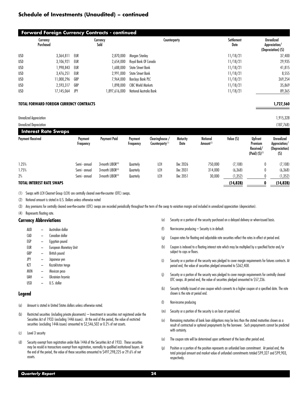|            | Currency<br>Purchased                           |     | Currency<br>Sold | Counterparty              | Settlement<br>Date | <b>Unrealized</b><br>Appreciation/<br>(Depreciation) (\$) |
|------------|-------------------------------------------------|-----|------------------|---------------------------|--------------------|-----------------------------------------------------------|
| USD        | 3.364.811                                       | EUR | 2,870,000        | Morgan Stanley            | 11/18/21           | 37,400                                                    |
| USD        | 3,106,921                                       | EUR | 2,654,000        | Royal Bank Of Canada      | 11/18/21           | 29,935                                                    |
| USD        | 1,998,843                                       | EUR | 1,688,000        | <b>State Street Bank</b>  | 11/18/21           | 41,815                                                    |
| <b>USD</b> | 3,476,251                                       | EUR | 2,991,000        | <b>State Street Bank</b>  | 11/18/21           | 8,555                                                     |
| <b>USD</b> | 11,000,296                                      | GBP | 7.964.000        | <b>Barclays Bank PLC</b>  | 11/18/21           | 269,254                                                   |
| USD        | 2.593.317                                       | GBP | 1.898.000        | <b>CIBC World Markets</b> | 11/18/21           | 35,869                                                    |
| <b>USD</b> | 17,145,064                                      | JPY | 1,897,616,000    | National Australia Bank   | 11/18/21           | 89,365                                                    |
|            | <b>TOTAL FORWARD FOREIGN CURRENCY CONTRACTS</b> |     |                  |                           |                    | 1,727,560                                                 |

Unrealized Appreciation 1,915,328

| Unrealized Depreciation          |                      |                              |                      |                                                |                  |                                          |            |                                                              | (187,768)                                            |
|----------------------------------|----------------------|------------------------------|----------------------|------------------------------------------------|------------------|------------------------------------------|------------|--------------------------------------------------------------|------------------------------------------------------|
| <b>Interest Rate Swaps</b>       |                      |                              |                      |                                                |                  |                                          |            |                                                              |                                                      |
| <b>Payment Received</b>          | Payment<br>Frequency | <b>Payment Paid</b>          | Payment<br>Frequency | Clearinghouse /<br>Counterparty <sup>(1)</sup> | Maturity<br>Date | <b>Notional</b><br>Amount <sup>(2)</sup> | Value (\$) | <b>Upfront</b><br>Premium<br>Received/<br>(Paid) $(5)^{(3)}$ | Unrealized<br>Appreciation/<br>(Depreciation)<br>(S) |
| 1.25%                            | Semi - annual        | 3-month LIBOR <sup>(4)</sup> | Quarterly            | LCH                                            | Dec 2026         | 750.000                                  | (7,108)    | 0                                                            | (7,108)                                              |
| 1.75%                            | Semi - annual        | 3-month LIBOR <sup>(4)</sup> | Quarterly            | LCH                                            | Dec 2031         | 314,000                                  | (6,368)    | 0                                                            | (6,368)                                              |
| 2%                               | Semi - annual        | 3-month LIBOR <sup>(4)</sup> | Quarterly            | LCH                                            | Dec 2051         | 30,000                                   | (1, 352)   | 0                                                            | (1, 352)                                             |
| <b>TOTAL INTEREST RATE SWAPS</b> |                      |                              |                      |                                                |                  |                                          | (14, 828)  |                                                              | (14,828)                                             |

(1) Swaps with LCH Clearnet Group (LCH) are centrally cleared over-the-counter (OTC) swaps.

(2) Notional amount is stated in U.S. Dollars unless otherwise noted

(3) Any premiums for centrally cleared over-the-counter (OTC) swaps are recorded periodically throughout the term of the swap to variation margin and included in unrealized appreciation (depreciation).

(4) Represents floating rate.

#### **Currency Abbreviations**

- AUD Australian dollar
- CAD Canadian dollar
- EGP Egyptian pound
- EUR European Monetary Unit
- GBP British pound
- JPY Japanese yen
- KZT Kazakhstan tenge
- MXN Mexican peso
- UAH Ukrainian hryvnia
- USD U.S. dollar

#### **Legend**

- (a) Amount is stated in United States dollars unless otherwise noted.
- (b) Restricted securities (including private placements) Investment in securities not registered under the Securities Act of 1933 (excluding 144A issues). At the end of the period, the value of restricted securities (excluding 144A issues) amounted to \$2,546,502 or 0.2% of net assets.
- (c) Level 3 security
- (d) Security exempt from registration under Rule 144A of the Securities Act of 1933. These securities may be resold in transactions exempt from registration, normally to qualified institutional buyers. At the end of the period, the value of these securities amounted to \$497,298,225 or 29.6% of net assets.
- (e) Security or a portion of the security purchased on a delayed delivery or when-issued basis.
- (f) Non-income producing Security is in default.
- (g) Coupon rates for floating and adjustable rate securities reflect the rates in effect at period end.
- (h) Coupon is indexed to a floating interest rate which may be multiplied by a specified factor and/or subject to caps or floors.
- (i) Security or a portion of the security was pledged to cover margin requirements for futures contracts. At period end, the value of securities pledged amounted to \$362,408.
- (j) Security or a portion of the security was pledged to cover margin requirements for centrally cleared OTC swaps. At period end, the value of securities pledged amounted to \$57,236.
- (k) Security initially issued at one coupon which converts to a higher coupon at a specified date. The rate shown is the rate at period end.
- (l) Non-income producing
- (m) Security or a portion of the security is on loan at period end.
- (n) Remaining maturities of bank loan obligations may be less than the stated maturities shown as a result of contractual or optional prepayments by the borrower. Such prepayments cannot be predicted with certainty.
- (o) The coupon rate will be determined upon settlement of the loan after period end.
- (p) Position or a portion of the position represents an unfunded loan commitment. At period end, the total principal amount and market value of unfunded commitments totaled \$99,327 and \$99,903, respectively.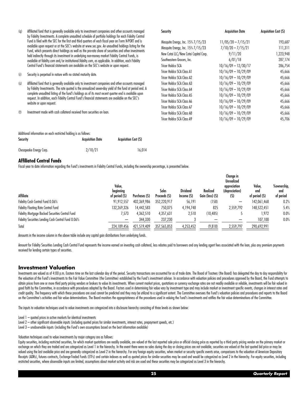| (q) | Affiliated fund that is generally available only to investment companies and other accounts managed                                                                                                            | Security                              | <b>Acquisition Date</b> | <b>Acquisition Cost (S)</b> |  |
|-----|----------------------------------------------------------------------------------------------------------------------------------------------------------------------------------------------------------------|---------------------------------------|-------------------------|-----------------------------|--|
|     | by Fidelity Investments. A complete unaudited schedule of portfolio holdings for each Fidelity Central                                                                                                         |                                       |                         |                             |  |
|     | Fund is filed with the SEC for the first and third guarters of each fiscal year on Form N-PORT and is                                                                                                          | Mesquite Energy, Inc. 15% 7/15/23     | $11/05/20 - 7/15/21$    | 193,687                     |  |
|     | available upon request or at the SEC's website at www.sec.gov. An unaudited holdings listing for the<br>Fund, which presents direct holdings as well as the pro-rata share of securities and other investments | Mesquite Energy, Inc. 15% 7/15/23     | $7/10/20 - 7/15/21$     | 111,311                     |  |
|     | held indirectly through its investment in underlying non-money market Fidelity Central Funds, is                                                                                                               | New Cotai LLC/New Cotai Capital Corp. | 9/11/20                 | 1,223,948                   |  |
|     | available at fidelity.com and/or institutional.fidelity.com, as applicable. In addition, each Fidelity                                                                                                         | Southeastern Grocers, Inc.            | 6/01/18                 | 287,174                     |  |
|     | Central Fund's financial statements are available on the SEC's website or upon request.                                                                                                                        | Tricer Holdco SCA                     | $10/16/09 - 12/30/17$   | 286,754                     |  |
| (r) |                                                                                                                                                                                                                | Tricer Holdco SCA Class AT            | $10/16/09 - 10/29/09$   | 45,666                      |  |
|     | Security is perpetual in nature with no stated maturity date.                                                                                                                                                  | Tricer Holdco SCA Class A2            | $10/16/09 - 10/29/09$   | 45,666                      |  |
| (s) | Affiliated fund that is generally available only to investment companies and other accounts managed                                                                                                            | Tricer Holdco SCA Class A3            | $10/16/09 - 10/29/09$   | 45,666                      |  |
|     | by Fidelity Investments. The rate quoted is the annualized seven-day yield of the fund at period end. A                                                                                                        | Tricer Holdco SCA Class A4            | $10/16/09 - 10/29/09$   | 45,666                      |  |
|     | complete unaudited listing of the fund's holdings as of its most recent quarter end is available upon                                                                                                          | Tricer Holdco SCA Class A5            | $10/16/09 - 10/29/09$   | 45,666                      |  |
|     | request. In addition, each Fidelity Central Fund's financial statements are available on the SEC's<br>website or upon request.                                                                                 | Tricer Holdco SCA Class A6            | $10/16/09 - 10/29/09$   | 45,666                      |  |
|     |                                                                                                                                                                                                                | Tricer Holdco SCA Class A7            | $10/16/09 - 10/29/09$   | 45,666                      |  |
| (t) | Investment made with cash collateral received from securities on loan.                                                                                                                                         | Tricer Holdco SCA Class A8            | $10/16/09 - 10/29/09$   | 45,666                      |  |
|     |                                                                                                                                                                                                                | Tricer Holdco SCA Class A9            | $10/16/09 - 10/29/09$   | 45,706                      |  |

| Additional information on each restricted holding is as follows: |                         |                             |  |  |  |  |
|------------------------------------------------------------------|-------------------------|-----------------------------|--|--|--|--|
| Security                                                         | <b>Acauisition Date</b> | <b>Acquisition Cost (S)</b> |  |  |  |  |
| Chesapeake Energy Corp.                                          | 2/10/21                 | 16.014                      |  |  |  |  |

#### **Affiliated Central Funds**

Fiscal year to date information regarding the Fund's investments in Fidelity Central Funds, including the ownership percentage, is presented below.

|                                                     |                                       |               |                       |                                |                              | Change in<br>Unrealized               |                                |                                 |
|-----------------------------------------------------|---------------------------------------|---------------|-----------------------|--------------------------------|------------------------------|---------------------------------------|--------------------------------|---------------------------------|
| Affiliate                                           | Value.<br>beginning<br>of period (\$) | Purchases (S) | Sales<br>Proceeds (S) | <b>Dividend</b><br>Income (\$) | Realized<br>Gain (loss) (\$) | appreciation<br>(depreciation)<br>(S) | Value,<br>end<br>of period (S) | %ownership,<br>end<br>of period |
| Fidelity Cash Central Fund 0.06%                    | 91,912,557                            | 402,369,986   | 352,220,917           | 56,191                         | (158)                        |                                       | 142,061,468                    | 0.2%                            |
| <b>Fidelity Floating Rate Central Fund</b>          | 132,269,326                           | 14,442,583    | 750,075               | 4,194,748                      | 825                          | 2,559,792                             | 148,522,451                    | 5.4%                            |
| Fidelity Mortgage Backed Securities Central Fund    | ',573                                 | 4,362,510     | 4,357,631             | 2,510                          | (10, 485)                    |                                       | 1,972                          | 0.0%                            |
| Fidelity Securities Lending Cash Central Fund 0.06% |                                       | 344,330       | 237,230               |                                |                              |                                       | 107,100                        | 0.0%                            |
| Total                                               | 224,189,456                           | 421,519,409   | 357,565,853           | 4,253,452                      | (9, 818)                     | 2,559,797                             | 290,692,991                    |                                 |

Amounts in the income column in the above table include any capital gain distributions from underlying funds.

Amount for Fidelity Securities Lending Cash Central Fund represents the income earned on investing cash collateral, less rebates paid to borrowers and any lending agent fees associated with the loan, plus any premium payme received for lending certain types of securities.

#### **Investment Valuation**

Investments are valued as of 4:00 p.m. Eastern time on the last calendar day of the period. Security transactions are accounted for as of trade date. The Board of Trustees (the Board) has delegated the day to day responsib the valuation of the Fund's investments to the Fair Value Committee (the Committee) established by the Fund's investment adviser. In accordance with valuation policies and procedures approved by the Board, the Fund attempt obtain prices from one or more third party pricing vendors or brokers to value its investments. When current market prices, quotations or currency exchange rates are not readily available or reliable, investments will be f good faith by the Committee, in accordance with procedures adopted by the Board. Factors used in determining fair value vary by investment type and may include market or investment specific events, changes in interest rate credit quality. The frequency with which these procedures are used cannot be predicted and they may be utilized to a significant extent. The Committee oversees the Fund's valuation policies and procedures and reports to th on the Committee's activities and fair value determinations. The Board monitors the appropriateness of the procedures used in valuing the Fund's investments and ratifies the fair value determinations of the Committee.

The inputs to valuation techniques used to value investments are categorized into a disclosure hierarchy consisting of three levels as shown below:

Level 1 – quoted prices in active markets for identical investments

- Level 2 other significant observable inputs (including quoted prices for similar investments, interest rates, prepayment speeds, etc.)
- Level 3 unobservable inputs (including the Fund's own assumptions based on the best information available)

Valuation techniques used to value investments by major category are as follows:

Equity securities, including restricted securities, for which market quotations are readily available, are valued at the last reported sale price or official closing price as reported by a third party pricing vendor on the exchange on which they are traded and are categorized as Level 1 in the hierarchy. In the event there were no sales during the day or closing prices are not available, securities are valued at the last quoted bid price or valued using the last available price and are generally categorized as Level 2 in the hierarchy. For any foreign equity securities, when market or security specific events arise, comparisons to the valuation of American De Receipts (ADRs), futures contracts, Exchange-Traded Funds (ETFs) and certain indexes as well as quoted prices for similar securities may be used and would be categorized as Level 2 in the hierarchy. For equity securities, restricted securities, where observable inputs are limited, assumptions about market activity and risk are used and these securities may be categorized as Level 3 in the hierarchy.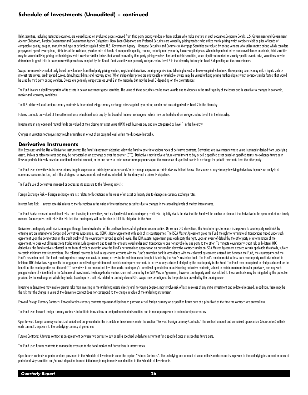Debt securities, including restricted securities, are valued based on evaluated prices received from third party pricing vendors or from brokers who make markets in such securities. Corporate Bonds, U.S. Government and Gov Agency Obligations, Foreign Government and Government Agency Obligations, Bank Loan Obligations and Preferred Securities are valued by pricing vendors who utilize matrix pricing which considers yield or price of bonds of comparable quality, coupon, maturity and type or by broker-supplied prices.U.S. Government Agency - Mortgage Securities and Commercial Mortgage Securities are valued by pricing vendors who utilize matrix pricing which cons prepayment speed assumptions, attributes of the collateral, yield or price of bonds of comparable quality, coupon, maturity and type or by broker-supplied prices. When independent prices are unavailable or unreliable, debt may be valued utilizing pricing methodologies which consider similar factors that would be used by third party pricing vendors. For foreign debt securities, when significant market or security specific events arise, valuat determined in good faith in accordance with procedures adopted by the Board. Debt securities are generally categorized as Level 2 in the hierarchy but may be Level 3 depending on the circumstances.

Swaps are marked-to-market daily based on valuations from third party pricing vendors, registered derivatives clearing organizations (clearinghouses) or broker-supplied valuations. These pricing sources may utilize inputs interest rate curves, credit spread curves, default possibilities and recovery rates. When independent prices are unavailable or unreliable, swaps may be valued utilizing pricing methodologies which consider similar factor be used by third party pricing vendors. Swaps are generally categorized as Level 2 in the hierarchy but may be Level 3 depending on the circumstances.

The Fund invests a significant portion of its assets in below investment arade securities. The value of these securities can be more volatile due to changes in the credit auglity of the issuer and is sensitive to changes i market and regulatory conditions.

The U.S. dollar value of foreign currency contracts is determined using currency exchange rates supplied by a pricing vendor and are categorized as Level 2 in the hierarchy.

Futures contracts are valued at the settlement price established each day by the board of trade or exchange on which they are traded and are categorized as Level 1 in the hierarchy.

Investments in any open-end mutual funds are valued at their closing net asset value (NAV) each business day and are categorized as Level 1 in the hierarchy.

Changes in valuation techniques may result in transfers in or out of an assigned level within the disclosure hierarchy.

#### **Derivative Instruments**

Risk Exposures and the Use of Derivative Instruments: The Fund's investment objectives allow the Fund to enter into various types of derivative contracts. Derivatives are investments whose value is primarily derived from u assets, indices or reference rates and may be transacted on an exchange or over-the-counter (OTC). Derivatives may involve a future commitment to buy or sell a specified asset based on specified terms, to exchange future c flows at periodic intervals based on a notional principal amount, or for one party to make one or more payments upon the occurrence of specified events in exchange for periodic payments from the other party.

The Fund used derivatives to increase returns, to gain exposure to certain types of assets and/or to manage exposure to certain risks as defined below. The success of any strategy involving derivatives depends on analysis numerous economic factors, and if the strategies for investment do not work as intended, the Fund may not achieve its objectives.

The Fund's use of derivatives increased or decreased its exposure to the following risk(s):

Foreign Exchange Risk - Foreign exchange rate risk relates to fluctuations in the value of an asset or liability due to changes in currency exchange rates.

Interest Rate Risk – Interest rate risk relates to the fluctuations in the value of interest-bearing securities due to changes in the prevailing levels of market interest rates.

The Fund is also exposed to additional risks from investing in derivatives, such as liquidity risk and counterparty credit risk. Liquidity risk is the risk that the Fund will be unable to close out the derivative in the op manner. Counterparty credit risk is the risk that the counterparty will not be able to fulfill its obligation to the Fund.

Derivative counterparty credit risk is managed through formal evaluation of the creditworthiness of all potential counterparties. On certain OTC derivatives, the Fund attempts to reduce its exposure to counterparty credit entering into an International Swaps and Derivatives Association, Inc. (ISDA) Master Agreement with each of its counterparties. The ISDA Master Agreement gives the Fund the right to terminate all transactions traded under agreement upon the deterioration in the credit quality of the counterparty beyond specified levels. The ISDA Master Agreement gives each party the right, upon an event of default by the other party or a termination of the agreement, to close out all transactions traded under such agreement and to net the amounts owed under each transaction to one net payable by one party to the other. To mitigate counterparty credit risk on bi-lateral OTC derivatives, the Fund receives collateral in the form of cash or securities once the Fund's net unrealized appreciation on outstanding derivative contracts under an ISDA Master Agreement exceeds certain applicable threshol to certain minimum transfer provisions. The collateral received is held in searegated accounts with the Fund's custodian bank in accordance with the collateral agreements entered into between the Fund. the counterparty and Fund's custodian bank. The Fund could experience delays and costs in gaining access to the collateral even though it is held by the Fund's custodian bank. The Fund's maximum risk of loss from counterparty credit risk relat bi-lateral OTC derivatives is generally the aggregate unrealized appreciation and unpaid counterparty payments in excess of any collateral pledged by the counterparty to the Fund. The Fund may be required to pledge collate benefit of the counterparties on bi-lateral OTC derivatives in an amount not less than each counterparty's unrealized appreciation on outstanding derivative contracts, subject to certain minimum transfer provisions, and an pledged collateral is identified in the Schedule of Investments. Exchange-traded contracts are not covered by the ISDA Master Agreement; however counterparty credit risk related to these contracts may be mitigated by the p provided by the exchange on which they trade. Counterparty credit risk related to centrally cleared OTC swaps may be mitigated by the protection provided by the clearinghouse.

Investing in derivatives may involve greater risks than investing in the underlying assets directly and, to varying degrees, may involve risk of loss in excess of any initial investment and collateral received. In addition the risk that the change in value of the derivative contract does not correspond to the change in value of the underlying instrument.

Forward Foreign Currency Contracts: Forward foreign currency contracts represent obligations to purchase or sell foreign currency on a specified future date at a price fixed at the time the contracts are entered into.

The Fund used forward foreign currency contracts to facilitate transactions in foreign-denominated securities and to manage exposure to certain foreign currencies.

Open forward foreign currency contracts at period end are presented in the Schedule of Investments under the caption "Forward Foreign Currency Contracts." The contract amount and unrealized appreciation (depreciation) refl each contract's exposure to the underlying currency at period end

Futures Contracts: A futures contract is an agreement between two parties to buy or sell a specified underlying instrument for a specified price at a specified future date.

The Fund used futures contracts to manage its exposure to the bond market and fluctuations in interest rates.

Open futures contracts at period end are presented in the Schedule of Investments under the caption "Futures Contracts". The underlying face amount at value reflects each contract's exposure to the underlying instrument or period end. Any securities and/or cash deposited to meet initial margin requirements are identified in the Schedule of Investments.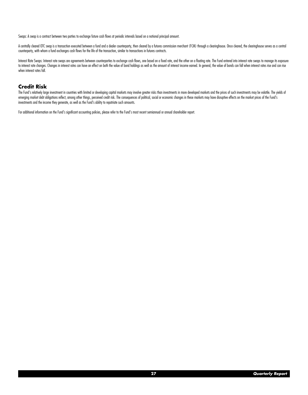Swaps: A swap is a contract between two parties to exchange future cash flows at periodic intervals based on a notional principal amount.

A centrally cleared OTC swap is a transaction executed between a fund and a dealer counterparty, then cleared by a futures commission merchant (FCM) through a clearinghouse. Once cleared, the clearinghouse serves as a cent counterparty, with whom a fund exchanges cash flows for the life of the transaction, similar to transactions in futures contracts.

Interest Rate Swaps: Interest rate swaps are agreements between counterparties to exchange cash flows, one based on a fixed rate, and the other on a floating rate. The Fund entered into interest rate swaps to manage its ex to interest rate changes. Changes in interest rates can have an effect on both the value of bond holdings as well as the amount of interest income earned. In general, the value of bonds can fall when interest rates rise an when interest rates fall.

#### **Credit Risk**

The Fund's relatively large investment in countries with limited or developing capital markets may involve greater risks than investments in more developed markets and the prices of such investments may be volatile. The yi emerging market debt obligations reflect, among other things, perceived credit risk. The consequences of political, social or economic changes in these markets may have disruptive effects on the market prices of the Fund's investments and the income they generate, as well as the Fund's ability to repatriate such amounts.

For additional information on the Fund's significant accounting policies, please refer to the Fund's most recent semiannual or annual shareholder report.